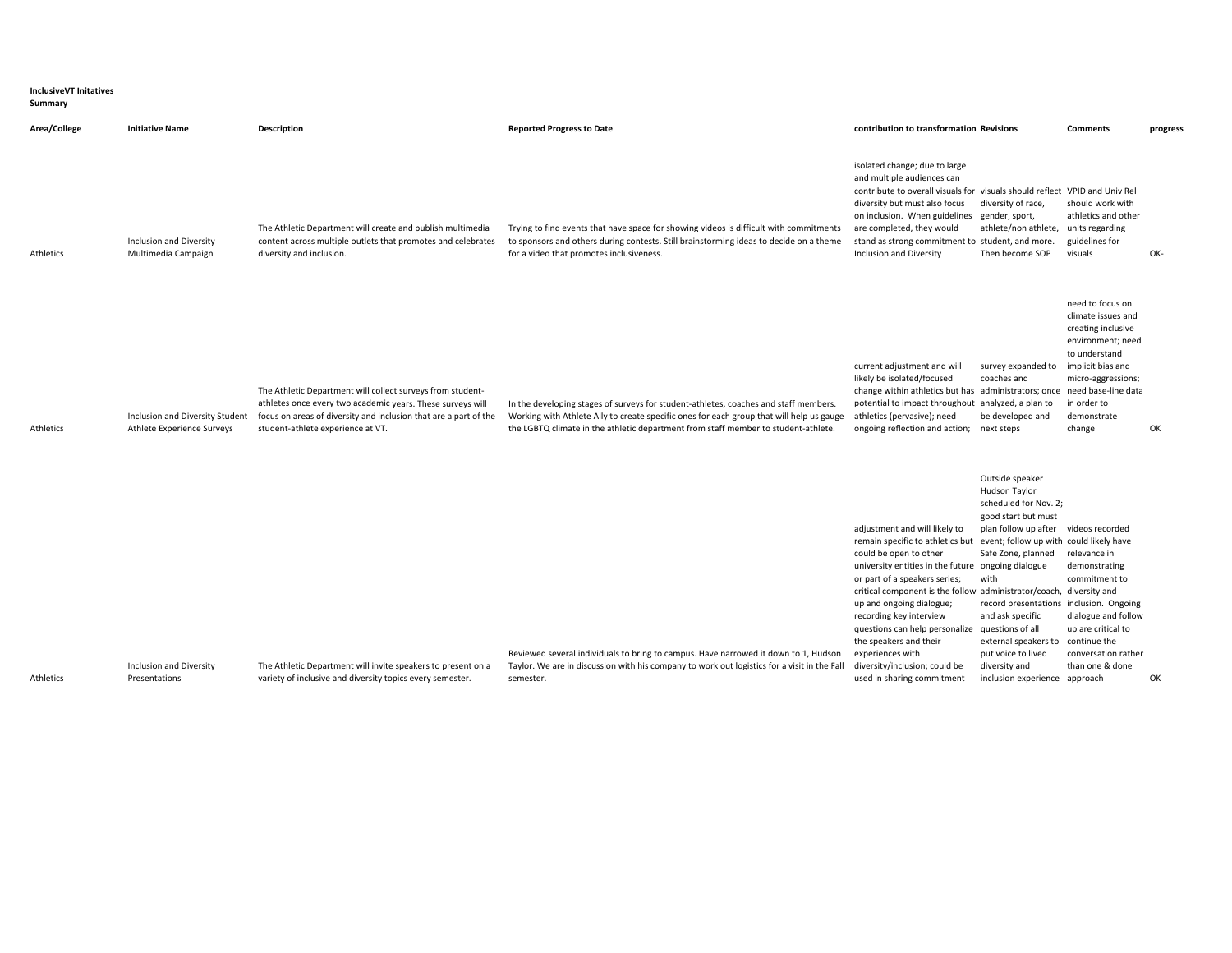| <b>InclusiveVT Initatives</b><br>Summary |                        |                    |
|------------------------------------------|------------------------|--------------------|
| Area/College                             | <b>Initiative Name</b> | <b>Description</b> |
|                                          |                        |                    |

diversity and inclusion.

Inclusion and Diversity Multimedia Campaign

Athletics

Athletics

| The Athletic Department will create and publish multimedia<br>content across multiple outlets that promotes and celebrates<br>diversity and inclusion. | Trying to find events that have space for showing videos is difficult with commitments<br>to sponsors and others during contests. Still brainstorming ideas to decide on a theme<br>for a video that promotes inclusiveness. | isolated change; due to large<br>and multiple audiences can<br>contribute to overall visuals for visuals should reflect VPID and Univ Rel<br>diversity but must also focus<br>on inclusion. When guidelines gender, sport,<br>are completed, they would<br>stand as strong commitment to student, and more.<br>Inclusion and Diversity | diversity of race.<br>athlete/non athlete.<br>Then become SOP | should work with<br>athletics and other<br>units regarding<br>guidelines for<br>visuals | OK- |
|--------------------------------------------------------------------------------------------------------------------------------------------------------|------------------------------------------------------------------------------------------------------------------------------------------------------------------------------------------------------------------------------|----------------------------------------------------------------------------------------------------------------------------------------------------------------------------------------------------------------------------------------------------------------------------------------------------------------------------------------|---------------------------------------------------------------|-----------------------------------------------------------------------------------------|-----|
|                                                                                                                                                        |                                                                                                                                                                                                                              |                                                                                                                                                                                                                                                                                                                                        |                                                               |                                                                                         |     |

Reported Progress to Date express to Date the State of the State of the State of the Comments contribution to transformation Revisions Comments progress

| Athletics | Inclusion and Diversity Student<br>Athlete Experience Surveys | The Athletic Department will collect surveys from student-<br>athletes once every two academic years. These surveys will<br>focus on areas of diversity and inclusion that are a part of the<br>student-athlete experience at VT. | In the developing stages of surveys for student-athletes, coaches and staff members.<br>Working with Athlete Ally to create specific ones for each group that will help us gauge<br>the LGBTQ climate in the athletic department from staff member to student-athlete. | current adjustment and will<br>likely be isolated/focused<br>change within athletics but has administrators; once need base-line data<br>potential to impact throughout analyzed, a plan to<br>athletics (pervasive); need<br>ongoing reflection and action; next steps | survey expanded to implicit bias and<br>coaches and<br>be developed and | need to focus on<br>climate issues and<br>creating inclusive<br>environment; need<br>to understand<br>micro-aggressions;<br>in order to<br>demonstrate<br>change | OK |
|-----------|---------------------------------------------------------------|-----------------------------------------------------------------------------------------------------------------------------------------------------------------------------------------------------------------------------------|------------------------------------------------------------------------------------------------------------------------------------------------------------------------------------------------------------------------------------------------------------------------|-------------------------------------------------------------------------------------------------------------------------------------------------------------------------------------------------------------------------------------------------------------------------|-------------------------------------------------------------------------|------------------------------------------------------------------------------------------------------------------------------------------------------------------|----|
|           |                                                               |                                                                                                                                                                                                                                   |                                                                                                                                                                                                                                                                        |                                                                                                                                                                                                                                                                         |                                                                         |                                                                                                                                                                  |    |

| Inclusion and Diversity | The Athletic Department will invite speakers to present on a | Reviewed several individuals to bring to campus. Have narrowed it down to 1, Hudson<br>Taylor. We are in discussion with his company to work out logistics for a visit in the Fall | adjustment and will likely to<br>remain specific to athletics but<br>could be open to other<br>university entities in the future ongoing dialogue<br>or part of a speakers series;<br>critical component is the follow administrator/coach, diversity and<br>up and ongoing dialogue;<br>recording key interview<br>questions can help personalize questions of all<br>the speakers and their<br>experiences with<br>diversity/inclusion; could be | Outside speaker<br>Hudson Taylor<br>scheduled for Nov. 2;<br>good start but must<br>plan follow up after<br>event; follow up with could likely have<br>Safe Zone, planned<br>with<br>record presentations inclusion. Ongoing<br>and ask specific<br>external speakers to<br>put voice to lived<br>diversity and | videos recorded<br>relevance in<br>demonstrating<br>commitment to<br>dialogue and follow<br>up are critical to<br>continue the<br>conversation rather<br>than one & done |    |
|-------------------------|--------------------------------------------------------------|------------------------------------------------------------------------------------------------------------------------------------------------------------------------------------|----------------------------------------------------------------------------------------------------------------------------------------------------------------------------------------------------------------------------------------------------------------------------------------------------------------------------------------------------------------------------------------------------------------------------------------------------|-----------------------------------------------------------------------------------------------------------------------------------------------------------------------------------------------------------------------------------------------------------------------------------------------------------------|--------------------------------------------------------------------------------------------------------------------------------------------------------------------------|----|
| Presentations           | variety of inclusive and diversity topics every semester.    | semester.                                                                                                                                                                          | used in sharing commitment                                                                                                                                                                                                                                                                                                                                                                                                                         | inclusion experience                                                                                                                                                                                                                                                                                            | approach                                                                                                                                                                 | OK |
|                         |                                                              |                                                                                                                                                                                    |                                                                                                                                                                                                                                                                                                                                                                                                                                                    |                                                                                                                                                                                                                                                                                                                 |                                                                                                                                                                          |    |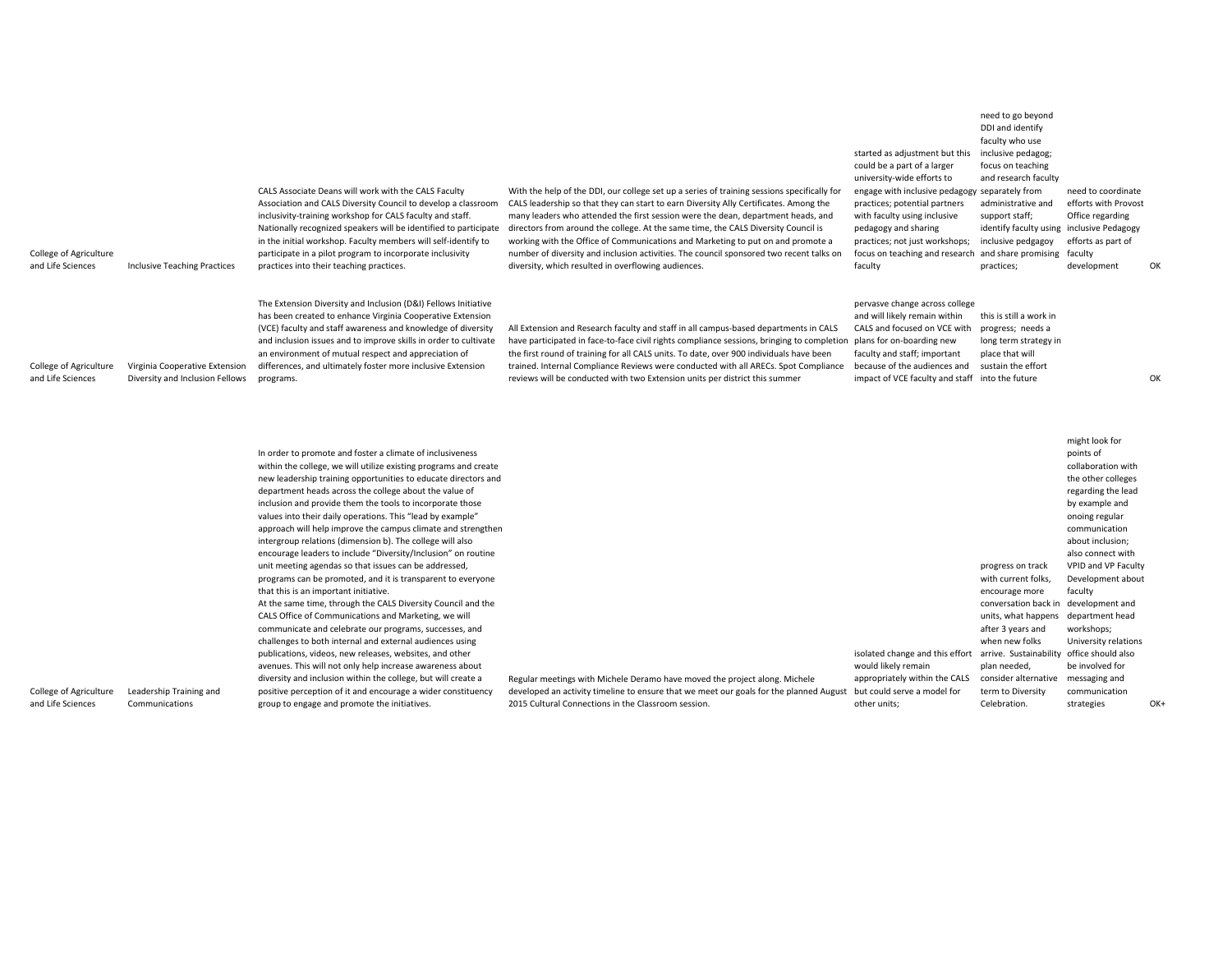| College of Agriculture<br>and Life Sciences | <b>Inclusive Teaching Practices</b>                               | CALS Associate Deans will work with the CALS Faculty<br>Association and CALS Diversity Council to develop a classroom<br>inclusivity-training workshop for CALS faculty and staff.<br>Nationally recognized speakers will be identified to participate<br>in the initial workshop. Faculty members will self-identify to<br>participate in a pilot program to incorporate inclusivity<br>practices into their teaching practices.                                                                                                                                                                                                                                                                                                                                                                                                                                                                                                                                                                 | With the help of the DDI, our college set up a series of training sessions specifically for<br>CALS leadership so that they can start to earn Diversity Ally Certificates. Among the<br>many leaders who attended the first session were the dean, department heads, and<br>directors from around the college. At the same time, the CALS Diversity Council is<br>working with the Office of Communications and Marketing to put on and promote a<br>number of diversity and inclusion activities. The council sponsored two recent talks on<br>diversity, which resulted in overflowing audiences. | started as adjustment but this<br>could be a part of a larger<br>university-wide efforts to<br>engage with inclusive pedagogy separately from<br>practices; potential partners<br>with faculty using inclusive<br>pedagogy and sharing<br>practices; not just workshops;<br>focus on teaching and research and share promising<br>faculty | inclusive pedagog;<br>focus on teaching<br>and research faculty<br>administrative and<br>support staff;<br>identify faculty using inclusive Pedagogy<br>inclusive pedgagoy<br>practices; | need to coordinate<br>efforts with Provost<br>Office regarding<br>efforts as part of<br>faculty<br>development                                                                                                                                                                                                                 | OK |
|---------------------------------------------|-------------------------------------------------------------------|---------------------------------------------------------------------------------------------------------------------------------------------------------------------------------------------------------------------------------------------------------------------------------------------------------------------------------------------------------------------------------------------------------------------------------------------------------------------------------------------------------------------------------------------------------------------------------------------------------------------------------------------------------------------------------------------------------------------------------------------------------------------------------------------------------------------------------------------------------------------------------------------------------------------------------------------------------------------------------------------------|-----------------------------------------------------------------------------------------------------------------------------------------------------------------------------------------------------------------------------------------------------------------------------------------------------------------------------------------------------------------------------------------------------------------------------------------------------------------------------------------------------------------------------------------------------------------------------------------------------|-------------------------------------------------------------------------------------------------------------------------------------------------------------------------------------------------------------------------------------------------------------------------------------------------------------------------------------------|------------------------------------------------------------------------------------------------------------------------------------------------------------------------------------------|--------------------------------------------------------------------------------------------------------------------------------------------------------------------------------------------------------------------------------------------------------------------------------------------------------------------------------|----|
| College of Agriculture<br>and Life Sciences | Virginia Cooperative Extension<br>Diversity and Inclusion Fellows | The Extension Diversity and Inclusion (D&I) Fellows Initiative<br>has been created to enhance Virginia Cooperative Extension<br>(VCE) faculty and staff awareness and knowledge of diversity<br>and inclusion issues and to improve skills in order to cultivate<br>an environment of mutual respect and appreciation of<br>differences, and ultimately foster more inclusive Extension<br>programs.                                                                                                                                                                                                                                                                                                                                                                                                                                                                                                                                                                                              | All Extension and Research faculty and staff in all campus-based departments in CALS<br>have participated in face-to-face civil rights compliance sessions, bringing to completion<br>the first round of training for all CALS units. To date, over 900 individuals have been<br>trained. Internal Compliance Reviews were conducted with all ARECs. Spot Compliance<br>reviews will be conducted with two Extension units per district this summer                                                                                                                                                 | pervasve change across college<br>and will likely remain within<br>CALS and focused on VCE with<br>plans for on-boarding new<br>faculty and staff; important<br>because of the audiences and<br>impact of VCE faculty and staff into the future                                                                                           | this is still a work in<br>progress; needs a<br>long term strategy in<br>place that will<br>sustain the effort                                                                           |                                                                                                                                                                                                                                                                                                                                | OK |
|                                             |                                                                   | In order to promote and foster a climate of inclusiveness<br>within the college, we will utilize existing programs and create<br>new leadership training opportunities to educate directors and<br>department heads across the college about the value of<br>inclusion and provide them the tools to incorporate those<br>values into their daily operations. This "lead by example"<br>approach will help improve the campus climate and strengthen<br>intergroup relations (dimension b). The college will also<br>encourage leaders to include "Diversity/Inclusion" on routine<br>unit meeting agendas so that issues can be addressed,<br>programs can be promoted, and it is transparent to everyone<br>that this is an important initiative.<br>At the same time, through the CALS Diversity Council and the<br>CALS Office of Communications and Marketing, we will<br>communicate and celebrate our programs, successes, and<br>challenges to both internal and external audiences using |                                                                                                                                                                                                                                                                                                                                                                                                                                                                                                                                                                                                     |                                                                                                                                                                                                                                                                                                                                           | progress on track<br>with current folks,<br>encourage more<br>conversation back in<br>units, what happens<br>after 3 years and<br>when new folks                                         | might look for<br>points of<br>collaboration with<br>the other colleges<br>regarding the lead<br>by example and<br>onoing regular<br>communication<br>about inclusion;<br>also connect with<br>VPID and VP Faculty<br>Development about<br>faculty<br>development and<br>department head<br>workshops;<br>University relations |    |

College of Agriculture Leadership Training and and Life Sciences Communications

publications, videos, new releases, websites, and other avenues. This will not only help increase awareness about diversity and inclusion within the college, but will create <sup>a</sup> positive perception of it and encourage <sup>a</sup> wider constituency

group to engage and promote the initiatives.

Regular meetings with Michele Deramo have moved the project along. Michele developed an activity timeline to ensure that we meet our goals for the planned August but could serve <sup>a</sup> model for 2015 Cultural Connections in the Classroom session.

strategies OK+

be involved for communication

need to go beyond DDI and identify faculty who use

isolated change and this effort arrive. Sustainability office should also

plan needed, term to Diversity Celebration.

appropriately within the CALS consider alternative messaging and

would likely remain

other units;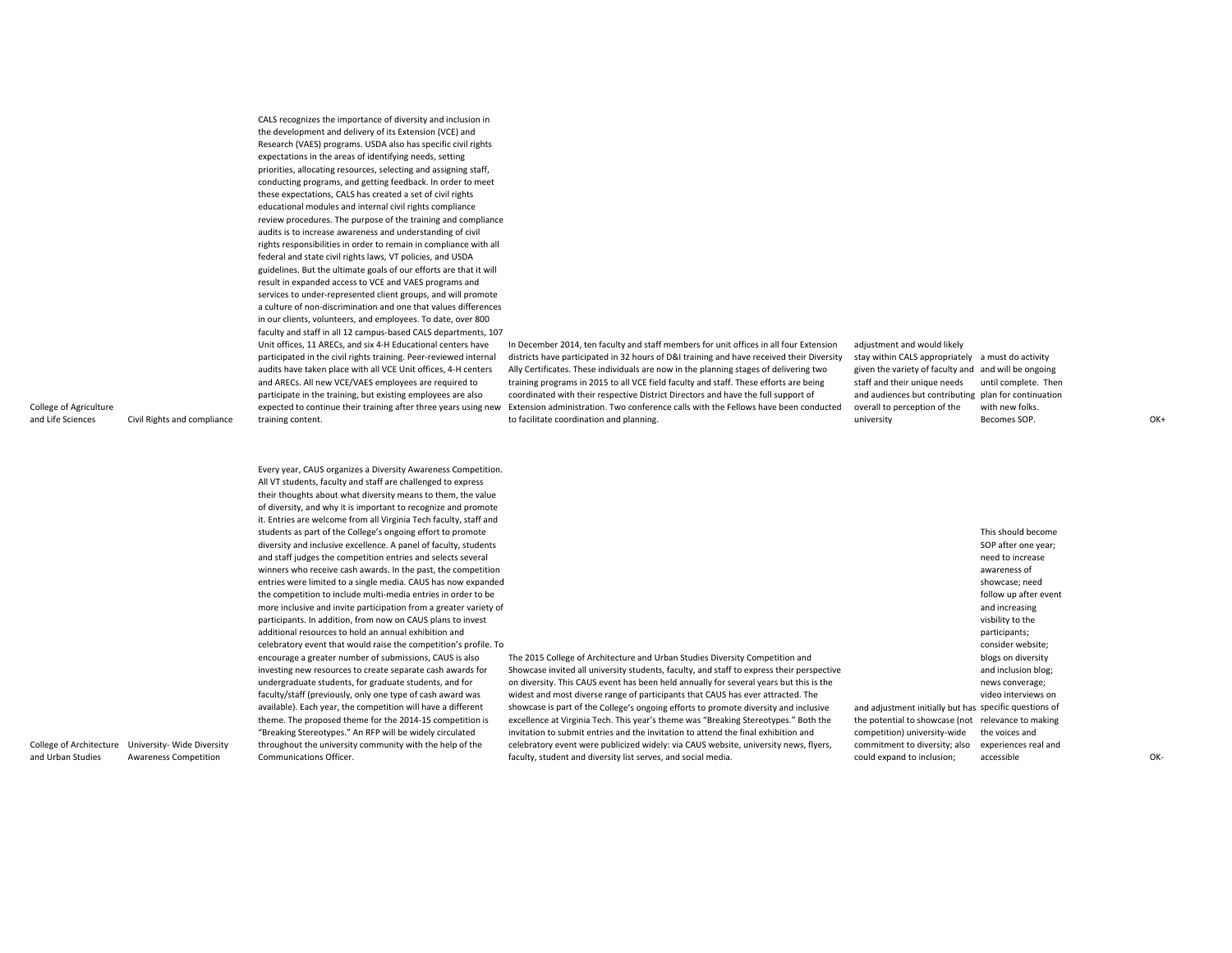CALS recognizes the importance of diversity and inclusion in the development and delivery of its Extension (VCE) and Research (VAES) programs. USDA also has specific civil rights expectations in the areas of identifying needs, setting priorities, allocating resources, selecting and assigning staff, conducting programs, and getting feedback. In order to meet these expectations, CALS has created <sup>a</sup> set of civil rights educational modules and internal civil rights compliance review procedures. The purpose of the training and compliance audits is to increase awareness and understanding of civil rights responsibilities in order to remain in compliance with all federal and state civil rights laws, VT policies, and USDA guidelines. But the ultimate goals of our efforts are that it will result in expanded access to VCE and VAES programs and services to under‐represented client groups, and will promote a culture of non‐discrimination and one that values differences in our clients, volunteers, and employees. To date, over 800 faculty and staff in all 12 campus‐based CALS departments, 107 Unit offices, 11 ARECs, and six 4‐H Educational centers have participated in the civil rights training. Peer‐reviewed internal audits have taken place with all VCE Unit offices, 4‐H centers and ARECs. All new VCE/VAES employees are required to participate in the training, but existing employees are also training content.

expected to continue their training after three years using new Extension administration. Two conference calls with the Fellows have been conducted In December 2014, ten faculty and staff members for unit offices in all four Extension districts have participated in 32 hours of D&I training and have received their Diversity Ally Certificates. These individuals are now in the planning stages of delivering two training programs in 2015 to all VCE field faculty and staff. These efforts are being coordinated with their respective District Directors and have the full support of to facilitate coordination and planning.

adjustment and would likely stay within CALS appropriately a must do activity given the variety of faculty and and will be ongoing staff and their unique needs antil complete. Then and audiences but contributing plan for continuation overall to perception of the university with new folks. Becomes SOP SOP. OK+

and Life Sciences Civil Rights and compliance

College of Agriculture

Every year, CAUS organizes <sup>a</sup> Diversity Awareness Competition. All VT students, faculty and staff are challenged to express their thoughts about what diversity means to them, the value of diversity, and why it is important to recognize and promote it. Entries are welcome from all Virginia Tech faculty, staff and students as part of the College's ongoing effort to promote diversity and inclusive excellence. A panel of faculty, students and staff judges the competition entries and selects several winners who receive cash awards. In the past, the competition entries were limited to <sup>a</sup> single media. CAUS has now expanded the competition to include multi‐media entries in order to be more inclusive and invite participation from <sup>a</sup> greater variety of participants. In addition, from now on CAUS plans to invest additional resources to hold an annual exhibition and celebratory event that would raise the competition's profile. To encourage <sup>a</sup> greater number of submissions, CAUS is also investing new resources to create separate cash awards for undergraduate students, for graduate students, and for faculty/staff (previously, only one type of cash award was available). Each year, the competition will have <sup>a</sup> different theme. The proposed theme for the 2014‐15 competition is "Breaking Stereotypes." An RFP will be widely circulated throughout the university community with the help of the Communications Officer.

The 2015 College of Architecture and Urban Studies Diversity Competition and Showcase invited all university students, faculty, and staff to express their perspective on diversity. This CAUS event has been held annually for several years but this is the widest and most diverse range of participants that CAUS has ever attracted. The showcase is part of the College's ongoing efforts to promote diversity and inclusive excellence at Virginia Tech. This year's theme was "Breaking Stereotypes." Both the invitation to submit entries and the invitation to attend the final exhibition and celebratory event were publicized widely: via CAUS website, university news, flyers, faculty, student and diversity list serves, and social media.

and adjustment initially but has specific questions of the potential to showcase (not relevance to making competition) university‐wide This should become SOP after one year; need to increase awareness of showcase; need follow up after event and increasing visbility to the participants; consider website; blogs on diversity and inclusion blog; news converage; video interviews on

commitment to diversity; also experiences real and

could expand to inclusion;

accessible OK‐

College of Architecture University‐ Wide Diversity and Urban Studies Awareness Competition

the voices and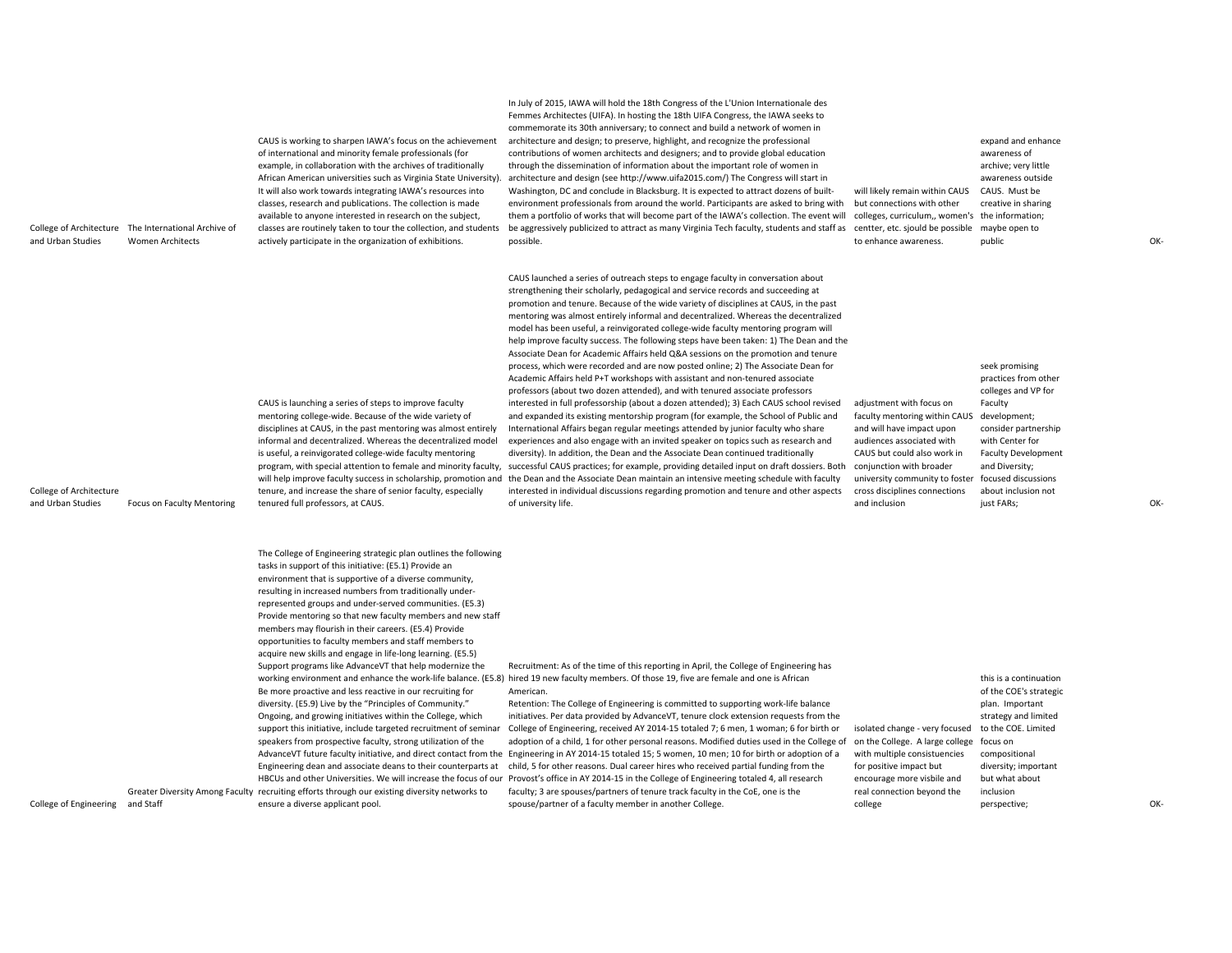| CAUS launched a series of outreach steps to engage faculty in conversation about<br>strengthening their scholarly, pedagogical and service records and succeeding at<br>promotion and tenure. Because of the wide variety of disciplines at CAUS, in the past<br>mentoring was almost entirely informal and decentralized. Whereas the decentralized<br>model has been useful, a reinvigorated college-wide faculty mentoring program will<br>help improve faculty success. The following steps have been taken: 1) The Dean and the<br>Associate Dean for Academic Affairs held Q&A sessions on the promotion and tenure<br>process, which were recorded and are now posted online; 2) The Associate Dean for<br>seek promising<br>Academic Affairs held P+T workshops with assistant and non-tenured associate<br>practices from other<br>professors (about two dozen attended), and with tenured associate professors<br>colleges and VP for<br>CAUS is launching a series of steps to improve faculty<br>interested in full professorship (about a dozen attended); 3) Each CAUS school revised<br>adjustment with focus on<br>Faculty<br>mentoring college-wide. Because of the wide variety of<br>and expanded its existing mentorship program (for example, the School of Public and<br>faculty mentoring within CAUS<br>development;<br>disciplines at CAUS, in the past mentoring was almost entirely<br>International Affairs began regular meetings attended by junior faculty who share<br>consider partnership<br>and will have impact upon<br>informal and decentralized. Whereas the decentralized model<br>experiences and also engage with an invited speaker on topics such as research and<br>audiences associated with<br>with Center for<br>is useful, a reinvigorated college-wide faculty mentoring<br>diversity). In addition, the Dean and the Associate Dean continued traditionally<br>CAUS but could also work in<br><b>Faculty Development</b><br>program, with special attention to female and minority faculty,<br>successful CAUS practices; for example, providing detailed input on draft dossiers. Both<br>conjunction with broader<br>and Diversity;<br>will help improve faculty success in scholarship, promotion and the Dean and the Associate Dean maintain an intensive meeting schedule with faculty<br>university community to foster<br>focused discussions<br>College of Architecture<br>tenure, and increase the share of senior faculty, especially<br>interested in individual discussions regarding promotion and tenure and other aspects<br>cross disciplines connections<br>about inclusion not<br>OK-<br>and Urban Studies<br>Focus on Faculty Mentoring<br>tenured full professors, at CAUS.<br>of university life.<br>and inclusion<br>just FARs;<br>The College of Engineering strategic plan outlines the following<br>tasks in support of this initiative: (E5.1) Provide an<br>environment that is supportive of a diverse community,<br>resulting in increased numbers from traditionally under-<br>represented groups and under-served communities. (E5.3)<br>Provide mentoring so that new faculty members and new staff<br>members may flourish in their careers. (E5.4) Provide<br>opportunities to faculty members and staff members to<br>acquire new skills and engage in life-long learning. (E5.5)<br>Recruitment: As of the time of this reporting in April, the College of Engineering has<br>Support programs like AdvanceVT that help modernize the<br>working environment and enhance the work-life balance. (E5.8) hired 19 new faculty members. Of those 19, five are female and one is African<br>this is a continuation<br>Be more proactive and less reactive in our recruiting for<br>American.<br>of the COE's strategic<br>diversity. (E5.9) Live by the "Principles of Community."<br>Retention: The College of Engineering is committed to supporting work-life balance<br>plan. Important<br>Ongoing, and growing initiatives within the College, which<br>initiatives. Per data provided by AdvanceVT, tenure clock extension requests from the<br>strategy and limited<br>to the COE. Limited<br>support this initiative, include targeted recruitment of seminar<br>College of Engineering, received AY 2014-15 totaled 7; 6 men, 1 woman; 6 for birth or<br>isolated change - very focused<br>speakers from prospective faculty, strong utilization of the<br>adoption of a child, 1 for other personal reasons. Modified duties used in the College of<br>on the College. A large college<br>focus on<br>AdvanceVT future faculty initiative, and direct contact from the Engineering in AY 2014-15 totaled 15; 5 women, 10 men; 10 for birth or adoption of a<br>with multiple consistuencies<br>compositional<br>child, 5 for other reasons. Dual career hires who received partial funding from the<br>Engineering dean and associate deans to their counterparts at<br>for positive impact but<br>diversity; important<br>HBCUs and other Universities. We will increase the focus of our Provost's office in AY 2014-15 in the College of Engineering totaled 4, all research<br>but what about<br>encourage more visbile and<br>faculty; 3 are spouses/partners of tenure track faculty in the CoE, one is the<br>Greater Diversity Among Faculty recruiting efforts through our existing diversity networks to<br>real connection beyond the<br>inclusion<br>College of Engineering<br>and Staff<br>ensure a diverse applicant pool.<br>spouse/partner of a faculty member in another College.<br>college<br>OK-<br>perspective; | College of Architecture<br>and Urban Studies | The International Archive of<br><b>Women Architects</b> | CAUS is working to sharpen IAWA's focus on the achievement<br>of international and minority female professionals (for<br>example, in collaboration with the archives of traditionally<br>African American universities such as Virginia State University).<br>It will also work towards integrating IAWA's resources into<br>classes, research and publications. The collection is made<br>available to anyone interested in research on the subject,<br>classes are routinely taken to tour the collection, and students<br>actively participate in the organization of exhibitions. | In July of 2015, IAWA will hold the 18th Congress of the L'Union Internationale des<br>Femmes Architectes (UIFA). In hosting the 18th UIFA Congress, the IAWA seeks to<br>commemorate its 30th anniversary; to connect and build a network of women in<br>architecture and design; to preserve, highlight, and recognize the professional<br>contributions of women architects and designers; and to provide global education<br>through the dissemination of information about the important role of women in<br>architecture and design (see http://www.uifa2015.com/) The Congress will start in<br>Washington, DC and conclude in Blacksburg. It is expected to attract dozens of built-<br>environment professionals from around the world. Participants are asked to bring with<br>them a portfolio of works that will become part of the IAWA's collection. The event will<br>be aggressively publicized to attract as many Virginia Tech faculty, students and staff as<br>possible. | will likely remain within CAUS<br>but connections with other<br>colleges, curriculum,, women's<br>centter, etc. sjould be possible<br>to enhance awareness. | expand and enhance<br>awareness of<br>archive; very little<br>awareness outside<br>CAUS. Must be<br>creative in sharing<br>the information;<br>maybe open to<br>public | OK- |
|------------------------------------------------------------------------------------------------------------------------------------------------------------------------------------------------------------------------------------------------------------------------------------------------------------------------------------------------------------------------------------------------------------------------------------------------------------------------------------------------------------------------------------------------------------------------------------------------------------------------------------------------------------------------------------------------------------------------------------------------------------------------------------------------------------------------------------------------------------------------------------------------------------------------------------------------------------------------------------------------------------------------------------------------------------------------------------------------------------------------------------------------------------------------------------------------------------------------------------------------------------------------------------------------------------------------------------------------------------------------------------------------------------------------------------------------------------------------------------------------------------------------------------------------------------------------------------------------------------------------------------------------------------------------------------------------------------------------------------------------------------------------------------------------------------------------------------------------------------------------------------------------------------------------------------------------------------------------------------------------------------------------------------------------------------------------------------------------------------------------------------------------------------------------------------------------------------------------------------------------------------------------------------------------------------------------------------------------------------------------------------------------------------------------------------------------------------------------------------------------------------------------------------------------------------------------------------------------------------------------------------------------------------------------------------------------------------------------------------------------------------------------------------------------------------------------------------------------------------------------------------------------------------------------------------------------------------------------------------------------------------------------------------------------------------------------------------------------------------------------------------------------------------------------------------------------------------------------------------------------------------------------------------------------------------------------------------------------------------------------------------------------------------------------------------------------------------------------------------------------------------------------------------------------------------------------------------------------------------------------------------------------------------------------------------------------------------------------------------------------------------------------------------------------------------------------------------------------------------------------------------------------------------------------------------------------------------------------------------------------------------------------------------------------------------------------------------------------------------------------------------------------------------------------------------------------------------------------------------------------------------------------------------------------------------------------------------------------------------------------------------------------------------------------------------------------------------------------------------------------------------------------------------------------------------------------------------------------------------------------------------------------------------------------------------------------------------------------------------------------------------------------------------------------------------------------------------------------------------------------------------------------------------------------------------------------------------------------------------------------------------------------------------------------------------------------------------------------------------------------------------------------------------------------------------------------------------------------------------------------------------------------------------------------------------------------------------------------------------------------------------------------------------------------------------------------------------------------------------------------------------------------------------------------------------------------------------------------------------------------------------|----------------------------------------------|---------------------------------------------------------|---------------------------------------------------------------------------------------------------------------------------------------------------------------------------------------------------------------------------------------------------------------------------------------------------------------------------------------------------------------------------------------------------------------------------------------------------------------------------------------------------------------------------------------------------------------------------------------|----------------------------------------------------------------------------------------------------------------------------------------------------------------------------------------------------------------------------------------------------------------------------------------------------------------------------------------------------------------------------------------------------------------------------------------------------------------------------------------------------------------------------------------------------------------------------------------------------------------------------------------------------------------------------------------------------------------------------------------------------------------------------------------------------------------------------------------------------------------------------------------------------------------------------------------------------------------------------------------------|-------------------------------------------------------------------------------------------------------------------------------------------------------------|------------------------------------------------------------------------------------------------------------------------------------------------------------------------|-----|
|                                                                                                                                                                                                                                                                                                                                                                                                                                                                                                                                                                                                                                                                                                                                                                                                                                                                                                                                                                                                                                                                                                                                                                                                                                                                                                                                                                                                                                                                                                                                                                                                                                                                                                                                                                                                                                                                                                                                                                                                                                                                                                                                                                                                                                                                                                                                                                                                                                                                                                                                                                                                                                                                                                                                                                                                                                                                                                                                                                                                                                                                                                                                                                                                                                                                                                                                                                                                                                                                                                                                                                                                                                                                                                                                                                                                                                                                                                                                                                                                                                                                                                                                                                                                                                                                                                                                                                                                                                                                                                                                                                                                                                                                                                                                                                                                                                                                                                                                                                                                                                                                                                                                                                                                                                                                                                                                                                                                                                                                                                                                                                                                                                    |                                              |                                                         |                                                                                                                                                                                                                                                                                                                                                                                                                                                                                                                                                                                       |                                                                                                                                                                                                                                                                                                                                                                                                                                                                                                                                                                                                                                                                                                                                                                                                                                                                                                                                                                                              |                                                                                                                                                             |                                                                                                                                                                        |     |
|                                                                                                                                                                                                                                                                                                                                                                                                                                                                                                                                                                                                                                                                                                                                                                                                                                                                                                                                                                                                                                                                                                                                                                                                                                                                                                                                                                                                                                                                                                                                                                                                                                                                                                                                                                                                                                                                                                                                                                                                                                                                                                                                                                                                                                                                                                                                                                                                                                                                                                                                                                                                                                                                                                                                                                                                                                                                                                                                                                                                                                                                                                                                                                                                                                                                                                                                                                                                                                                                                                                                                                                                                                                                                                                                                                                                                                                                                                                                                                                                                                                                                                                                                                                                                                                                                                                                                                                                                                                                                                                                                                                                                                                                                                                                                                                                                                                                                                                                                                                                                                                                                                                                                                                                                                                                                                                                                                                                                                                                                                                                                                                                                                    |                                              |                                                         |                                                                                                                                                                                                                                                                                                                                                                                                                                                                                                                                                                                       |                                                                                                                                                                                                                                                                                                                                                                                                                                                                                                                                                                                                                                                                                                                                                                                                                                                                                                                                                                                              |                                                                                                                                                             |                                                                                                                                                                        |     |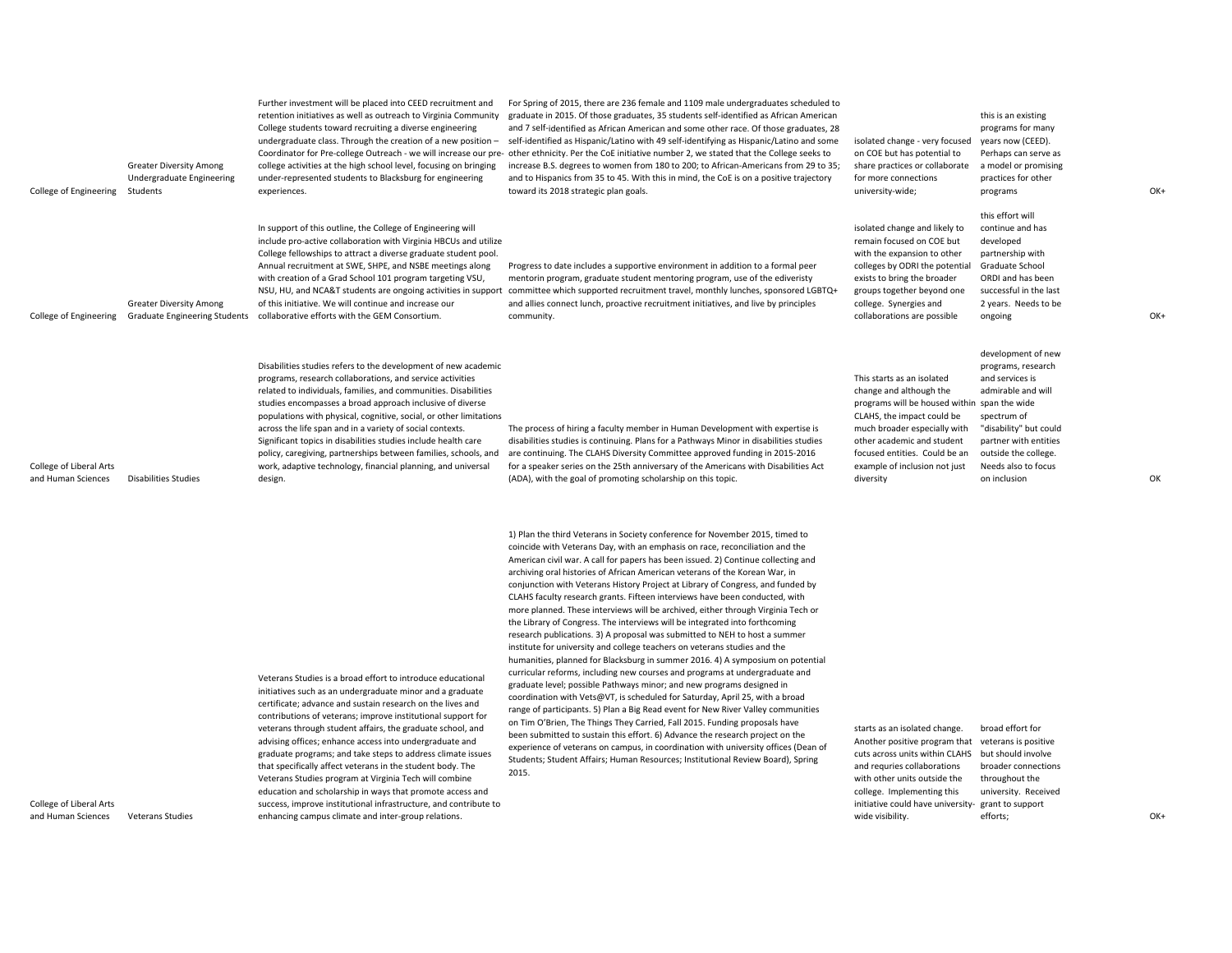| College of Engineering                        | <b>Greater Diversity Among</b><br>Undergraduate Engineering<br>Students | Further investment will be placed into CEED recruitment and<br>retention initiatives as well as outreach to Virginia Community<br>College students toward recruiting a diverse engineering<br>undergraduate class. Through the creation of a new position -<br>Coordinator for Pre-college Outreach - we will increase our pre-<br>college activities at the high school level, focusing on bringing<br>under-represented students to Blacksburg for engineering<br>experiences.                                                                                                                                                                                                                                                                               | For Spring of 2015, there are 236 female and 1109 male undergraduates scheduled to<br>graduate in 2015. Of those graduates, 35 students self-identified as African American<br>and 7 self-identified as African American and some other race. Of those graduates, 28<br>self-identified as Hispanic/Latino with 49 self-identifying as Hispanic/Latino and some<br>other ethnicity. Per the CoE initiative number 2, we stated that the College seeks to<br>increase B.S. degrees to women from 180 to 200; to African-Americans from 29 to 35;<br>and to Hispanics from 35 to 45. With this in mind, the CoE is on a positive trajectory<br>toward its 2018 strategic plan goals.                                                                                                                                                                                                                                                                                                                                                                                                                                                                                                                                                                                                                                                                                                                                                                                                                                                                                                              | isolated change - very focused<br>on COE but has potential to<br>share practices or collaborate<br>for more connections<br>university-wide;                                                                                                                             | this is an existing<br>programs for many<br>years now (CEED).<br>Perhaps can serve as<br>a model or promising<br>practices for other<br>programs                                                                                    | OK+ |
|-----------------------------------------------|-------------------------------------------------------------------------|----------------------------------------------------------------------------------------------------------------------------------------------------------------------------------------------------------------------------------------------------------------------------------------------------------------------------------------------------------------------------------------------------------------------------------------------------------------------------------------------------------------------------------------------------------------------------------------------------------------------------------------------------------------------------------------------------------------------------------------------------------------|-------------------------------------------------------------------------------------------------------------------------------------------------------------------------------------------------------------------------------------------------------------------------------------------------------------------------------------------------------------------------------------------------------------------------------------------------------------------------------------------------------------------------------------------------------------------------------------------------------------------------------------------------------------------------------------------------------------------------------------------------------------------------------------------------------------------------------------------------------------------------------------------------------------------------------------------------------------------------------------------------------------------------------------------------------------------------------------------------------------------------------------------------------------------------------------------------------------------------------------------------------------------------------------------------------------------------------------------------------------------------------------------------------------------------------------------------------------------------------------------------------------------------------------------------------------------------------------------------|-------------------------------------------------------------------------------------------------------------------------------------------------------------------------------------------------------------------------------------------------------------------------|-------------------------------------------------------------------------------------------------------------------------------------------------------------------------------------------------------------------------------------|-----|
| College of Engineering                        | <b>Greater Diversity Among</b>                                          | In support of this outline, the College of Engineering will<br>include pro-active collaboration with Virginia HBCUs and utilize<br>College fellowships to attract a diverse graduate student pool.<br>Annual recruitment at SWE, SHPE, and NSBE meetings along<br>with creation of a Grad School 101 program targeting VSU,<br>NSU, HU, and NCA&T students are ongoing activities in support<br>of this initiative. We will continue and increase our<br>Graduate Engineering Students collaborative efforts with the GEM Consortium.                                                                                                                                                                                                                          | Progress to date includes a supportive environment in addition to a formal peer<br>mentorin program, graduate student mentoring program, use of the ediveristy<br>committee which supported recruitment travel, monthly lunches, sponsored LGBTQ+<br>and allies connect lunch, proactive recruitment initiatives, and live by principles<br>community.                                                                                                                                                                                                                                                                                                                                                                                                                                                                                                                                                                                                                                                                                                                                                                                                                                                                                                                                                                                                                                                                                                                                                                                                                                          | isolated change and likely to<br>remain focused on COE but<br>with the expansion to other<br>colleges by ODRI the potential<br>exists to bring the broader<br>groups together beyond one<br>college. Synergies and<br>collaborations are possible                       | this effort will<br>continue and has<br>developed<br>partnership with<br>Graduate School<br>ORDI and has been<br>successful in the last<br>2 years. Needs to be<br>ongoing                                                          | OK+ |
| College of Liberal Arts<br>and Human Sciences | <b>Disabilities Studies</b>                                             | Disabilities studies refers to the development of new academic<br>programs, research collaborations, and service activities<br>related to individuals, families, and communities. Disabilities<br>studies encompasses a broad approach inclusive of diverse<br>populations with physical, cognitive, social, or other limitations<br>across the life span and in a variety of social contexts.<br>Significant topics in disabilities studies include health care<br>policy, caregiving, partnerships between families, schools, and<br>work, adaptive technology, financial planning, and universal<br>design.                                                                                                                                                 | The process of hiring a faculty member in Human Development with expertise is<br>disabilities studies is continuing. Plans for a Pathways Minor in disabilities studies<br>are continuing. The CLAHS Diversity Committee approved funding in 2015-2016<br>for a speaker series on the 25th anniversary of the Americans with Disabilities Act<br>(ADA), with the goal of promoting scholarship on this topic.                                                                                                                                                                                                                                                                                                                                                                                                                                                                                                                                                                                                                                                                                                                                                                                                                                                                                                                                                                                                                                                                                                                                                                                   | This starts as an isolated<br>change and although the<br>programs will be housed within<br>CLAHS, the impact could be<br>much broader especially with<br>other academic and student<br>focused entities. Could be an<br>example of inclusion not just<br>diversity      | development of new<br>programs, research<br>and services is<br>admirable and will<br>span the wide<br>spectrum of<br>"disability" but could<br>partner with entities<br>outside the college.<br>Needs also to focus<br>on inclusion | OK  |
| College of Liberal Arts<br>and Human Sciences | <b>Veterans Studies</b>                                                 | Veterans Studies is a broad effort to introduce educational<br>initiatives such as an undergraduate minor and a graduate<br>certificate; advance and sustain research on the lives and<br>contributions of veterans; improve institutional support for<br>veterans through student affairs, the graduate school, and<br>advising offices; enhance access into undergraduate and<br>graduate programs; and take steps to address climate issues<br>that specifically affect veterans in the student body. The<br>Veterans Studies program at Virginia Tech will combine<br>education and scholarship in ways that promote access and<br>success, improve institutional infrastructure, and contribute to<br>enhancing campus climate and inter-group relations. | 1) Plan the third Veterans in Society conference for November 2015, timed to<br>coincide with Veterans Day, with an emphasis on race, reconciliation and the<br>American civil war. A call for papers has been issued. 2) Continue collecting and<br>archiving oral histories of African American veterans of the Korean War, in<br>conjunction with Veterans History Project at Library of Congress, and funded by<br>CLAHS faculty research grants. Fifteen interviews have been conducted, with<br>more planned. These interviews will be archived, either through Virginia Tech or<br>the Library of Congress. The interviews will be integrated into forthcoming<br>research publications. 3) A proposal was submitted to NEH to host a summer<br>institute for university and college teachers on veterans studies and the<br>humanities, planned for Blacksburg in summer 2016. 4) A symposium on potential<br>curricular reforms, including new courses and programs at undergraduate and<br>graduate level; possible Pathways minor; and new programs designed in<br>coordination with Vets@VT, is scheduled for Saturday, April 25, with a broad<br>range of participants. 5) Plan a Big Read event for New River Valley communities<br>on Tim O'Brien, The Things They Carried, Fall 2015. Funding proposals have<br>been submitted to sustain this effort. 6) Advance the research project on the<br>experience of veterans on campus, in coordination with university offices (Dean of<br>Students; Student Affairs; Human Resources; Institutional Review Board), Spring<br>2015. | starts as an isolated change.<br>Another positive program that<br>cuts across units within CLAHS<br>and requries collaborations<br>with other units outside the<br>college. Implementing this<br>initiative could have university- grant to support<br>wide visibility. | broad effort for<br>veterans is positive<br>but should involve<br>broader connections<br>throughout the<br>university. Received<br>efforts;                                                                                         | OK+ |

College of Liberal Arts and Human Sciences Veterans Studies

enhancing campus climate and inter‐group relations.

wide visibility.

 $OK+$ 

OK+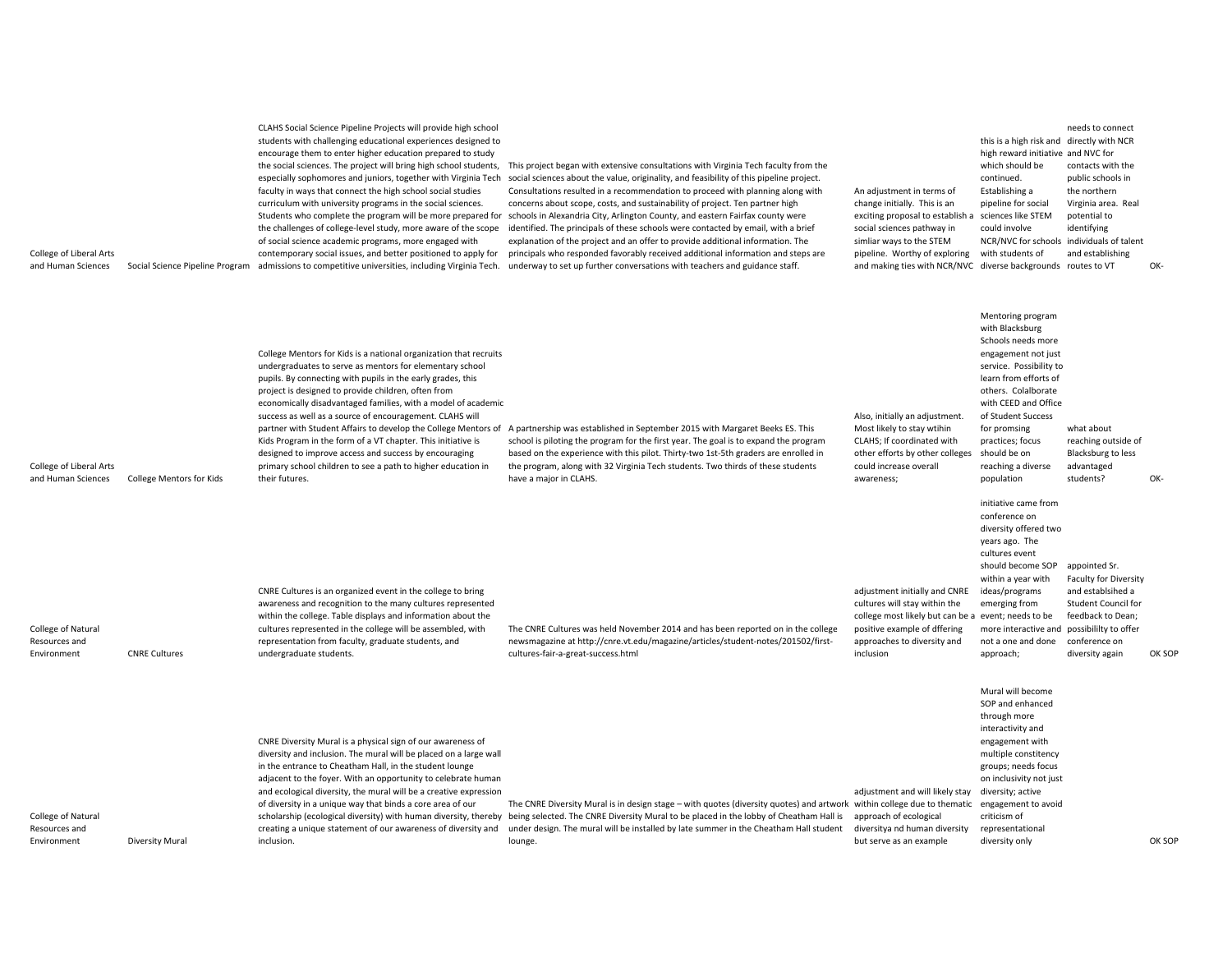| College of Liberal Arts<br>and Human Sciences      |                                 | CLAHS Social Science Pipeline Projects will provide high school<br>students with challenging educational experiences designed to<br>encourage them to enter higher education prepared to study<br>the social sciences. The project will bring high school students,<br>especially sophomores and juniors, together with Virginia Tech<br>faculty in ways that connect the high school social studies<br>curriculum with university programs in the social sciences.<br>Students who complete the program will be more prepared for<br>the challenges of college-level study, more aware of the scope<br>of social science academic programs, more engaged with<br>contemporary social issues, and better positioned to apply for<br>Social Science Pipeline Program admissions to competitive universities, including Virginia Tech. | This project began with extensive consultations with Virginia Tech faculty from the<br>social sciences about the value, originality, and feasibility of this pipeline project.<br>Consultations resulted in a recommendation to proceed with planning along with<br>concerns about scope, costs, and sustainability of project. Ten partner high<br>schools in Alexandria City, Arlington County, and eastern Fairfax county were<br>identified. The principals of these schools were contacted by email, with a brief<br>explanation of the project and an offer to provide additional information. The<br>principals who responded favorably received additional information and steps are<br>underway to set up further conversations with teachers and guidance staff. | An adjustment in terms of<br>change initially. This is an<br>exciting proposal to establish<br>social sciences pathway in<br>simliar ways to the STEM<br>pipeline. Worthy of exploring<br>and making ties with NCR/NVC diverse backgrounds routes to VT | this is a high risk and directly with NCR<br>high reward initiative and NVC for<br>which should be<br>continued.<br>Establishing a<br>pipeline for social<br>sciences like STEM<br>could involve<br>NCR/NVC for schools individuals of talent<br>with students of                                  | needs to connect<br>contacts with the<br>public schools in<br>the northern<br>Virginia area. Real<br>potential to<br>identifying<br>and establishing      | OK-    |
|----------------------------------------------------|---------------------------------|--------------------------------------------------------------------------------------------------------------------------------------------------------------------------------------------------------------------------------------------------------------------------------------------------------------------------------------------------------------------------------------------------------------------------------------------------------------------------------------------------------------------------------------------------------------------------------------------------------------------------------------------------------------------------------------------------------------------------------------------------------------------------------------------------------------------------------------|----------------------------------------------------------------------------------------------------------------------------------------------------------------------------------------------------------------------------------------------------------------------------------------------------------------------------------------------------------------------------------------------------------------------------------------------------------------------------------------------------------------------------------------------------------------------------------------------------------------------------------------------------------------------------------------------------------------------------------------------------------------------------|---------------------------------------------------------------------------------------------------------------------------------------------------------------------------------------------------------------------------------------------------------|----------------------------------------------------------------------------------------------------------------------------------------------------------------------------------------------------------------------------------------------------------------------------------------------------|-----------------------------------------------------------------------------------------------------------------------------------------------------------|--------|
| College of Liberal Arts<br>and Human Sciences      | <b>College Mentors for Kids</b> | College Mentors for Kids is a national organization that recruits<br>undergraduates to serve as mentors for elementary school<br>pupils. By connecting with pupils in the early grades, this<br>project is designed to provide children, often from<br>economically disadvantaged families, with a model of academic<br>success as well as a source of encouragement. CLAHS will<br>Kids Program in the form of a VT chapter. This initiative is<br>designed to improve access and success by encouraging<br>primary school children to see a path to higher education in<br>their futures.                                                                                                                                                                                                                                          | partner with Student Affairs to develop the College Mentors of A partnership was established in September 2015 with Margaret Beeks ES. This<br>school is piloting the program for the first year. The goal is to expand the program<br>based on the experience with this pilot. Thirty-two 1st-5th graders are enrolled in<br>the program, along with 32 Virginia Tech students. Two thirds of these students<br>have a major in CLAHS.                                                                                                                                                                                                                                                                                                                                    | Also, initially an adjustment.<br>Most likely to stay wtihin<br>CLAHS; If coordinated with<br>other efforts by other colleges<br>could increase overall<br>awareness;                                                                                   | Mentoring program<br>with Blacksburg<br>Schools needs more<br>engagement not just<br>service. Possibility to<br>learn from efforts of<br>others. Colalborate<br>with CEED and Office<br>of Student Success<br>for promsing<br>practices; focus<br>should be on<br>reaching a diverse<br>population | what about<br>reaching outside of<br>Blacksburg to less<br>advantaged<br>students?                                                                        | OK-    |
| College of Natural<br>Resources and<br>Environment | <b>CNRE Cultures</b>            | CNRE Cultures is an organized event in the college to bring<br>awareness and recognition to the many cultures represented<br>within the college. Table displays and information about the<br>cultures represented in the college will be assembled, with<br>representation from faculty, graduate students, and<br>undergraduate students.                                                                                                                                                                                                                                                                                                                                                                                                                                                                                           | The CNRE Cultures was held November 2014 and has been reported on in the college<br>newsmagazine at http://cnre.vt.edu/magazine/articles/student-notes/201502/first-<br>cultures-fair-a-great-success.html                                                                                                                                                                                                                                                                                                                                                                                                                                                                                                                                                                 | adjustment initially and CNRE<br>cultures will stay within the<br>college most likely but can be a event; needs to be<br>positive example of dffering<br>approaches to diversity and<br>inclusion                                                       | initiative came from<br>conference on<br>diversity offered two<br>years ago. The<br>cultures event<br>should become SOP<br>within a year with<br>ideas/programs<br>emerging from<br>more interactive and possibililty to offer<br>not a one and done<br>approach;                                  | appointed Sr.<br><b>Faculty for Diversity</b><br>and establsihed a<br><b>Student Council for</b><br>feedback to Dean;<br>conference on<br>diversity again | OK SOP |
| College of Natural<br>Resources and<br>Environment | <b>Diversity Mural</b>          | CNRE Diversity Mural is a physical sign of our awareness of<br>diversity and inclusion. The mural will be placed on a large wall<br>in the entrance to Cheatham Hall, in the student lounge<br>adjacent to the foyer. With an opportunity to celebrate human<br>and ecological diversity, the mural will be a creative expression<br>of diversity in a unique way that binds a core area of our<br>scholarship (ecological diversity) with human diversity, thereby<br>creating a unique statement of our awareness of diversity and<br>inclusion.                                                                                                                                                                                                                                                                                   | The CNRE Diversity Mural is in design stage - with quotes (diversity quotes) and artwork within college due to thematic engagement to avoid<br>being selected. The CNRE Diversity Mural to be placed in the lobby of Cheatham Hall is<br>under design. The mural will be installed by late summer in the Cheatham Hall student<br>lounge.                                                                                                                                                                                                                                                                                                                                                                                                                                  | adjustment and will likely stay<br>approach of ecological<br>diversitya nd human diversity<br>but serve as an example                                                                                                                                   | Mural will become<br>SOP and enhanced<br>through more<br>interactivity and<br>engagement with<br>multiple constitency<br>groups; needs focus<br>on inclusivity not just<br>diversity; active<br>criticism of<br>representational<br>diversity only                                                 |                                                                                                                                                           | OK SOP |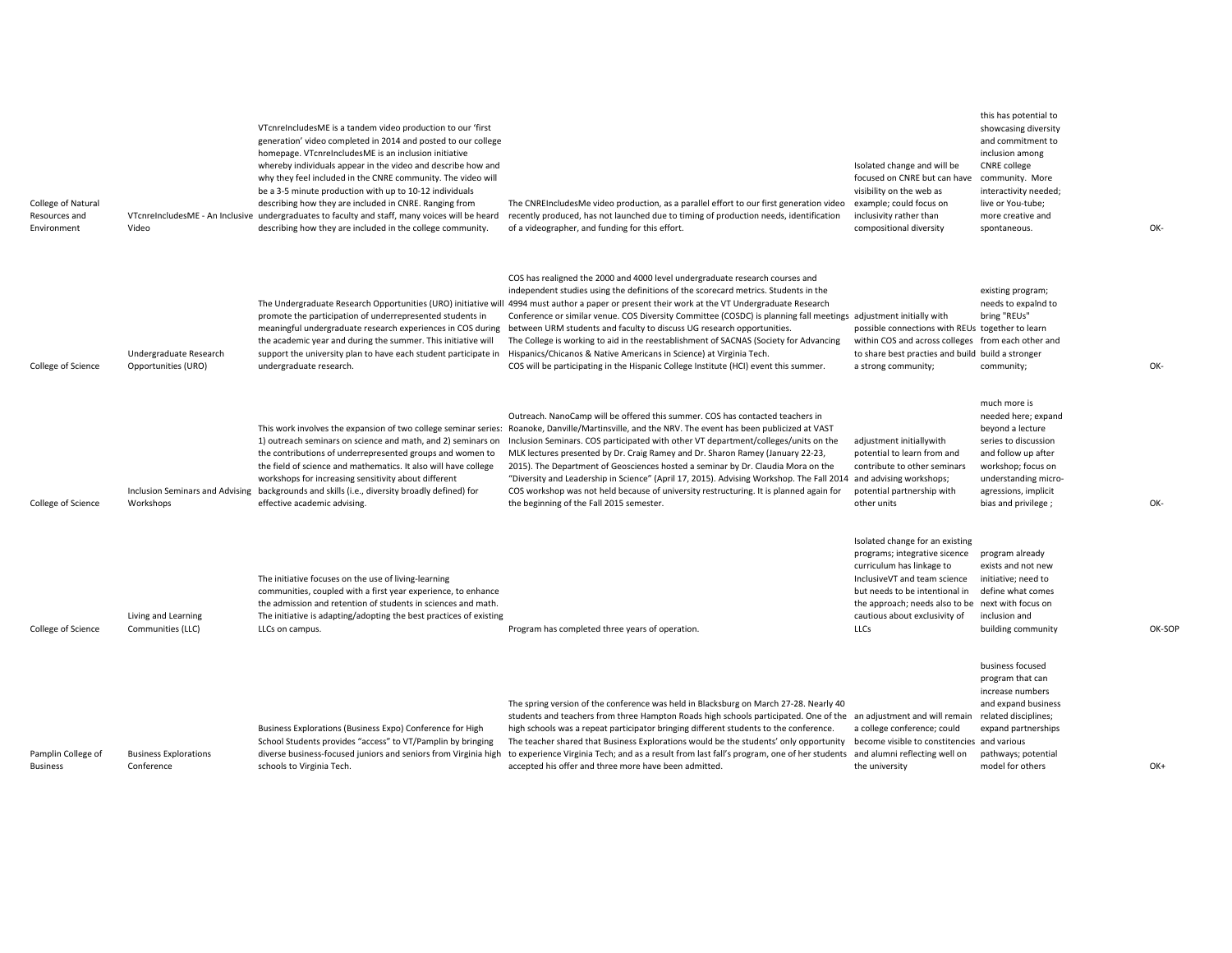| College of Natural<br>Resources and<br>Environment | Video                                         | VT cnrel ncludes ME is a tandem video production to our 'first<br>generation' video completed in 2014 and posted to our college<br>homepage. VTcnreIncludesME is an inclusion initiative<br>whereby individuals appear in the video and describe how and<br>why they feel included in the CNRE community. The video will<br>be a 3-5 minute production with up to 10-12 individuals<br>describing how they are included in CNRE. Ranging from<br>VTcnreIncludesME - An Inclusive undergraduates to faculty and staff, many voices will be heard<br>describing how they are included in the college community. | The CNREIncludesMe video production, as a parallel effort to our first generation video<br>recently produced, has not launched due to timing of production needs, identification<br>of a videographer, and funding for this effort.                                                                                                                                                                                                                                                                                                                                                                                                                                                                                                                                         | Isolated change and will be<br>focused on CNRE but can have<br>visibility on the web as<br>example; could focus on<br>inclusivity rather than<br>compositional diversity                                                                                      | this has potential to<br>showcasing diversity<br>and commitment to<br>inclusion among<br><b>CNRE</b> college<br>community. More<br>interactivity needed;<br>live or You-tube;<br>more creative and<br>spontaneous. | OK- |
|----------------------------------------------------|-----------------------------------------------|---------------------------------------------------------------------------------------------------------------------------------------------------------------------------------------------------------------------------------------------------------------------------------------------------------------------------------------------------------------------------------------------------------------------------------------------------------------------------------------------------------------------------------------------------------------------------------------------------------------|-----------------------------------------------------------------------------------------------------------------------------------------------------------------------------------------------------------------------------------------------------------------------------------------------------------------------------------------------------------------------------------------------------------------------------------------------------------------------------------------------------------------------------------------------------------------------------------------------------------------------------------------------------------------------------------------------------------------------------------------------------------------------------|---------------------------------------------------------------------------------------------------------------------------------------------------------------------------------------------------------------------------------------------------------------|--------------------------------------------------------------------------------------------------------------------------------------------------------------------------------------------------------------------|-----|
| College of Science                                 | Undergraduate Research<br>Opportunities (URO) | promote the participation of underrepresented students in<br>meaningful undergraduate research experiences in COS during<br>the academic year and during the summer. This initiative will<br>support the university plan to have each student participate in<br>undergraduate research.                                                                                                                                                                                                                                                                                                                       | COS has realigned the 2000 and 4000 level undergraduate research courses and<br>independent studies using the definitions of the scorecard metrics. Students in the<br>The Undergraduate Research Opportunities (URO) initiative will 4994 must author a paper or present their work at the VT Undergraduate Research<br>Conference or similar venue. COS Diversity Committee (COSDC) is planning fall meetings adjustment initially with<br>between URM students and faculty to discuss UG research opportunities.<br>The College is working to aid in the reestablishment of SACNAS (Society for Advancing<br>Hispanics/Chicanos & Native Americans in Science) at Virginia Tech.<br>COS will be participating in the Hispanic College Institute (HCI) event this summer. | possible connections with REUs together to learn<br>within COS and across colleges from each other and<br>to share best practies and build build a stronger<br>a strong community;                                                                            | existing program;<br>needs to expalnd to<br>bring "REUs"<br>community;                                                                                                                                             | OK- |
| College of Science                                 | Workshops                                     | 1) outreach seminars on science and math, and 2) seminars on<br>the contributions of underrepresented groups and women to<br>the field of science and mathematics. It also will have college<br>workshops for increasing sensitivity about different<br>Inclusion Seminars and Advising backgrounds and skills (i.e., diversity broadly defined) for<br>effective academic advising.                                                                                                                                                                                                                          | Outreach. NanoCamp will be offered this summer. COS has contacted teachers in<br>This work involves the expansion of two college seminar series: Roanoke, Danville/Martinsville, and the NRV. The event has been publicized at VAST<br>Inclusion Seminars. COS participated with other VT department/colleges/units on the<br>MLK lectures presented by Dr. Craig Ramey and Dr. Sharon Ramey (January 22-23,<br>2015). The Department of Geosciences hosted a seminar by Dr. Claudia Mora on the<br>"Diversity and Leadership in Science" (April 17, 2015). Advising Workshop. The Fall 2014<br>COS workshop was not held because of university restructuring. It is planned again for<br>the beginning of the Fall 2015 semester.                                          | adjustment initiallywith<br>potential to learn from and<br>contribute to other seminars<br>and advising workshops;<br>potential partnership with<br>other units                                                                                               | much more is<br>needed here; expand<br>beyond a lecture<br>series to discussion<br>and follow up after<br>workshop; focus on<br>understanding micro-<br>agressions, implicit<br>bias and privilege;                | OK- |
| College of Science                                 | Living and Learning<br>Communities (LLC)      | The initiative focuses on the use of living-learning<br>communities, coupled with a first year experience, to enhance<br>the admission and retention of students in sciences and math.<br>The initiative is adapting/adopting the best practices of existing<br>LLCs on campus.                                                                                                                                                                                                                                                                                                                               | Program has completed three years of operation.                                                                                                                                                                                                                                                                                                                                                                                                                                                                                                                                                                                                                                                                                                                             | Isolated change for an existing<br>programs; integrative sicence<br>curriculum has linkage to<br>InclusiveVT and team science<br>but needs to be intentional in<br>the approach; needs also to be next with focus on<br>cautious about exclusivity of<br>LLCs | program already<br>exists and not new<br>initiative; need to<br>define what comes<br>inclusion and<br>building community                                                                                           | OK- |
| Pamplin College of<br><b>Business</b>              | <b>Business Explorations</b><br>Conference    | Business Explorations (Business Expo) Conference for High<br>School Students provides "access" to VT/Pamplin by bringing<br>diverse business-focused juniors and seniors from Virginia high<br>schools to Virginia Tech.                                                                                                                                                                                                                                                                                                                                                                                      | The spring version of the conference was held in Blacksburg on March 27-28. Nearly 40<br>students and teachers from three Hampton Roads high schools participated. One of the an adjustment and will remain<br>high schools was a repeat participator bringing different students to the conference.<br>The teacher shared that Business Explorations would be the students' only opportunity<br>to experience Virginia Tech; and as a result from last fall's program, one of her students<br>accepted his offer and three more have been admitted.                                                                                                                                                                                                                        | a college conference; could<br>become visible to constitencies and various<br>and alumni reflecting well on<br>the university                                                                                                                                 | business focused<br>program that can<br>increase numbers<br>and expand business<br>related disciplines;<br>expand partnerships<br>pathways; potential<br>model for others                                          | OK- |

OK‐

OK‐

OK‐SOP

OK+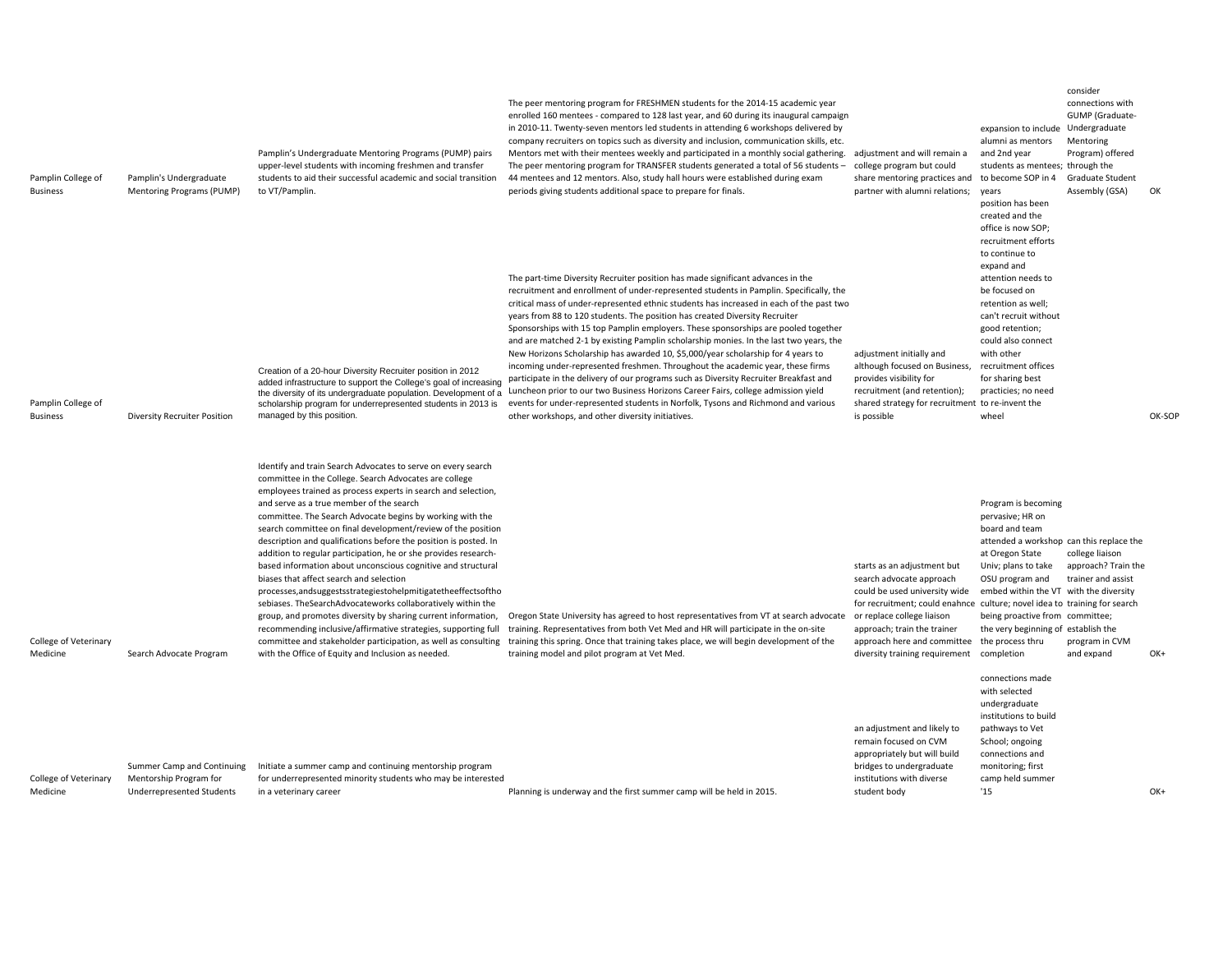| Pamplin College of<br><b>Business</b> | Pamplin's Undergraduate<br>Mentoring Programs (PUMP)                                     | Pamplin's Undergraduate Mentoring Programs (PUMP) pairs<br>upper-level students with incoming freshmen and transfer<br>students to aid their successful academic and social transition<br>to VT/Pamplin.                                                                                                                                                                                                                                                                                                                                                                                                                                                                                                                                                                                                                                                                                                                                                                                                               | The peer mentoring program for FRESHMEN students for the 2014-15 academic year<br>enrolled 160 mentees - compared to 128 last year, and 60 during its inaugural campaign<br>in 2010-11. Twenty-seven mentors led students in attending 6 workshops delivered by<br>company recruiters on topics such as diversity and inclusion, communication skills, etc.<br>Mentors met with their mentees weekly and participated in a monthly social gathering.<br>The peer mentoring program for TRANSFER students generated a total of 56 students -<br>44 mentees and 12 mentors. Also, study hall hours were established during exam<br>periods giving students additional space to prepare for finals.                                                                                                                                                                                                                                                                                                                                   | adjustment and will remain a<br>college program but could<br>share mentoring practices and<br>partner with alumni relations;                                                                                                                                                                                         | expansion to include Undergraduate<br>alumni as mentors<br>and 2nd year<br>students as mentees; through the<br>to become SOP in 4<br>years<br>position has been<br>created and the<br>office is now SOP;<br>recruitment efforts                                                                      | consider<br>connections with<br>GUMP (Graduate-<br>Mentoring<br>Program) offered<br>Graduate Student<br>Assembly (GSA) | OK     |
|---------------------------------------|------------------------------------------------------------------------------------------|------------------------------------------------------------------------------------------------------------------------------------------------------------------------------------------------------------------------------------------------------------------------------------------------------------------------------------------------------------------------------------------------------------------------------------------------------------------------------------------------------------------------------------------------------------------------------------------------------------------------------------------------------------------------------------------------------------------------------------------------------------------------------------------------------------------------------------------------------------------------------------------------------------------------------------------------------------------------------------------------------------------------|------------------------------------------------------------------------------------------------------------------------------------------------------------------------------------------------------------------------------------------------------------------------------------------------------------------------------------------------------------------------------------------------------------------------------------------------------------------------------------------------------------------------------------------------------------------------------------------------------------------------------------------------------------------------------------------------------------------------------------------------------------------------------------------------------------------------------------------------------------------------------------------------------------------------------------------------------------------------------------------------------------------------------------|----------------------------------------------------------------------------------------------------------------------------------------------------------------------------------------------------------------------------------------------------------------------------------------------------------------------|------------------------------------------------------------------------------------------------------------------------------------------------------------------------------------------------------------------------------------------------------------------------------------------------------|------------------------------------------------------------------------------------------------------------------------|--------|
| Pamplin College of<br><b>Business</b> | Diversity Recruiter Position                                                             | Creation of a 20-hour Diversity Recruiter position in 2012<br>added infrastructure to support the College's goal of increasing<br>the diversity of its undergraduate population. Development of a<br>scholarship program for underrepresented students in 2013 is<br>managed by this position.                                                                                                                                                                                                                                                                                                                                                                                                                                                                                                                                                                                                                                                                                                                         | The part-time Diversity Recruiter position has made significant advances in the<br>recruitment and enrollment of under-represented students in Pamplin. Specifically, the<br>critical mass of under-represented ethnic students has increased in each of the past two<br>years from 88 to 120 students. The position has created Diversity Recruiter<br>Sponsorships with 15 top Pamplin employers. These sponsorships are pooled together<br>and are matched 2-1 by existing Pamplin scholarship monies. In the last two years, the<br>New Horizons Scholarship has awarded 10, \$5,000/year scholarship for 4 years to<br>incoming under-represented freshmen. Throughout the academic year, these firms<br>participate in the delivery of our programs such as Diversity Recruiter Breakfast and<br>Luncheon prior to our two Business Horizons Career Fairs, college admission yield<br>events for under-represented students in Norfolk, Tysons and Richmond and various<br>other workshops, and other diversity initiatives. | adjustment initially and<br>although focused on Business,<br>provides visibility for<br>recruitment (and retention);<br>shared strategy for recruitment to re-invent the<br>is possible                                                                                                                              | to continue to<br>expand and<br>attention needs to<br>be focused on<br>retention as well;<br>can't recruit without<br>good retention;<br>could also connect<br>with other<br>recruitment offices<br>for sharing best<br>practicies; no need<br>wheel                                                 |                                                                                                                        | OK-SOP |
| College of Veterinary<br>Medicine     | Search Advocate Program                                                                  | Identify and train Search Advocates to serve on every search<br>committee in the College. Search Advocates are college<br>employees trained as process experts in search and selection,<br>and serve as a true member of the search<br>committee. The Search Advocate begins by working with the<br>search committee on final development/review of the position<br>description and qualifications before the position is posted. In<br>addition to regular participation, he or she provides research-<br>based information about unconscious cognitive and structural<br>biases that affect search and selection<br>processes, and suggests strategies to help mitigate the effects of tho<br>sebiases. TheSearchAdvocateworks collaboratively within the<br>group, and promotes diversity by sharing current information,<br>recommending inclusive/affirmative strategies, supporting full<br>committee and stakeholder participation, as well as consulting<br>with the Office of Equity and Inclusion as needed. | Oregon State University has agreed to host representatives from VT at search advocate<br>training. Representatives from both Vet Med and HR will participate in the on-site<br>training this spring. Once that training takes place, we will begin development of the<br>training model and pilot program at Vet Med.                                                                                                                                                                                                                                                                                                                                                                                                                                                                                                                                                                                                                                                                                                              | starts as an adjustment but<br>search advocate approach<br>could be used university wide<br>for recruitment; could enahnce culture; novel idea to training for search<br>or replace college liaison<br>approach; train the trainer<br>approach here and committee the process thru<br>diversity training requirement | Program is becoming<br>pervasive; HR on<br>board and team<br>attended a workshop can this replace the<br>at Oregon State<br>Univ; plans to take<br>OSU program and<br>embed within the VT with the diversity<br>being proactive from committee;<br>the very beginning of establish the<br>completion | college liaison<br>approach? Train the<br>trainer and assist<br>program in CVM<br>and expand                           | OK+    |
| College of Veterinary<br>Medicine     | Summer Camp and Continuing<br>Mentorship Program for<br><b>Underrepresented Students</b> | Initiate a summer camp and continuing mentorship program<br>for underrepresented minority students who may be interested<br>in a veterinary career                                                                                                                                                                                                                                                                                                                                                                                                                                                                                                                                                                                                                                                                                                                                                                                                                                                                     | Planning is underway and the first summer camp will be held in 2015.                                                                                                                                                                                                                                                                                                                                                                                                                                                                                                                                                                                                                                                                                                                                                                                                                                                                                                                                                               | an adjustment and likely to<br>remain focused on CVM<br>appropriately but will build<br>bridges to undergraduate<br>institutions with diverse<br>student body                                                                                                                                                        | connections made<br>with selected<br>undergraduate<br>institutions to build<br>pathways to Vet<br>School; ongoing<br>connections and<br>monitoring; first<br>camp held summer<br>15                                                                                                                  |                                                                                                                        | $OK+$  |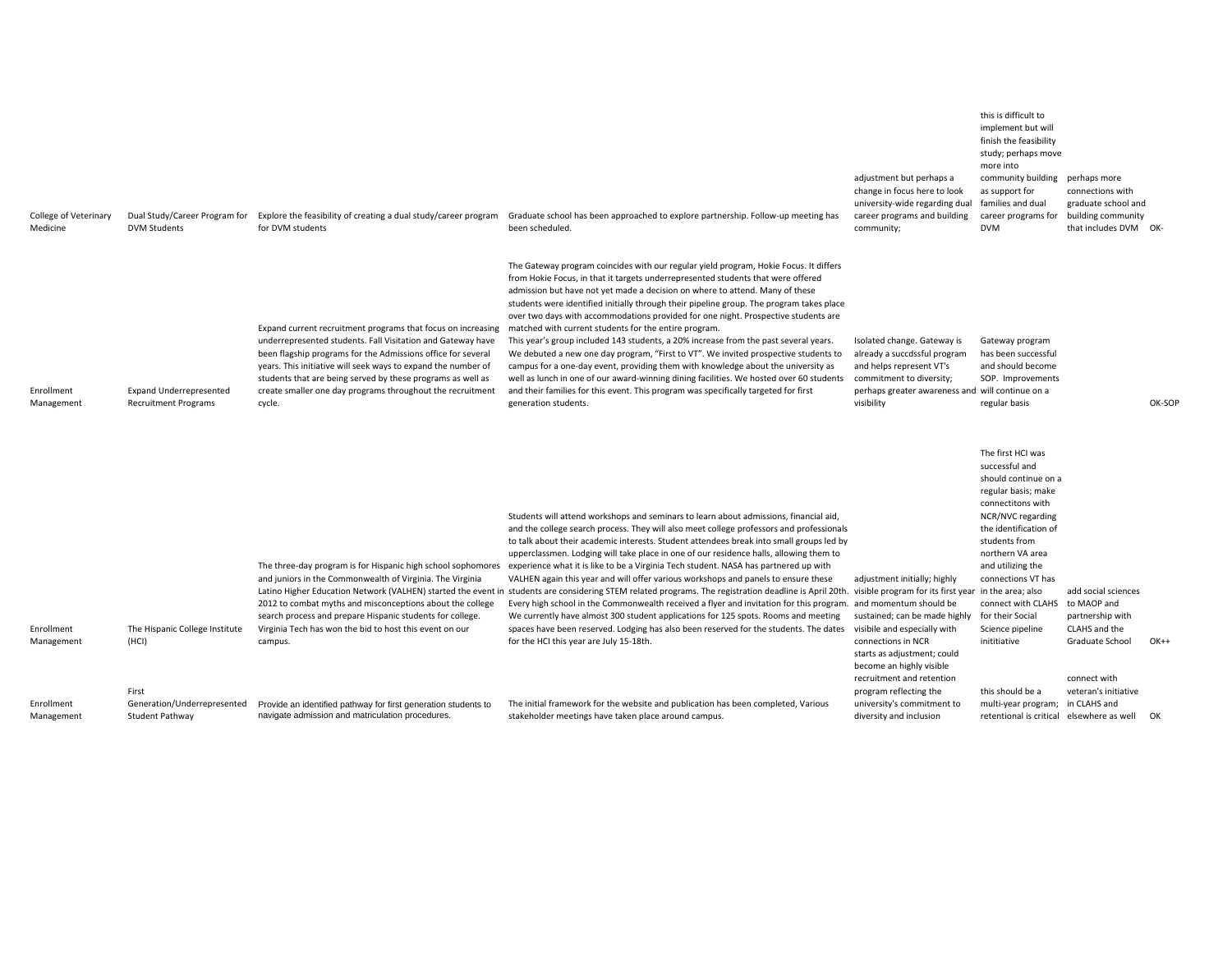| Dual Study/Career Program for<br><b>DVM Students</b>                            | Explore the feasibility of creating a dual study/career program<br>for DVM students                                                                                                                                                                                                                                                                                                                 | been scheduled.                                                                                                                                                                                                                                                                                                                                                                                                                                                                                                                                                                                                                                                                                                                            | adjustment but perhaps a<br>change in focus here to look<br>university-wide regarding dual<br>career programs and building<br>community;                                                                                                                                                                                                                                                                                                                                                                                                                            | more into<br>community building<br><b>DVM</b>                                                                                                                                                                                               | connections with<br>graduate school and<br>that includes DVM OK-                                                                                                                                                                                                                                                                                                                                                                                                                                                                                                                                                                                                                                                                                                                                                                                                                     |                                                                                                                                                                            |
|---------------------------------------------------------------------------------|-----------------------------------------------------------------------------------------------------------------------------------------------------------------------------------------------------------------------------------------------------------------------------------------------------------------------------------------------------------------------------------------------------|--------------------------------------------------------------------------------------------------------------------------------------------------------------------------------------------------------------------------------------------------------------------------------------------------------------------------------------------------------------------------------------------------------------------------------------------------------------------------------------------------------------------------------------------------------------------------------------------------------------------------------------------------------------------------------------------------------------------------------------------|---------------------------------------------------------------------------------------------------------------------------------------------------------------------------------------------------------------------------------------------------------------------------------------------------------------------------------------------------------------------------------------------------------------------------------------------------------------------------------------------------------------------------------------------------------------------|---------------------------------------------------------------------------------------------------------------------------------------------------------------------------------------------------------------------------------------------|--------------------------------------------------------------------------------------------------------------------------------------------------------------------------------------------------------------------------------------------------------------------------------------------------------------------------------------------------------------------------------------------------------------------------------------------------------------------------------------------------------------------------------------------------------------------------------------------------------------------------------------------------------------------------------------------------------------------------------------------------------------------------------------------------------------------------------------------------------------------------------------|----------------------------------------------------------------------------------------------------------------------------------------------------------------------------|
| <b>Expand Underrepresented</b><br><b>Recruitment Programs</b>                   | Expand current recruitment programs that focus on increasing<br>underrepresented students. Fall Visitation and Gateway have<br>been flagship programs for the Admissions office for several<br>years. This initiative will seek ways to expand the number of<br>students that are being served by these programs as well as<br>create smaller one day programs throughout the recruitment<br>cycle. | The Gateway program coincides with our regular yield program, Hokie Focus. It differs<br>from Hokie Focus, in that it targets underrepresented students that were offered<br>admission but have not yet made a decision on where to attend. Many of these<br>students were identified initially through their pipeline group. The program takes place<br>over two days with accommodations provided for one night. Prospective students are<br>We debuted a new one day program, "First to VT". We invited prospective students to<br>campus for a one-day event, providing them with knowledge about the university as<br>well as lunch in one of our award-winning dining facilities. We hosted over 60 students<br>generation students. | Isolated change. Gateway is<br>and helps represent VT's<br>visibility                                                                                                                                                                                                                                                                                                                                                                                                                                                                                               | regular basis                                                                                                                                                                                                                               |                                                                                                                                                                                                                                                                                                                                                                                                                                                                                                                                                                                                                                                                                                                                                                                                                                                                                      | OK-SOP                                                                                                                                                                     |
| The Hispanic College Institute<br>(HCI)<br>First<br>Generation/Underrepresented | and juniors in the Commonwealth of Virginia. The Virginia<br>2012 to combat myths and misconceptions about the college<br>search process and prepare Hispanic students for college.<br>Virginia Tech has won the bid to host this event on our<br>campus.<br>Provide an identified pathway for first generation students to                                                                         | Students will attend workshops and seminars to learn about admissions, financial aid,<br>and the college search process. They will also meet college professors and professionals<br>to talk about their academic interests. Student attendees break into small groups led by<br>upperclassmen. Lodging will take place in one of our residence halls, allowing them to<br>VALHEN again this year and will offer various workshops and panels to ensure these<br>We currently have almost 300 student applications for 125 spots. Rooms and meeting<br>spaces have been reserved. Lodging has also been reserved for the students. The dates<br>for the HCI this year are July 15-18th.                                                    | adjustment initially; highly<br>connections in NCR<br>starts as adjustment; could<br>become an highly visible<br>recruitment and retention<br>program reflecting the<br>university's commitment to                                                                                                                                                                                                                                                                                                                                                                  | connect with CLAHS<br>inititiative<br>this should be a                                                                                                                                                                                      | partnership with<br>Graduate School<br>connect with<br>veteran's initiative                                                                                                                                                                                                                                                                                                                                                                                                                                                                                                                                                                                                                                                                                                                                                                                                          | $OK++$<br>OK                                                                                                                                                               |
|                                                                                 | Student Pathway                                                                                                                                                                                                                                                                                                                                                                                     | navigate admission and matriculation procedures.                                                                                                                                                                                                                                                                                                                                                                                                                                                                                                                                                                                                                                                                                           | Graduate school has been approached to explore partnership. Follow-up meeting has<br>matched with current students for the entire program.<br>This year's group included 143 students, a 20% increase from the past several years.<br>and their families for this event. This program was specifically targeted for first<br>The three-day program is for Hispanic high school sophomores experience what it is like to be a Virginia Tech student. NASA has partnered up with<br>The initial framework for the website and publication has been completed, Various | already a succdssful program<br>commitment to diversity;<br>Every high school in the Commonwealth received a flyer and invitation for this program. and momentum should be<br>sustained; can be made highly<br>visibile and especially with | this is difficult to<br>implement but will<br>finish the feasibility<br>study; perhaps move<br>as support for<br>families and dual<br>career programs for<br>Gateway program<br>has been successful<br>and should become<br>SOP. Improvements<br>perhaps greater awareness and will continue on a<br>The first HCI was<br>successful and<br>should continue on a<br>regular basis; make<br>connectitons with<br>NCR/NVC regarding<br>the identification of<br>students from<br>northern VA area<br>and utilizing the<br>connections VT has<br>Latino Higher Education Network (VALHEN) started the event in students are considering STEM related programs. The registration deadline is April 20th. visible program for its first year in the area; also<br>for their Social<br>Science pipeline<br>stakeholder meetings have taken place around campus.<br>diversity and inclusion | perhaps more<br>building community<br>add social sciences<br>to MAOP and<br>CLAHS and the<br>multi-year program; in CLAHS and<br>retentional is critical elsewhere as well |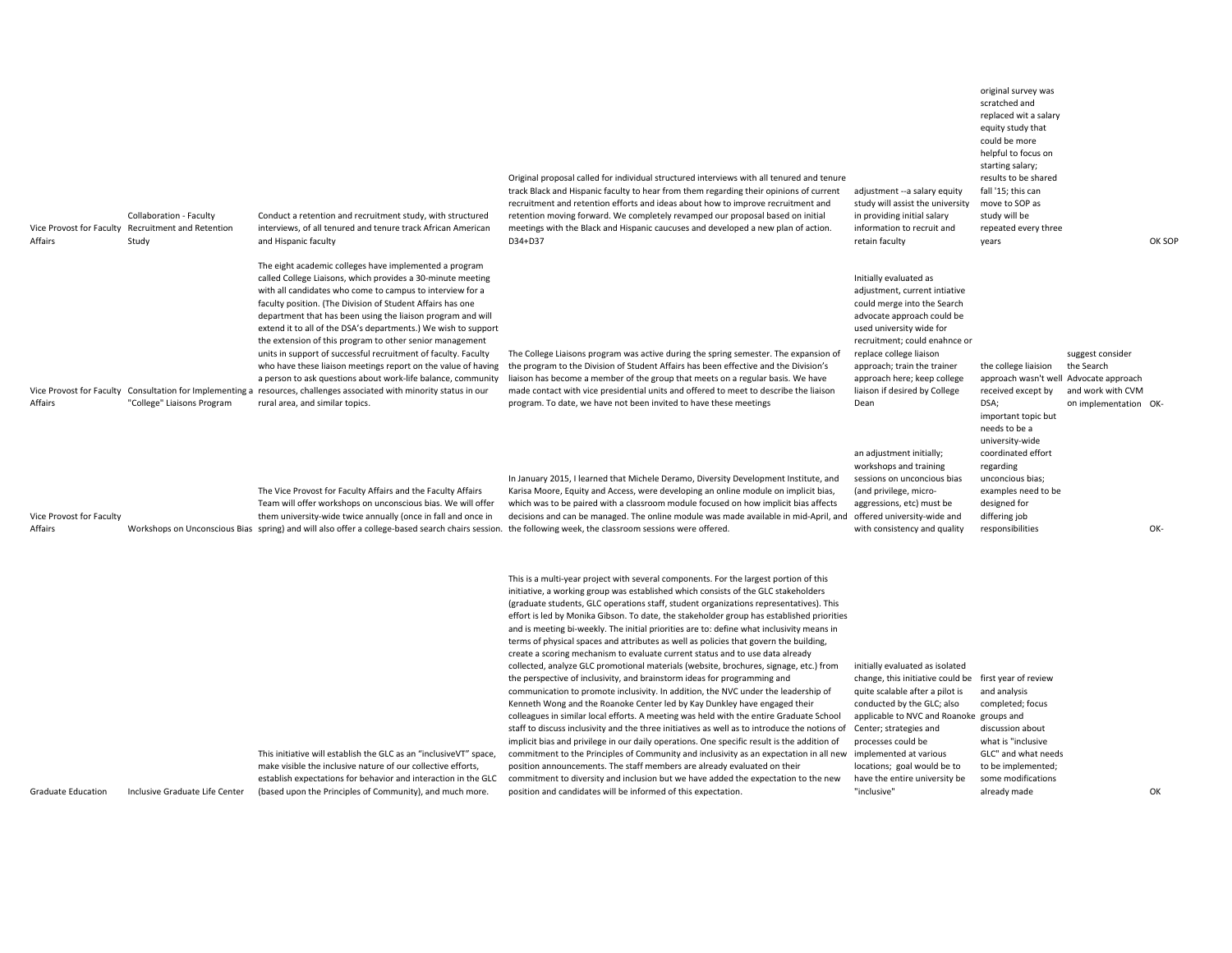| Affairs                             | Collaboration - Faculty<br>Vice Provost for Faculty Recruitment and Retention<br>Study | Conduct a retention and recruitment study, with structured<br>interviews, of all tenured and tenure track African American<br>and Hispanic faculty                                                                                                                                                                                                                                                                                                                                                                                                                                                                                                                                                                                                                                                           | Original proposal called for individual structured interviews with all tenured and tenure<br>track Black and Hispanic faculty to hear from them regarding their opinions of current<br>recruitment and retention efforts and ideas about how to improve recruitment and<br>retention moving forward. We completely revamped our proposal based on initial<br>meetings with the Black and Hispanic caucuses and developed a new plan of action.<br>D34+D37                                                                                                                                                                                                                                                                                                                                                                                                                                                                                                                                                                                                                                                                                                                                                                                                                                                                                                                                                                                                                                                                                                                                                                        | adjustment -- a salary equity<br>study will assist the university<br>in providing initial salary<br>information to recruit and<br>retain faculty                                                                                                                                                                                     | equity study that<br>could be more<br>helpful to focus on<br>starting salary;<br>results to be shared<br>fall '15; this can<br>move to SOP as<br>study will be<br>repeated every three<br>years |                                                                              | OK SOP |
|-------------------------------------|----------------------------------------------------------------------------------------|--------------------------------------------------------------------------------------------------------------------------------------------------------------------------------------------------------------------------------------------------------------------------------------------------------------------------------------------------------------------------------------------------------------------------------------------------------------------------------------------------------------------------------------------------------------------------------------------------------------------------------------------------------------------------------------------------------------------------------------------------------------------------------------------------------------|----------------------------------------------------------------------------------------------------------------------------------------------------------------------------------------------------------------------------------------------------------------------------------------------------------------------------------------------------------------------------------------------------------------------------------------------------------------------------------------------------------------------------------------------------------------------------------------------------------------------------------------------------------------------------------------------------------------------------------------------------------------------------------------------------------------------------------------------------------------------------------------------------------------------------------------------------------------------------------------------------------------------------------------------------------------------------------------------------------------------------------------------------------------------------------------------------------------------------------------------------------------------------------------------------------------------------------------------------------------------------------------------------------------------------------------------------------------------------------------------------------------------------------------------------------------------------------------------------------------------------------|--------------------------------------------------------------------------------------------------------------------------------------------------------------------------------------------------------------------------------------------------------------------------------------------------------------------------------------|-------------------------------------------------------------------------------------------------------------------------------------------------------------------------------------------------|------------------------------------------------------------------------------|--------|
| Affairs                             | "College" Liaisons Program                                                             | The eight academic colleges have implemented a program<br>called College Liaisons, which provides a 30-minute meeting<br>with all candidates who come to campus to interview for a<br>faculty position. (The Division of Student Affairs has one<br>department that has been using the liaison program and will<br>extend it to all of the DSA's departments.) We wish to support<br>the extension of this program to other senior management<br>units in support of successful recruitment of faculty. Faculty<br>who have these liaison meetings report on the value of having<br>a person to ask questions about work-life balance, community<br>Vice Provost for Faculty Consultation for Implementing a resources, challenges associated with minority status in our<br>rural area, and similar topics. | The College Liaisons program was active during the spring semester. The expansion of<br>the program to the Division of Student Affairs has been effective and the Division's<br>liaison has become a member of the group that meets on a regular basis. We have<br>made contact with vice presidential units and offered to meet to describe the liaison<br>program. To date, we have not been invited to have these meetings                                                                                                                                                                                                                                                                                                                                                                                                                                                                                                                                                                                                                                                                                                                                                                                                                                                                                                                                                                                                                                                                                                                                                                                                    | Initially evaluated as<br>adjustment, current intiative<br>could merge into the Search<br>advocate approach could be<br>used university wide for<br>recruitment; could enahnce or<br>replace college liaison<br>approach; train the trainer<br>approach here; keep college<br>liaison if desired by College<br>Dean                  | the college liaision<br>approach wasn't well Advocate approach<br>received except by<br>DSA;<br>important topic but<br>needs to be a                                                            | suggest consider<br>the Search<br>and work with CVM<br>on implementation OK- |        |
| Vice Provost for Faculty<br>Affairs |                                                                                        | The Vice Provost for Faculty Affairs and the Faculty Affairs<br>Team will offer workshops on unconscious bias. We will offer<br>them university-wide twice annually (once in fall and once in<br>Workshops on Unconscious Bias spring) and will also offer a college-based search chairs session. the following week, the classroom sessions were offered.                                                                                                                                                                                                                                                                                                                                                                                                                                                   | In January 2015, I learned that Michele Deramo, Diversity Development Institute, and<br>Karisa Moore, Equity and Access, were developing an online module on implicit bias,<br>which was to be paired with a classroom module focused on how implicit bias affects<br>decisions and can be managed. The online module was made available in mid-April, and offered university-wide and                                                                                                                                                                                                                                                                                                                                                                                                                                                                                                                                                                                                                                                                                                                                                                                                                                                                                                                                                                                                                                                                                                                                                                                                                                           | an adjustment initially;<br>workshops and training<br>sessions on unconcious bias<br>(and privilege, micro-<br>aggressions, etc) must be<br>with consistency and quality                                                                                                                                                             | university-wide<br>coordinated effort<br>regarding<br>unconcious bias;<br>examples need to be<br>designed for<br>differing job<br>responsibilities                                              |                                                                              | OK-    |
| <b>Graduate Education</b>           | Inclusive Graduate Life Center                                                         | This initiative will establish the GLC as an "inclusiveVT" space,<br>make visible the inclusive nature of our collective efforts,<br>establish expectations for behavior and interaction in the GLC<br>(based upon the Principles of Community), and much more.                                                                                                                                                                                                                                                                                                                                                                                                                                                                                                                                              | This is a multi-year project with several components. For the largest portion of this<br>initiative, a working group was established which consists of the GLC stakeholders<br>(graduate students, GLC operations staff, student organizations representatives). This<br>effort is led by Monika Gibson. To date, the stakeholder group has established priorities<br>and is meeting bi-weekly. The initial priorities are to: define what inclusivity means in<br>terms of physical spaces and attributes as well as policies that govern the building,<br>create a scoring mechanism to evaluate current status and to use data already<br>collected, analyze GLC promotional materials (website, brochures, signage, etc.) from<br>the perspective of inclusivity, and brainstorm ideas for programming and<br>communication to promote inclusivity. In addition, the NVC under the leadership of<br>Kenneth Wong and the Roanoke Center led by Kay Dunkley have engaged their<br>colleagues in similar local efforts. A meeting was held with the entire Graduate School<br>staff to discuss inclusivity and the three initiatives as well as to introduce the notions of<br>implicit bias and privilege in our daily operations. One specific result is the addition of<br>commitment to the Principles of Community and inclusivity as an expectation in all new implemented at various<br>position announcements. The staff members are already evaluated on their<br>commitment to diversity and inclusion but we have added the expectation to the new<br>position and candidates will be informed of this expectation. | initially evaluated as isolated<br>change, this initiative could be first year of review<br>quite scalable after a pilot is<br>conducted by the GLC; also<br>applicable to NVC and Roanoke groups and<br>Center; strategies and<br>processes could be<br>locations; goal would be to<br>have the entire university be<br>"inclusive" | and analysis<br>completed; focus<br>discussion about<br>what is "inclusive<br>GLC" and what needs<br>to be implemented;<br>some modifications<br>already made                                   |                                                                              | OK     |

original survey was scratched and replaced wit <sup>a</sup> salary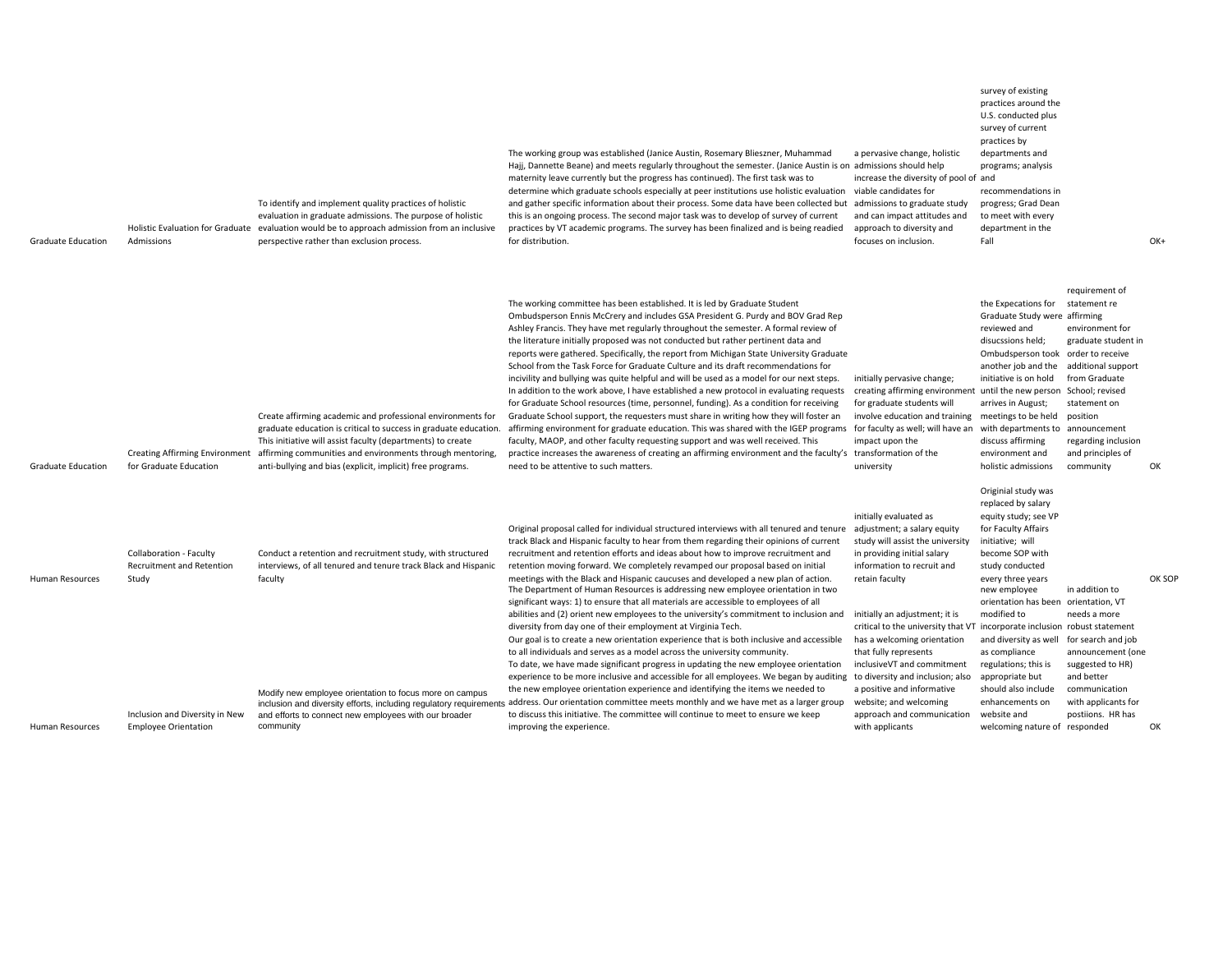| <b>Graduate Education</b>                 | Admissions                                                                                                                     | To identify and implement quality practices of holistic<br>evaluation in graduate admissions. The purpose of holistic<br>Holistic Evaluation for Graduate evaluation would be to approach admission from an inclusive<br>perspective rather than exclusion process.                                                       | The working group was established (Janice Austin, Rosemary Blieszner, Muhammad<br>Hajj, Dannette Beane) and meets regularly throughout the semester. (Janice Austin is on admissions should help<br>maternity leave currently but the progress has continued). The first task was to<br>determine which graduate schools especially at peer institutions use holistic evaluation<br>and gather specific information about their process. Some data have been collected but admissions to graduate study<br>this is an ongoing process. The second major task was to develop of survey of current<br>practices by VT academic programs. The survey has been finalized and is being readied<br>for distribution.                                                                                                                                                                                                                                                                                                                                                                                                                                                                                                                                                                                                                                                                                                                                                                                             | a pervasive change, holistic<br>increase the diversity of pool of and<br>viable candidates for<br>and can impact attitudes and<br>approach to diversity and<br>focuses on inclusion.                                                                                                                                                                                                                                                                                                                                       | practices around the<br>U.S. conducted plus<br>survey of current<br>practices by<br>departments and<br>programs; analysis<br>recommendations in<br>progress; Grad Dean<br>to meet with every<br>department in the<br>Fall                                                                                                                                                                                                                        |                                                                                                                                                                                                                      | OK+          |
|-------------------------------------------|--------------------------------------------------------------------------------------------------------------------------------|---------------------------------------------------------------------------------------------------------------------------------------------------------------------------------------------------------------------------------------------------------------------------------------------------------------------------|------------------------------------------------------------------------------------------------------------------------------------------------------------------------------------------------------------------------------------------------------------------------------------------------------------------------------------------------------------------------------------------------------------------------------------------------------------------------------------------------------------------------------------------------------------------------------------------------------------------------------------------------------------------------------------------------------------------------------------------------------------------------------------------------------------------------------------------------------------------------------------------------------------------------------------------------------------------------------------------------------------------------------------------------------------------------------------------------------------------------------------------------------------------------------------------------------------------------------------------------------------------------------------------------------------------------------------------------------------------------------------------------------------------------------------------------------------------------------------------------------------|----------------------------------------------------------------------------------------------------------------------------------------------------------------------------------------------------------------------------------------------------------------------------------------------------------------------------------------------------------------------------------------------------------------------------------------------------------------------------------------------------------------------------|--------------------------------------------------------------------------------------------------------------------------------------------------------------------------------------------------------------------------------------------------------------------------------------------------------------------------------------------------------------------------------------------------------------------------------------------------|----------------------------------------------------------------------------------------------------------------------------------------------------------------------------------------------------------------------|--------------|
| <b>Graduate Education</b>                 | <b>Creating Affirming Environment</b><br>for Graduate Education                                                                | Create affirming academic and professional environments for<br>graduate education is critical to success in graduate education.<br>This initiative will assist faculty (departments) to create<br>affirming communities and environments through mentoring,<br>anti-bullying and bias (explicit, implicit) free programs. | The working committee has been established. It is led by Graduate Student<br>Ombudsperson Ennis McCrery and includes GSA President G. Purdy and BOV Grad Rep<br>Ashley Francis. They have met regularly throughout the semester. A formal review of<br>the literature initially proposed was not conducted but rather pertinent data and<br>reports were gathered. Specifically, the report from Michigan State University Graduate<br>School from the Task Force for Graduate Culture and its draft recommendations for<br>incivility and bullying was quite helpful and will be used as a model for our next steps.<br>In addition to the work above, I have established a new protocol in evaluating requests<br>for Graduate School resources (time, personnel, funding). As a condition for receiving<br>Graduate School support, the requesters must share in writing how they will foster an<br>affirming environment for graduate education. This was shared with the IGEP programs for faculty as well; will have an<br>faculty, MAOP, and other faculty requesting support and was well received. This<br>practice increases the awareness of creating an affirming environment and the faculty's transformation of the<br>need to be attentive to such matters.                                                                                                                                                                                                                                 | initially pervasive change;<br>creating affirming environment until the new person School; revised<br>for graduate students will<br>involve education and training<br>impact upon the<br>university                                                                                                                                                                                                                                                                                                                        | the Expecations for<br>Graduate Study were affirming<br>reviewed and<br>disucssions held:<br>Ombudsperson took order to receive<br>another job and the<br>initiative is on hold<br>arrives in August;<br>meetings to be held<br>with departments to<br>discuss affirming<br>environment and<br>holistic admissions                                                                                                                               | requirement of<br>statement re<br>environment for<br>graduate student in<br>additional support<br>from Graduate<br>statement on<br>position<br>announcement<br>regarding inclusion<br>and principles of<br>community | OK           |
| <b>Human Resources</b><br>Human Resources | Collaboration - Faculty<br>Recruitment and Retention<br>Study<br>Inclusion and Diversity in New<br><b>Employee Orientation</b> | Conduct a retention and recruitment study, with structured<br>interviews, of all tenured and tenure track Black and Hispanic<br>faculty<br>Modify new employee orientation to focus more on campus<br>and efforts to connect new employees with our broader<br>community                                                  | Original proposal called for individual structured interviews with all tenured and tenure<br>track Black and Hispanic faculty to hear from them regarding their opinions of current<br>recruitment and retention efforts and ideas about how to improve recruitment and<br>retention moving forward. We completely revamped our proposal based on initial<br>meetings with the Black and Hispanic caucuses and developed a new plan of action.<br>The Department of Human Resources is addressing new employee orientation in two<br>significant ways: 1) to ensure that all materials are accessible to employees of all<br>abilities and (2) orient new employees to the university's commitment to inclusion and<br>diversity from day one of their employment at Virginia Tech.<br>Our goal is to create a new orientation experience that is both inclusive and accessible<br>to all individuals and serves as a model across the university community.<br>To date, we have made significant progress in updating the new employee orientation<br>experience to be more inclusive and accessible for all employees. We began by auditing<br>the new employee orientation experience and identifying the items we needed to<br>inclusion and diversity efforts, including regulatory requirements address. Our orientation committee meets monthly and we have met as a larger group<br>to discuss this initiative. The committee will continue to meet to ensure we keep<br>improving the experience. | initially evaluated as<br>adjustment; a salary equity<br>study will assist the university<br>in providing initial salary<br>information to recruit and<br>retain faculty<br>initially an adjustment; it is<br>critical to the university that VT incorporate inclusion robust statement<br>has a welcoming orientation<br>that fully represents<br>inclusiveVT and commitment<br>to diversity and inclusion; also<br>a positive and informative<br>website; and welcoming<br>approach and communication<br>with applicants | Originial study was<br>replaced by salary<br>equity study; see VP<br>for Faculty Affairs<br>initiative; will<br>become SOP with<br>study conducted<br>every three years<br>new employee<br>orientation has been orientation, VT<br>modified to<br>and diversity as well for search and job<br>as compliance<br>regulations; this is<br>appropriate but<br>should also include<br>enhancements on<br>website and<br>welcoming nature of responded | in addition to<br>needs a more<br>announcement (one<br>suggested to HR)<br>and better<br>communication<br>with applicants for<br>postiions. HR has                                                                   | OK SOF<br>OK |

survey of existing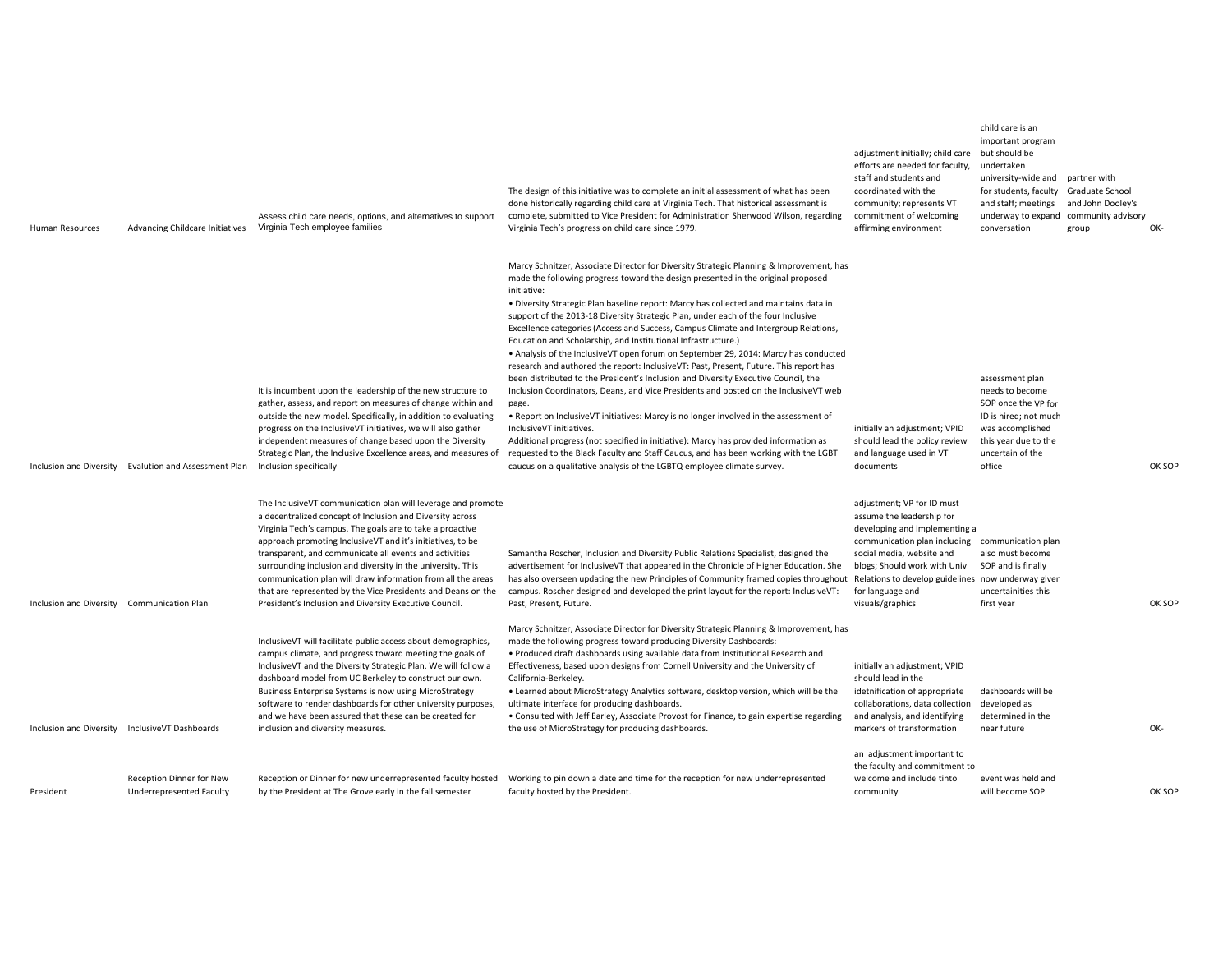| <b>Human Resources</b>                     | Advancing Childcare Initiatives                             | Assess child care needs, options, and alternatives to support<br>Virginia Tech employee families                                                                                                                                                                                                                                                                                                                                                                                                                                                                       | The design of this initiative was to complete an initial assessment of what has been<br>done historically regarding child care at Virginia Tech. That historical assessment is<br>complete, submitted to Vice President for Administration Sherwood Wilson, regarding<br>Virginia Tech's progress on child care since 1979.                                                                                                                                                                                                                                                                                                                                                                                                                                                                                                                                                                                                                                                                                                                                                                                                                                                                                                                                                           | adjustment initially; child care but should be<br>efforts are needed for faculty,<br>staff and students and<br>coordinated with the<br>community; represents VT<br>commitment of welcoming<br>affirming environment                                                                 | child care is an<br>important program<br>undertaken<br>university-wide and<br>for students, faculty Graduate School<br>and staff; meetings<br>underway to expand<br>conversation | partner with<br>and John Dooley's<br>community advisory<br>group | OK-    |
|--------------------------------------------|-------------------------------------------------------------|------------------------------------------------------------------------------------------------------------------------------------------------------------------------------------------------------------------------------------------------------------------------------------------------------------------------------------------------------------------------------------------------------------------------------------------------------------------------------------------------------------------------------------------------------------------------|---------------------------------------------------------------------------------------------------------------------------------------------------------------------------------------------------------------------------------------------------------------------------------------------------------------------------------------------------------------------------------------------------------------------------------------------------------------------------------------------------------------------------------------------------------------------------------------------------------------------------------------------------------------------------------------------------------------------------------------------------------------------------------------------------------------------------------------------------------------------------------------------------------------------------------------------------------------------------------------------------------------------------------------------------------------------------------------------------------------------------------------------------------------------------------------------------------------------------------------------------------------------------------------|-------------------------------------------------------------------------------------------------------------------------------------------------------------------------------------------------------------------------------------------------------------------------------------|----------------------------------------------------------------------------------------------------------------------------------------------------------------------------------|------------------------------------------------------------------|--------|
|                                            | Inclusion and Diversity Evalution and Assessment Plan       | It is incumbent upon the leadership of the new structure to<br>gather, assess, and report on measures of change within and<br>outside the new model. Specifically, in addition to evaluating<br>progress on the InclusiveVT initiatives, we will also gather<br>independent measures of change based upon the Diversity<br>Strategic Plan, the Inclusive Excellence areas, and measures of<br>Inclusion specifically                                                                                                                                                   | Marcy Schnitzer, Associate Director for Diversity Strategic Planning & Improvement, has<br>made the following progress toward the design presented in the original proposed<br>initiative:<br>. Diversity Strategic Plan baseline report: Marcy has collected and maintains data in<br>support of the 2013-18 Diversity Strategic Plan, under each of the four Inclusive<br>Excellence categories (Access and Success, Campus Climate and Intergroup Relations,<br>Education and Scholarship, and Institutional Infrastructure.)<br>• Analysis of the InclusiveVT open forum on September 29, 2014: Marcy has conducted<br>research and authored the report: InclusiveVT: Past, Present, Future. This report has<br>been distributed to the President's Inclusion and Diversity Executive Council, the<br>Inclusion Coordinators, Deans, and Vice Presidents and posted on the InclusiveVT web<br>page.<br>. Report on InclusiveVT initiatives: Marcy is no longer involved in the assessment of<br>InclusiveVT initiatives.<br>Additional progress (not specified in initiative): Marcy has provided information as<br>requested to the Black Faculty and Staff Caucus, and has been working with the LGBT<br>caucus on a qualitative analysis of the LGBTQ employee climate survey. | initially an adjustment; VPID<br>should lead the policy review<br>and language used in VT<br>documents                                                                                                                                                                              | assessment plan<br>needs to become<br>SOP once the VP for<br>ID is hired; not much<br>was accomplished<br>this year due to the<br>uncertain of the<br>office                     |                                                                  | OK SOF |
| Inclusion and Diversity Communication Plan |                                                             | The InclusiveVT communication plan will leverage and promote<br>a decentralized concept of Inclusion and Diversity across<br>Virginia Tech's campus. The goals are to take a proactive<br>approach promoting InclusiveVT and it's initiatives, to be<br>transparent, and communicate all events and activities<br>surrounding inclusion and diversity in the university. This<br>communication plan will draw information from all the areas<br>that are represented by the Vice Presidents and Deans on the<br>President's Inclusion and Diversity Executive Council. | Samantha Roscher, Inclusion and Diversity Public Relations Specialist, designed the<br>advertisement for InclusiveVT that appeared in the Chronicle of Higher Education. She<br>has also overseen updating the new Principles of Community framed copies throughout<br>campus. Roscher designed and developed the print layout for the report: InclusiveVT:<br>Past, Present, Future.                                                                                                                                                                                                                                                                                                                                                                                                                                                                                                                                                                                                                                                                                                                                                                                                                                                                                                 | adjustment; VP for ID must<br>assume the leadership for<br>developing and implementing a<br>communication plan including<br>social media, website and<br>blogs; Should work with Univ<br>Relations to develop guidelines now underway given<br>for language and<br>visuals/graphics | communication plan<br>also must become<br>SOP and is finally<br>uncertainities this<br>first year                                                                                |                                                                  | OK SOF |
|                                            | Inclusion and Diversity InclusiveVT Dashboards              | InclusiveVT will facilitate public access about demographics,<br>campus climate, and progress toward meeting the goals of<br>InclusiveVT and the Diversity Strategic Plan. We will follow a<br>dashboard model from UC Berkeley to construct our own.<br>Business Enterprise Systems is now using MicroStrategy<br>software to render dashboards for other university purposes,<br>and we have been assured that these can be created for<br>inclusion and diversity measures.                                                                                         | Marcy Schnitzer, Associate Director for Diversity Strategic Planning & Improvement, has<br>made the following progress toward producing Diversity Dashboards:<br>• Produced draft dashboards using available data from Institutional Research and<br>Effectiveness, based upon designs from Cornell University and the University of<br>California-Berkeley.<br>. Learned about MicroStrategy Analytics software, desktop version, which will be the<br>ultimate interface for producing dashboards.<br>• Consulted with Jeff Earley, Associate Provost for Finance, to gain expertise regarding<br>the use of MicroStrategy for producing dashboards.                                                                                                                                                                                                                                                                                                                                                                                                                                                                                                                                                                                                                                | initially an adjustment; VPID<br>should lead in the<br>idetnification of appropriate<br>collaborations, data collection<br>and analysis, and identifying<br>markers of transformation                                                                                               | dashboards will be<br>developed as<br>determined in the<br>near future                                                                                                           |                                                                  | OK-    |
| President                                  | <b>Reception Dinner for New</b><br>Underrepresented Faculty | Reception or Dinner for new underrepresented faculty hosted<br>by the President at The Grove early in the fall semester                                                                                                                                                                                                                                                                                                                                                                                                                                                | Working to pin down a date and time for the reception for new underrepresented<br>faculty hosted by the President.                                                                                                                                                                                                                                                                                                                                                                                                                                                                                                                                                                                                                                                                                                                                                                                                                                                                                                                                                                                                                                                                                                                                                                    | an adjustment important to<br>the faculty and commitment to<br>welcome and include tinto<br>community                                                                                                                                                                               | event was held and<br>will become SOP                                                                                                                                            |                                                                  | OK SOF |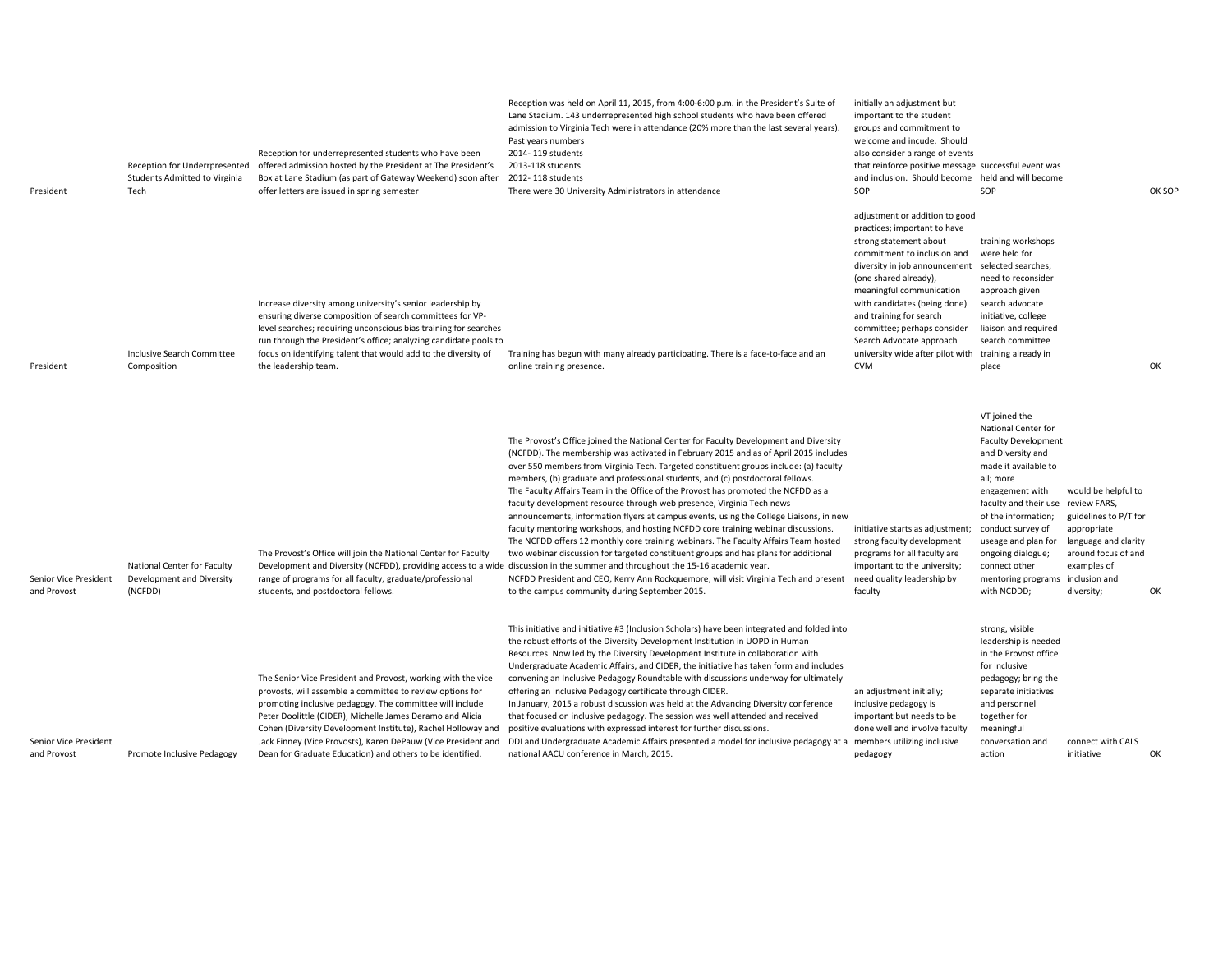| President                            | Students Admitted to Virginia<br>Tech                               | Reception for underrepresented students who have been<br>Reception for Underrpresented offered admission hosted by the President at The President's<br>Box at Lane Stadium (as part of Gateway Weekend) soon after<br>offer letters are issued in spring semester                                                                                                                                                                                | Reception was held on April 11, 2015, from 4:00-6:00 p.m. in the President's Suite of<br>Lane Stadium. 143 underrepresented high school students who have been offered<br>admission to Virginia Tech were in attendance (20% more than the last several years).<br>Past years numbers<br>2014-119 students<br>2013-118 students<br>2012-118 students<br>There were 30 University Administrators in attendance                                                                                                                                                                                                                                                                                                                                                                                                                                                                                                                                                                                                                                                                                                                                                   | initially an adjustment but<br>important to the student<br>groups and commitment to<br>welcome and incude. Should<br>also consider a range of events<br>that reinforce positive message successful event was<br>and inclusion. Should become held and will become<br>SOP                                                                                                                                  | SOP                                                                                                                                                                                                                                                                                                                    |                                                                                                                                                                          | OK SOF |
|--------------------------------------|---------------------------------------------------------------------|--------------------------------------------------------------------------------------------------------------------------------------------------------------------------------------------------------------------------------------------------------------------------------------------------------------------------------------------------------------------------------------------------------------------------------------------------|-----------------------------------------------------------------------------------------------------------------------------------------------------------------------------------------------------------------------------------------------------------------------------------------------------------------------------------------------------------------------------------------------------------------------------------------------------------------------------------------------------------------------------------------------------------------------------------------------------------------------------------------------------------------------------------------------------------------------------------------------------------------------------------------------------------------------------------------------------------------------------------------------------------------------------------------------------------------------------------------------------------------------------------------------------------------------------------------------------------------------------------------------------------------|-----------------------------------------------------------------------------------------------------------------------------------------------------------------------------------------------------------------------------------------------------------------------------------------------------------------------------------------------------------------------------------------------------------|------------------------------------------------------------------------------------------------------------------------------------------------------------------------------------------------------------------------------------------------------------------------------------------------------------------------|--------------------------------------------------------------------------------------------------------------------------------------------------------------------------|--------|
| President                            | Inclusive Search Committee<br>Composition                           | Increase diversity among university's senior leadership by<br>ensuring diverse composition of search committees for VP-<br>level searches; requiring unconscious bias training for searches<br>run through the President's office; analyzing candidate pools to<br>focus on identifying talent that would add to the diversity of<br>the leadership team.                                                                                        | Training has begun with many already participating. There is a face-to-face and an<br>online training presence.                                                                                                                                                                                                                                                                                                                                                                                                                                                                                                                                                                                                                                                                                                                                                                                                                                                                                                                                                                                                                                                 | adjustment or addition to good<br>practices; important to have<br>strong statement about<br>commitment to inclusion and<br>diversity in job announcement<br>(one shared already),<br>meaningful communication<br>with candidates (being done)<br>and training for search<br>committee; perhaps consider<br>Search Advocate approach<br>university wide after pilot with training already in<br><b>CVM</b> | training workshops<br>were held for<br>selected searches;<br>need to reconsider<br>approach given<br>search advocate<br>initiative, college<br>liaison and required<br>search committee<br>place                                                                                                                       |                                                                                                                                                                          | OK     |
| Senior Vice President<br>and Provost | National Center for Faculty<br>Development and Diversity<br>(NCFDD) | The Provost's Office will join the National Center for Faculty<br>range of programs for all faculty, graduate/professional<br>students, and postdoctoral fellows.                                                                                                                                                                                                                                                                                | The Provost's Office joined the National Center for Faculty Development and Diversity<br>(NCFDD). The membership was activated in February 2015 and as of April 2015 includes<br>over 550 members from Virginia Tech. Targeted constituent groups include: (a) faculty<br>members, (b) graduate and professional students, and (c) postdoctoral fellows.<br>The Faculty Affairs Team in the Office of the Provost has promoted the NCFDD as a<br>faculty development resource through web presence, Virginia Tech news<br>announcements, information flyers at campus events, using the College Liaisons, in new<br>faculty mentoring workshops, and hosting NCFDD core training webinar discussions.<br>The NCFDD offers 12 monthly core training webinars. The Faculty Affairs Team hosted<br>two webinar discussion for targeted constituent groups and has plans for additional<br>Development and Diversity (NCFDD), providing access to a wide discussion in the summer and throughout the 15-16 academic year.<br>NCFDD President and CEO, Kerry Ann Rockquemore, will visit Virginia Tech and present<br>to the campus community during September 2015. | initiative starts as adjustment;<br>strong faculty development<br>programs for all faculty are<br>important to the university;<br>need quality leadership by<br>faculty                                                                                                                                                                                                                                   | VT joined the<br>National Center for<br><b>Faculty Development</b><br>and Diversity and<br>made it available to<br>all; more<br>engagement with<br>faculty and their use<br>of the information;<br>conduct survey of<br>useage and plan for<br>ongoing dialogue;<br>connect other<br>mentoring programs<br>with NCDDD; | would be helpful to<br>review FARS,<br>guidelines to P/T for<br>appropriate<br>language and clarity<br>around focus of and<br>examples of<br>inclusion and<br>diversity; | OK     |
| Senior Vice President<br>and Provost | Promote Inclusive Pedagogy                                          | The Senior Vice President and Provost, working with the vice<br>provosts, will assemble a committee to review options for<br>promoting inclusive pedagogy. The committee will include<br>Peter Doolittle (CIDER), Michelle James Deramo and Alicia<br>Cohen (Diversity Development Institute), Rachel Holloway and<br>Jack Finney (Vice Provosts), Karen DePauw (Vice President and<br>Dean for Graduate Education) and others to be identified. | This initiative and initiative #3 (Inclusion Scholars) have been integrated and folded into<br>the robust efforts of the Diversity Development Institution in UOPD in Human<br>Resources. Now led by the Diversity Development Institute in collaboration with<br>Undergraduate Academic Affairs, and CIDER, the initiative has taken form and includes<br>convening an Inclusive Pedagogy Roundtable with discussions underway for ultimately<br>offering an Inclusive Pedagogy certificate through CIDER.<br>In January, 2015 a robust discussion was held at the Advancing Diversity conference<br>that focused on inclusive pedagogy. The session was well attended and received<br>positive evaluations with expressed interest for further discussions.<br>DDI and Undergraduate Academic Affairs presented a model for inclusive pedagogy at a members utilizing inclusive<br>national AACU conference in March, 2015.                                                                                                                                                                                                                                   | an adjustment initially;<br>inclusive pedagogy is<br>important but needs to be<br>done well and involve faculty<br>pedagogy                                                                                                                                                                                                                                                                               | strong, visible<br>leadership is needed<br>in the Provost office<br>for Inclusive<br>pedagogy; bring the<br>separate initiatives<br>and personnel<br>together for<br>meaningful<br>conversation and<br>action                                                                                                          | connect with CALS<br>initiative                                                                                                                                          | OK     |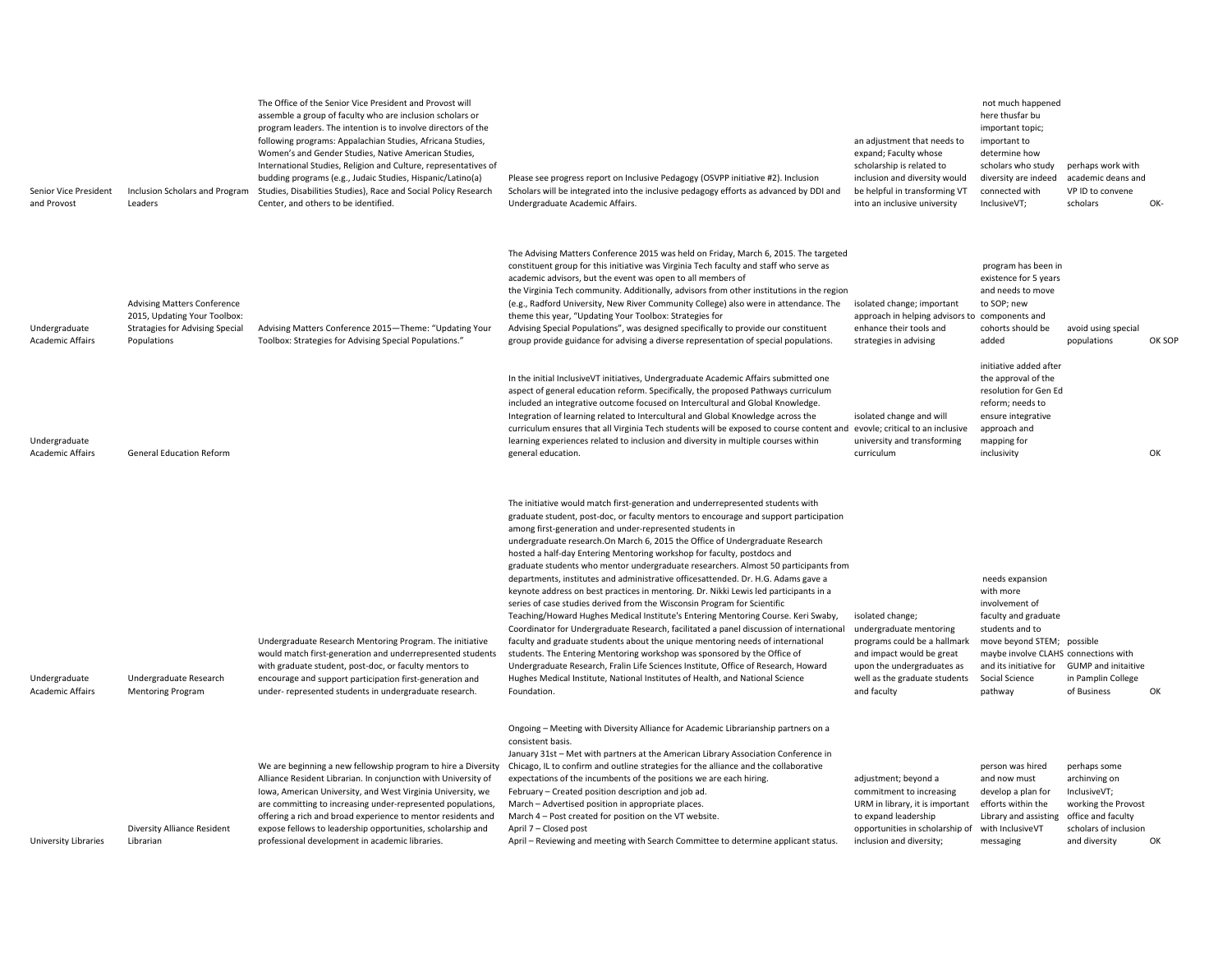| Senior Vice President<br>and Provost     | Inclusion Scholars and Program<br>Leaders                                                                                   | The Office of the Senior Vice President and Provost will<br>assemble a group of faculty who are inclusion scholars or<br>program leaders. The intention is to involve directors of the<br>following programs: Appalachian Studies, Africana Studies,<br>Women's and Gender Studies, Native American Studies,<br>International Studies, Religion and Culture, representatives of<br>budding programs (e.g., Judaic Studies, Hispanic/Latino(a)<br>Studies, Disabilities Studies), Race and Social Policy Research<br>Center, and others to be identified. | Please see progress report on Inclusive Pedagogy (OSVPP initiative #2). Inclusion<br>Scholars will be integrated into the inclusive pedagogy efforts as advanced by DDI and<br>Undergraduate Academic Affairs.                                                                                                                                                                                                                                                                                                                                                                                                                                                                                                                                                                                                                                                                                                                                                                                                                                                                                                                                                                                                                                                                        | an adjustment that needs to<br>expand; Faculty whose<br>scholarship is related to<br>inclusion and diversity would<br>be helpful in transforming VT<br>into an inclusive university    | not much happened<br>here thusfar bu<br>important topic;<br>important to<br>determine how<br>scholars who study<br>diversity are indeed<br>connected with<br>InclusiveVT;                                              | perhaps work with<br>academic deans and<br>VP ID to convene<br>scholars                                        | OK-    |
|------------------------------------------|-----------------------------------------------------------------------------------------------------------------------------|----------------------------------------------------------------------------------------------------------------------------------------------------------------------------------------------------------------------------------------------------------------------------------------------------------------------------------------------------------------------------------------------------------------------------------------------------------------------------------------------------------------------------------------------------------|---------------------------------------------------------------------------------------------------------------------------------------------------------------------------------------------------------------------------------------------------------------------------------------------------------------------------------------------------------------------------------------------------------------------------------------------------------------------------------------------------------------------------------------------------------------------------------------------------------------------------------------------------------------------------------------------------------------------------------------------------------------------------------------------------------------------------------------------------------------------------------------------------------------------------------------------------------------------------------------------------------------------------------------------------------------------------------------------------------------------------------------------------------------------------------------------------------------------------------------------------------------------------------------|----------------------------------------------------------------------------------------------------------------------------------------------------------------------------------------|------------------------------------------------------------------------------------------------------------------------------------------------------------------------------------------------------------------------|----------------------------------------------------------------------------------------------------------------|--------|
| Undergraduate<br><b>Academic Affairs</b> | <b>Advising Matters Conference</b><br>2015, Updating Your Toolbox:<br><b>Stratagies for Advising Special</b><br>Populations | Advising Matters Conference 2015-Theme: "Updating Your<br>Toolbox: Strategies for Advising Special Populations."                                                                                                                                                                                                                                                                                                                                                                                                                                         | The Advising Matters Conference 2015 was held on Friday, March 6, 2015. The targeted<br>constituent group for this initiative was Virginia Tech faculty and staff who serve as<br>academic advisors, but the event was open to all members of<br>the Virginia Tech community. Additionally, advisors from other institutions in the region<br>(e.g., Radford University, New River Community College) also were in attendance. The<br>theme this year, "Updating Your Toolbox: Strategies for<br>Advising Special Populations", was designed specifically to provide our constituent<br>group provide guidance for advising a diverse representation of special populations.                                                                                                                                                                                                                                                                                                                                                                                                                                                                                                                                                                                                          | isolated change; important<br>approach in helping advisors to<br>enhance their tools and<br>strategies in advising                                                                     | program has been in<br>existence for 5 years<br>and needs to move<br>to SOP; new<br>components and<br>cohorts should be<br>added                                                                                       | avoid using special<br>populations                                                                             | OK SOP |
| Undergraduate<br><b>Academic Affairs</b> | <b>General Education Reform</b>                                                                                             |                                                                                                                                                                                                                                                                                                                                                                                                                                                                                                                                                          | In the initial InclusiveVT initiatives, Undergraduate Academic Affairs submitted one<br>aspect of general education reform. Specifically, the proposed Pathways curriculum<br>included an integrative outcome focused on Intercultural and Global Knowledge.<br>Integration of learning related to Intercultural and Global Knowledge across the<br>curriculum ensures that all Virginia Tech students will be exposed to course content and evovle; critical to an inclusive<br>learning experiences related to inclusion and diversity in multiple courses within<br>general education.                                                                                                                                                                                                                                                                                                                                                                                                                                                                                                                                                                                                                                                                                             | isolated change and will<br>university and transforming<br>curriculum                                                                                                                  | initiative added after<br>the approval of the<br>resolution for Gen Ed<br>reform; needs to<br>ensure integrative<br>approach and<br>mapping for<br>inclusivity                                                         |                                                                                                                | OK     |
| Undergraduate<br><b>Academic Affairs</b> | Undergraduate Research<br><b>Mentoring Program</b>                                                                          | Undergraduate Research Mentoring Program. The initiative<br>would match first-generation and underrepresented students<br>with graduate student, post-doc, or faculty mentors to<br>encourage and support participation first-generation and<br>under- represented students in undergraduate research.                                                                                                                                                                                                                                                   | The initiative would match first-generation and underrepresented students with<br>graduate student, post-doc, or faculty mentors to encourage and support participation<br>among first-generation and under-represented students in<br>undergraduate research. On March 6, 2015 the Office of Undergraduate Research<br>hosted a half-day Entering Mentoring workshop for faculty, postdocs and<br>graduate students who mentor undergraduate researchers. Almost 50 participants from<br>departments, institutes and administrative officesattended. Dr. H.G. Adams gave a<br>keynote address on best practices in mentoring. Dr. Nikki Lewis led participants in a<br>series of case studies derived from the Wisconsin Program for Scientific<br>Teaching/Howard Hughes Medical Institute's Entering Mentoring Course. Keri Swaby,<br>Coordinator for Undergraduate Research, facilitated a panel discussion of international<br>faculty and graduate students about the unique mentoring needs of international<br>students. The Entering Mentoring workshop was sponsored by the Office of<br>Undergraduate Research, Fralin Life Sciences Institute, Office of Research, Howard<br>Hughes Medical Institute, National Institutes of Health, and National Science<br>Foundation. | isolated change;<br>undergraduate mentoring<br>programs could be a hallmark<br>and impact would be great<br>upon the undergraduates as<br>well as the graduate students<br>and faculty | needs expansion<br>with more<br>involvement of<br>faculty and graduate<br>students and to<br>move beyond STEM; possible<br>maybe involve CLAHS connections with<br>and its initiative for<br>Social Science<br>pathway | <b>GUMP</b> and initaitive<br>in Pamplin College<br>of Business                                                | OK     |
| University Libraries                     | Diversity Alliance Resident<br>Librarian                                                                                    | We are beginning a new fellowship program to hire a Diversity<br>Alliance Resident Librarian. In conjunction with University of<br>Iowa, American University, and West Virginia University, we<br>are committing to increasing under-represented populations,<br>offering a rich and broad experience to mentor residents and<br>expose fellows to leadership opportunities, scholarship and<br>professional development in academic libraries.                                                                                                          | Ongoing - Meeting with Diversity Alliance for Academic Librarianship partners on a<br>consistent basis.<br>January 31st - Met with partners at the American Library Association Conference in<br>Chicago, IL to confirm and outline strategies for the alliance and the collaborative<br>expectations of the incumbents of the positions we are each hiring.<br>February - Created position description and job ad.<br>March - Advertised position in appropriate places.<br>March 4 - Post created for position on the VT website.<br>April 7 - Closed post<br>April - Reviewing and meeting with Search Committee to determine applicant status.                                                                                                                                                                                                                                                                                                                                                                                                                                                                                                                                                                                                                                    | adjustment; beyond a<br>commitment to increasing<br>URM in library, it is important<br>to expand leadership<br>opportunities in scholarship of<br>inclusion and diversity;             | person was hired<br>and now must<br>develop a plan for<br>efforts within the<br>Library and assisting office and faculty<br>with InclusiveVT<br>messaging                                                              | perhaps some<br>archinving on<br>InclusiveVT;<br>working the Provost<br>scholars of inclusion<br>and diversity | OK     |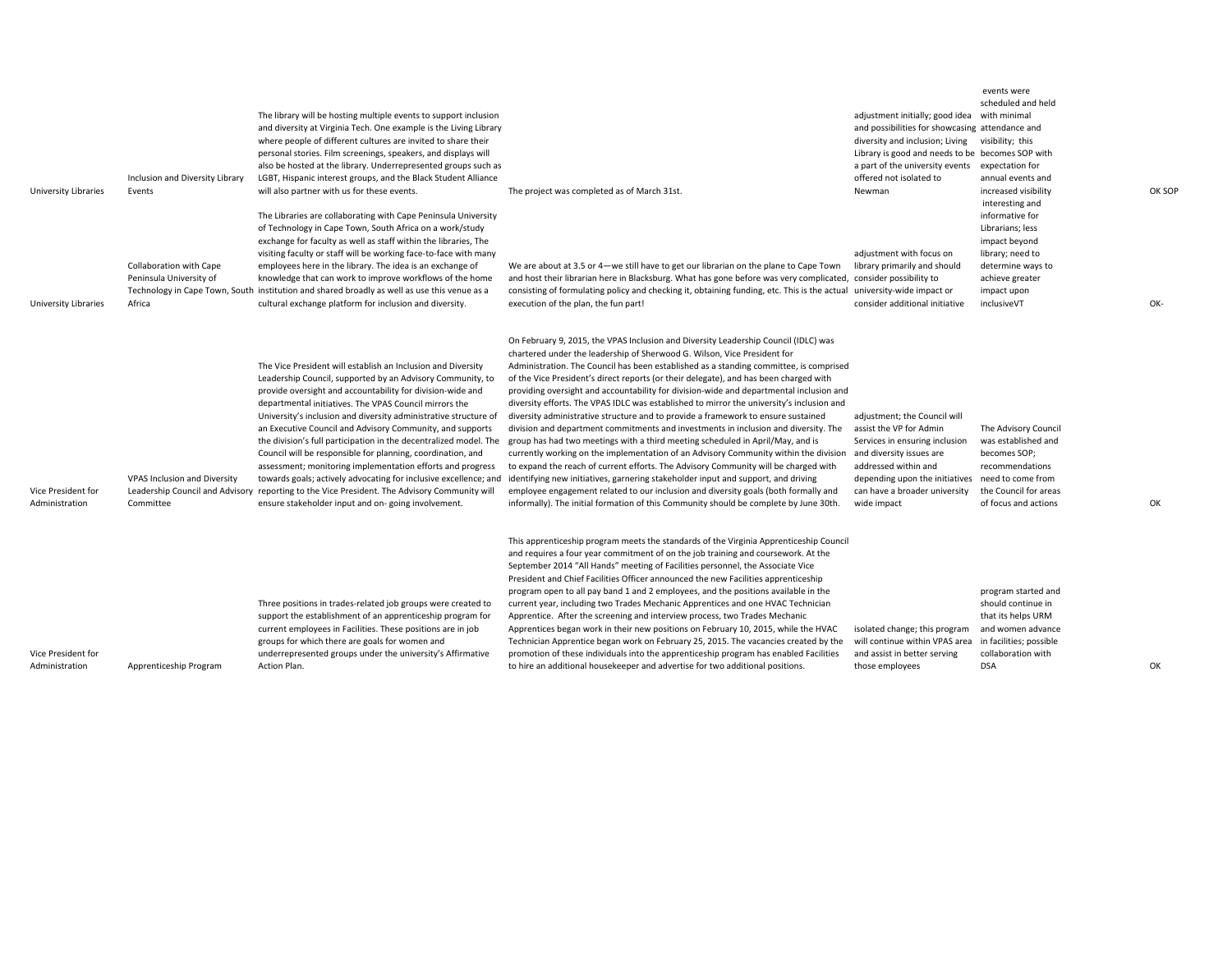| <b>University Libraries</b>          | Inclusion and Diversity Library<br>Events<br>Collaboration with Cape<br>Peninsula University of | The library will be hosting multiple events to support inclusion<br>and diversity at Virginia Tech. One example is the Living Library<br>where people of different cultures are invited to share their<br>personal stories. Film screenings, speakers, and displays will<br>also be hosted at the library. Underrepresented groups such as<br>LGBT, Hispanic interest groups, and the Black Student Alliance<br>will also partner with us for these events.<br>The Libraries are collaborating with Cape Peninsula University<br>of Technology in Cape Town, South Africa on a work/study<br>exchange for faculty as well as staff within the libraries, The<br>visiting faculty or staff will be working face-to-face with many<br>employees here in the library. The idea is an exchange of<br>knowledge that can work to improve workflows of the home<br>Technology in Cape Town, South institution and shared broadly as well as use this venue as a | The project was completed as of March 31st.<br>We are about at 3.5 or 4-we still have to get our librarian on the plane to Cape Town<br>and host their librarian here in Blacksburg. What has gone before was very complicated,<br>consisting of formulating policy and checking it, obtaining funding, etc. This is the actual                                                                                                                                                                                                                                                                                                                                                                                                                                                                                                                                                                                                                                                                                                                                                                                                                                                                                                                              | adjustment initially; good idea<br>and possibilities for showcasing attendance and<br>diversity and inclusion; Living<br>Library is good and needs to be becomes SOP with<br>a part of the university events<br>offered not isolated to<br>Newman<br>adjustment with focus on<br>library primarily and should<br>consider possibility to<br>university-wide impact or | events were<br>scheduled and held<br>with minimal<br>visibility; this<br>expectation for<br>annual events and<br>increased visibility<br>interesting and<br>informative for<br>Librarians; less<br>impact beyond<br>library; need to<br>determine ways to<br>achieve greater<br>impact upon | OK  |
|--------------------------------------|-------------------------------------------------------------------------------------------------|-----------------------------------------------------------------------------------------------------------------------------------------------------------------------------------------------------------------------------------------------------------------------------------------------------------------------------------------------------------------------------------------------------------------------------------------------------------------------------------------------------------------------------------------------------------------------------------------------------------------------------------------------------------------------------------------------------------------------------------------------------------------------------------------------------------------------------------------------------------------------------------------------------------------------------------------------------------|--------------------------------------------------------------------------------------------------------------------------------------------------------------------------------------------------------------------------------------------------------------------------------------------------------------------------------------------------------------------------------------------------------------------------------------------------------------------------------------------------------------------------------------------------------------------------------------------------------------------------------------------------------------------------------------------------------------------------------------------------------------------------------------------------------------------------------------------------------------------------------------------------------------------------------------------------------------------------------------------------------------------------------------------------------------------------------------------------------------------------------------------------------------------------------------------------------------------------------------------------------------|-----------------------------------------------------------------------------------------------------------------------------------------------------------------------------------------------------------------------------------------------------------------------------------------------------------------------------------------------------------------------|---------------------------------------------------------------------------------------------------------------------------------------------------------------------------------------------------------------------------------------------------------------------------------------------|-----|
| University Libraries                 | Africa                                                                                          | cultural exchange platform for inclusion and diversity.                                                                                                                                                                                                                                                                                                                                                                                                                                                                                                                                                                                                                                                                                                                                                                                                                                                                                                   | execution of the plan, the fun part!                                                                                                                                                                                                                                                                                                                                                                                                                                                                                                                                                                                                                                                                                                                                                                                                                                                                                                                                                                                                                                                                                                                                                                                                                         | consider additional initiative                                                                                                                                                                                                                                                                                                                                        | inclusiveVT                                                                                                                                                                                                                                                                                 | OK- |
| Vice President for<br>Administration | <b>VPAS Inclusion and Diversity</b><br>Committee                                                | The Vice President will establish an Inclusion and Diversity<br>Leadership Council, supported by an Advisory Community, to<br>provide oversight and accountability for division-wide and<br>departmental initiatives. The VPAS Council mirrors the<br>University's inclusion and diversity administrative structure of<br>an Executive Council and Advisory Community, and supports<br>the division's full participation in the decentralized model. The<br>Council will be responsible for planning, coordination, and<br>assessment; monitoring implementation efforts and progress<br>towards goals; actively advocating for inclusive excellence; and<br>Leadership Council and Advisory reporting to the Vice President. The Advisory Community will<br>ensure stakeholder input and on-going involvement.                                                                                                                                           | On February 9, 2015, the VPAS Inclusion and Diversity Leadership Council (IDLC) was<br>chartered under the leadership of Sherwood G. Wilson, Vice President for<br>Administration. The Council has been established as a standing committee, is comprised<br>of the Vice President's direct reports (or their delegate), and has been charged with<br>providing oversight and accountability for division-wide and departmental inclusion and<br>diversity efforts. The VPAS IDLC was established to mirror the university's inclusion and<br>diversity administrative structure and to provide a framework to ensure sustained<br>division and department commitments and investments in inclusion and diversity. The<br>group has had two meetings with a third meeting scheduled in April/May, and is<br>currently working on the implementation of an Advisory Community within the division<br>to expand the reach of current efforts. The Advisory Community will be charged with<br>identifying new initiatives, garnering stakeholder input and support, and driving<br>employee engagement related to our inclusion and diversity goals (both formally and<br>informally). The initial formation of this Community should be complete by June 30th. | adjustment; the Council will<br>assist the VP for Admin<br>Services in ensuring inclusion<br>and diversity issues are<br>addressed within and<br>depending upon the initiatives<br>can have a broader university<br>wide impact                                                                                                                                       | The Advisory Council<br>was established and<br>becomes SOP;<br>recommendations<br>need to come from<br>the Council for areas<br>of focus and actions                                                                                                                                        | OK  |
| Vice President for<br>Administration | Apprenticeship Program                                                                          | Three positions in trades-related job groups were created to<br>support the establishment of an apprenticeship program for<br>current employees in Facilities. These positions are in job<br>groups for which there are goals for women and<br>underrepresented groups under the university's Affirmative<br>Action Plan.                                                                                                                                                                                                                                                                                                                                                                                                                                                                                                                                                                                                                                 | This apprenticeship program meets the standards of the Virginia Apprenticeship Council<br>and requires a four year commitment of on the job training and coursework. At the<br>September 2014 "All Hands" meeting of Facilities personnel, the Associate Vice<br>President and Chief Facilities Officer announced the new Facilities apprenticeship<br>program open to all pay band 1 and 2 employees, and the positions available in the<br>current year, including two Trades Mechanic Apprentices and one HVAC Technician<br>Apprentice. After the screening and interview process, two Trades Mechanic<br>Apprentices began work in their new positions on February 10, 2015, while the HVAC<br>Technician Apprentice began work on February 25, 2015. The vacancies created by the<br>promotion of these individuals into the apprenticeship program has enabled Facilities<br>to hire an additional housekeeper and advertise for two additional positions.                                                                                                                                                                                                                                                                                            | isolated change; this program<br>will continue within VPAS area<br>and assist in better serving<br>those employees                                                                                                                                                                                                                                                    | program started and<br>should continue in<br>that its helps URM<br>and women advance<br>in facilities; possible<br>collaboration with<br><b>DSA</b>                                                                                                                                         | OK  |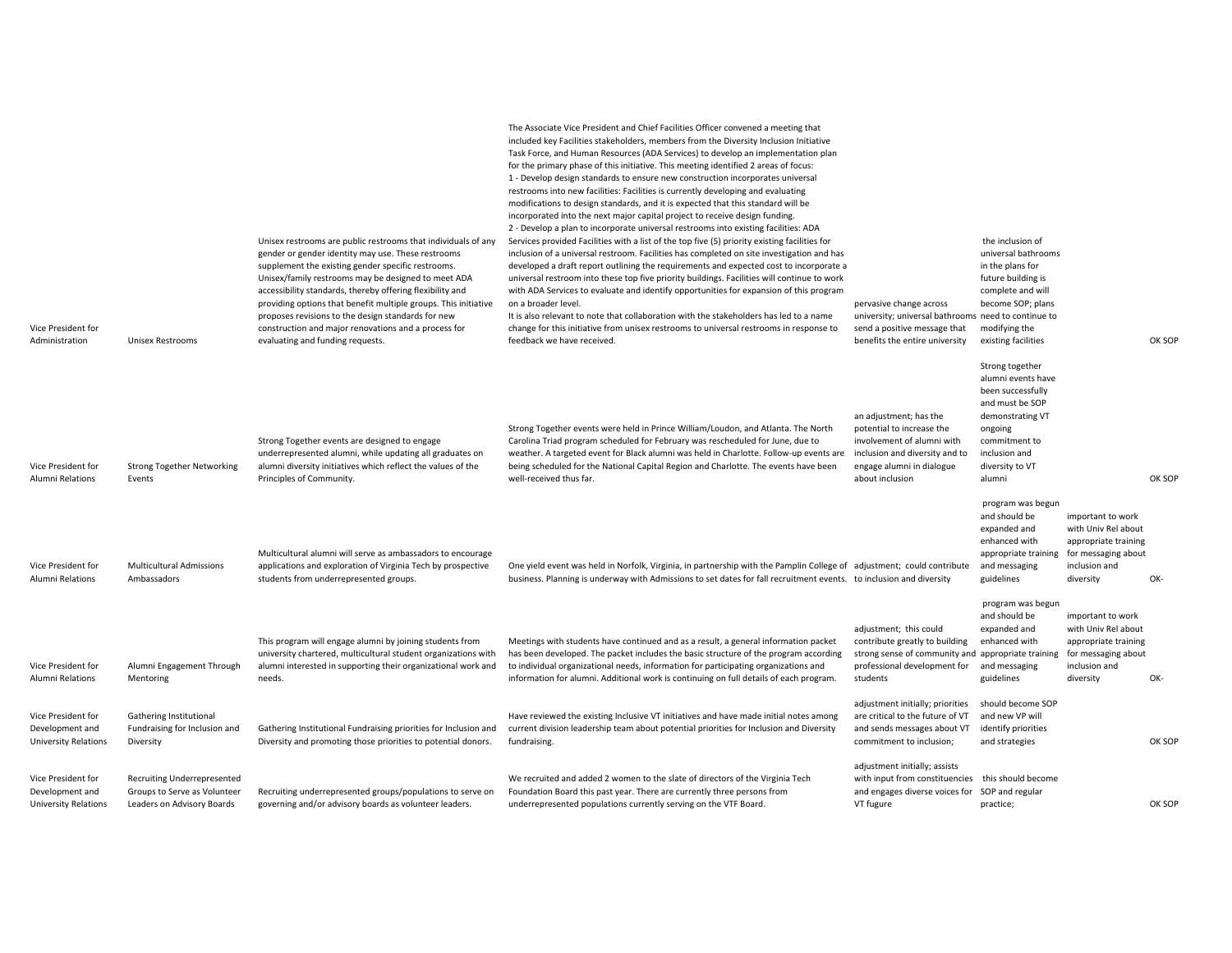| Vice President for<br>Administration                                 | <b>Unisex Restrooms</b>                                                                          | Unisex restrooms are public restrooms that individuals of any<br>gender or gender identity may use. These restrooms<br>supplement the existing gender specific restrooms.<br>Unisex/family restrooms may be designed to meet ADA<br>accessibility standards, thereby offering flexibility and<br>providing options that benefit multiple groups. This initiative<br>proposes revisions to the design standards for new<br>construction and major renovations and a process for<br>evaluating and funding requests. | The Associate Vice President and Chief Facilities Officer convened a meeting that<br>included key Facilities stakeholders, members from the Diversity Inclusion Initiative<br>Task Force, and Human Resources (ADA Services) to develop an implementation plan<br>for the primary phase of this initiative. This meeting identified 2 areas of focus:<br>1 - Develop design standards to ensure new construction incorporates universal<br>restrooms into new facilities: Facilities is currently developing and evaluating<br>modifications to design standards, and it is expected that this standard will be<br>incorporated into the next major capital project to receive design funding.<br>2 - Develop a plan to incorporate universal restrooms into existing facilities: ADA<br>Services provided Facilities with a list of the top five (5) priority existing facilities for<br>inclusion of a universal restroom. Facilities has completed on site investigation and has<br>developed a draft report outlining the requirements and expected cost to incorporate a<br>universal restroom into these top five priority buildings. Facilities will continue to work<br>with ADA Services to evaluate and identify opportunities for expansion of this program<br>on a broader level.<br>It is also relevant to note that collaboration with the stakeholders has led to a name<br>change for this initiative from unisex restrooms to universal restrooms in response to<br>feedback we have received. | pervasive change across<br>university; universal bathrooms need to continue to<br>send a positive message that<br>benefits the entire university                    | the inclusion of<br>universal bathrooms<br>in the plans for<br>future building is<br>complete and will<br>become SOP; plans<br>modifying the<br>existing facilities         |                                                                                                                       | OK SOF |
|----------------------------------------------------------------------|--------------------------------------------------------------------------------------------------|--------------------------------------------------------------------------------------------------------------------------------------------------------------------------------------------------------------------------------------------------------------------------------------------------------------------------------------------------------------------------------------------------------------------------------------------------------------------------------------------------------------------|-----------------------------------------------------------------------------------------------------------------------------------------------------------------------------------------------------------------------------------------------------------------------------------------------------------------------------------------------------------------------------------------------------------------------------------------------------------------------------------------------------------------------------------------------------------------------------------------------------------------------------------------------------------------------------------------------------------------------------------------------------------------------------------------------------------------------------------------------------------------------------------------------------------------------------------------------------------------------------------------------------------------------------------------------------------------------------------------------------------------------------------------------------------------------------------------------------------------------------------------------------------------------------------------------------------------------------------------------------------------------------------------------------------------------------------------------------------------------------------------------------------------|---------------------------------------------------------------------------------------------------------------------------------------------------------------------|-----------------------------------------------------------------------------------------------------------------------------------------------------------------------------|-----------------------------------------------------------------------------------------------------------------------|--------|
| Vice President for<br><b>Alumni Relations</b>                        | <b>Strong Together Networking</b><br>Events                                                      | Strong Together events are designed to engage<br>underrepresented alumni, while updating all graduates on<br>alumni diversity initiatives which reflect the values of the<br>Principles of Community.                                                                                                                                                                                                                                                                                                              | Strong Together events were held in Prince William/Loudon, and Atlanta. The North<br>Carolina Triad program scheduled for February was rescheduled for June, due to<br>weather. A targeted event for Black alumni was held in Charlotte. Follow-up events are<br>being scheduled for the National Capital Region and Charlotte. The events have been<br>well-received thus far.                                                                                                                                                                                                                                                                                                                                                                                                                                                                                                                                                                                                                                                                                                                                                                                                                                                                                                                                                                                                                                                                                                                                 | an adjustment; has the<br>potential to increase the<br>involvement of alumni with<br>inclusion and diversity and to<br>engage alumni in dialogue<br>about inclusion | Strong together<br>alumni events have<br>been successfully<br>and must be SOP<br>demonstrating VT<br>ongoing<br>commitment to<br>inclusion and<br>diversity to VT<br>alumni |                                                                                                                       | OK SOF |
| Vice President for<br><b>Alumni Relations</b>                        | <b>Multicultural Admissions</b><br>Ambassadors                                                   | Multicultural alumni will serve as ambassadors to encourage<br>applications and exploration of Virginia Tech by prospective<br>students from underrepresented groups.                                                                                                                                                                                                                                                                                                                                              | One yield event was held in Norfolk, Virginia, in partnership with the Pamplin College of adjustment; could contribute<br>business. Planning is underway with Admissions to set dates for fall recruitment events. to inclusion and diversity                                                                                                                                                                                                                                                                                                                                                                                                                                                                                                                                                                                                                                                                                                                                                                                                                                                                                                                                                                                                                                                                                                                                                                                                                                                                   |                                                                                                                                                                     | program was begun<br>and should be<br>expanded and<br>enhanced with<br>appropriate training<br>and messaging<br>guidelines<br>program was begun                             | important to work<br>with Univ Rel about<br>appropriate training<br>for messaging about<br>inclusion and<br>diversity | OK-    |
| Vice President for<br>Alumni Relations                               | Alumni Engagement Through<br>Mentoring                                                           | This program will engage alumni by joining students from<br>university chartered, multicultural student organizations with<br>alumni interested in supporting their organizational work and<br>needs.                                                                                                                                                                                                                                                                                                              | Meetings with students have continued and as a result, a general information packet<br>has been developed. The packet includes the basic structure of the program according<br>to individual organizational needs, information for participating organizations and<br>information for alumni. Additional work is continuing on full details of each program.                                                                                                                                                                                                                                                                                                                                                                                                                                                                                                                                                                                                                                                                                                                                                                                                                                                                                                                                                                                                                                                                                                                                                    | adjustment; this could<br>contribute greatly to building<br>strong sense of community and appropriate training<br>professional development for<br>students          | and should be<br>expanded and<br>enhanced with<br>and messaging<br>guidelines                                                                                               | important to work<br>with Univ Rel about<br>appropriate training<br>for messaging about<br>inclusion and<br>diversity | OK-    |
| Vice President for<br>Development and<br><b>University Relations</b> | Gathering Institutional<br>Fundraising for Inclusion and<br>Diversity                            | Gathering Institutional Fundraising priorities for Inclusion and<br>Diversity and promoting those priorities to potential donors.                                                                                                                                                                                                                                                                                                                                                                                  | Have reviewed the existing Inclusive VT initiatives and have made initial notes among<br>current division leadership team about potential priorities for Inclusion and Diversity<br>fundraising.                                                                                                                                                                                                                                                                                                                                                                                                                                                                                                                                                                                                                                                                                                                                                                                                                                                                                                                                                                                                                                                                                                                                                                                                                                                                                                                | adjustment initially; priorities<br>are critical to the future of VT<br>and sends messages about VT<br>commitment to inclusion;                                     | should become SOP<br>and new VP will<br>identify priorities<br>and strategies                                                                                               |                                                                                                                       | OK SOF |
| Vice President for<br>Development and<br><b>University Relations</b> | <b>Recruiting Underrepresented</b><br>Groups to Serve as Volunteer<br>Leaders on Advisory Boards | Recruiting underrepresented groups/populations to serve on<br>governing and/or advisory boards as volunteer leaders.                                                                                                                                                                                                                                                                                                                                                                                               | We recruited and added 2 women to the slate of directors of the Virginia Tech<br>Foundation Board this past year. There are currently three persons from<br>underrepresented populations currently serving on the VTF Board.                                                                                                                                                                                                                                                                                                                                                                                                                                                                                                                                                                                                                                                                                                                                                                                                                                                                                                                                                                                                                                                                                                                                                                                                                                                                                    | adjustment initially; assists<br>with input from constituencies this should become<br>and engages diverse voices for SOP and regular<br>VT fugure                   | practice;                                                                                                                                                                   |                                                                                                                       | OK SOF |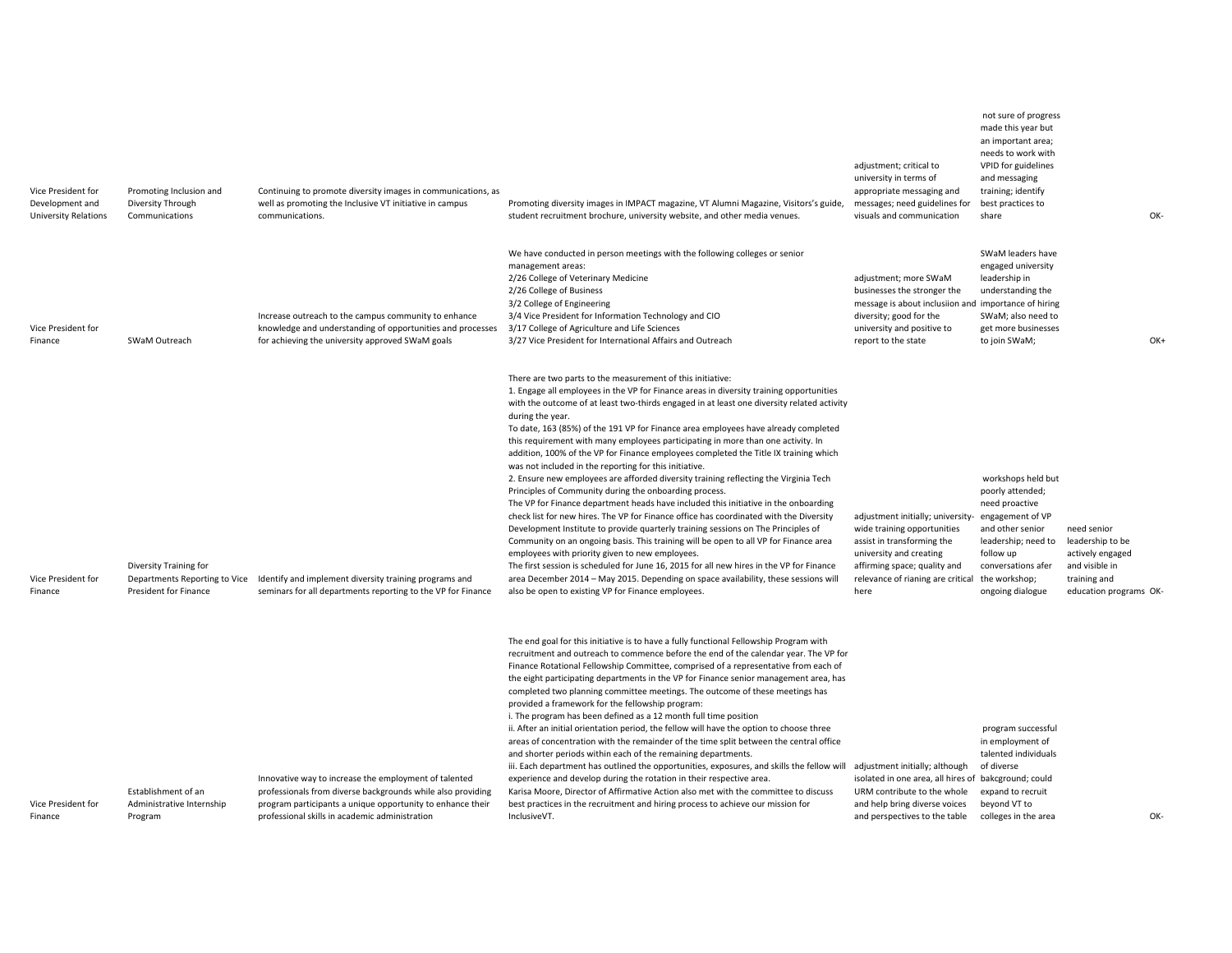| Vice President for<br>Development and<br><b>University Relations</b> | Promoting Inclusion and<br>Diversity Through<br>Communications                   | Continuing to promote diversity images in communications, as<br>well as promoting the Inclusive VT initiative in campus<br>communications.                                                                                           | Promoting diversity images in IMPACT magazine, VT Alumni Magazine, Visitors's guide,<br>student recruitment brochure, university website, and other media venues.                                                                                                                                                                                                                                                                                                                                                                                                                                                                                                                                                                                                                                                                                                                                                                                                                                                                                                                                                                                                                                                                                                                                                                                                                                               | adjustment; critical to<br>university in terms of<br>appropriate messaging and<br>messages; need guidelines for<br>visuals and communication                                                           | not sure of progress<br>made this year but<br>an important area;<br>needs to work with<br>VPID for guidelines<br>and messaging<br>training; identify<br>best practices to<br>share              |                                                                                                                 | OK- |
|----------------------------------------------------------------------|----------------------------------------------------------------------------------|--------------------------------------------------------------------------------------------------------------------------------------------------------------------------------------------------------------------------------------|-----------------------------------------------------------------------------------------------------------------------------------------------------------------------------------------------------------------------------------------------------------------------------------------------------------------------------------------------------------------------------------------------------------------------------------------------------------------------------------------------------------------------------------------------------------------------------------------------------------------------------------------------------------------------------------------------------------------------------------------------------------------------------------------------------------------------------------------------------------------------------------------------------------------------------------------------------------------------------------------------------------------------------------------------------------------------------------------------------------------------------------------------------------------------------------------------------------------------------------------------------------------------------------------------------------------------------------------------------------------------------------------------------------------|--------------------------------------------------------------------------------------------------------------------------------------------------------------------------------------------------------|-------------------------------------------------------------------------------------------------------------------------------------------------------------------------------------------------|-----------------------------------------------------------------------------------------------------------------|-----|
| Vice President for<br>Finance                                        | SWaM Outreach                                                                    | Increase outreach to the campus community to enhance<br>knowledge and understanding of opportunities and processes<br>for achieving the university approved SWaM goals                                                               | We have conducted in person meetings with the following colleges or senior<br>management areas:<br>2/26 College of Veterinary Medicine<br>2/26 College of Business<br>3/2 College of Engineering<br>3/4 Vice President for Information Technology and CIO<br>3/17 College of Agriculture and Life Sciences<br>3/27 Vice President for International Affairs and Outreach                                                                                                                                                                                                                                                                                                                                                                                                                                                                                                                                                                                                                                                                                                                                                                                                                                                                                                                                                                                                                                        | adjustment; more SWaM<br>businesses the stronger the<br>message is about inclusiion and importance of hiring<br>diversity; good for the<br>university and positive to<br>report to the state           | SWaM leaders have<br>engaged university<br>leadership in<br>understanding the<br>SWaM; also need to<br>get more businesses<br>to join SWaM;                                                     |                                                                                                                 | OK+ |
| Vice President for<br>Finance                                        | Diversity Training for<br>Departments Reporting to Vice<br>President for Finance | Identify and implement diversity training programs and<br>seminars for all departments reporting to the VP for Finance                                                                                                               | There are two parts to the measurement of this initiative:<br>1. Engage all employees in the VP for Finance areas in diversity training opportunities<br>with the outcome of at least two-thirds engaged in at least one diversity related activity<br>during the year.<br>To date, 163 (85%) of the 191 VP for Finance area employees have already completed<br>this requirement with many employees participating in more than one activity. In<br>addition, 100% of the VP for Finance employees completed the Title IX training which<br>was not included in the reporting for this initiative.<br>2. Ensure new employees are afforded diversity training reflecting the Virginia Tech<br>Principles of Community during the onboarding process.<br>The VP for Finance department heads have included this initiative in the onboarding<br>check list for new hires. The VP for Finance office has coordinated with the Diversity<br>Development Institute to provide quarterly training sessions on The Principles of<br>Community on an ongoing basis. This training will be open to all VP for Finance area<br>employees with priority given to new employees.<br>The first session is scheduled for June 16, 2015 for all new hires in the VP for Finance<br>area December 2014 - May 2015. Depending on space availability, these sessions will<br>also be open to existing VP for Finance employees. | adjustment initially; university-<br>wide training opportunities<br>assist in transforming the<br>university and creating<br>affirming space; quality and<br>relevance of rianing are critical<br>here | workshops held but<br>poorly attended;<br>need proactive<br>engagement of VP<br>and other senior<br>leadership; need to<br>follow up<br>conversations afer<br>the workshop;<br>ongoing dialogue | need senior<br>leadership to be<br>actively engaged<br>and visible in<br>training and<br>education programs OK- |     |
| Vice President for<br>Finance                                        | Establishment of an<br>Administrative Internship<br>Program                      | Innovative way to increase the employment of talented<br>professionals from diverse backgrounds while also providing<br>program participants a unique opportunity to enhance their<br>professional skills in academic administration | The end goal for this initiative is to have a fully functional Fellowship Program with<br>recruitment and outreach to commence before the end of the calendar year. The VP for<br>Finance Rotational Fellowship Committee, comprised of a representative from each of<br>the eight participating departments in the VP for Finance senior management area, has<br>completed two planning committee meetings. The outcome of these meetings has<br>provided a framework for the fellowship program:<br>i. The program has been defined as a 12 month full time position<br>ii. After an initial orientation period, the fellow will have the option to choose three<br>areas of concentration with the remainder of the time split between the central office<br>and shorter periods within each of the remaining departments.<br>iii. Each department has outlined the opportunities, exposures, and skills the fellow will<br>experience and develop during the rotation in their respective area.<br>Karisa Moore, Director of Affirmative Action also met with the committee to discuss<br>best practices in the recruitment and hiring process to achieve our mission for<br>InclusiveVT.                                                                                                                                                                                                                   | adjustment initially; although<br>isolated in one area, all hires of bakcground; could<br>URM contribute to the whole<br>and help bring diverse voices<br>and perspectives to the table                | program successful<br>in employment of<br>talented individuals<br>of diverse<br>expand to recruit<br>beyond VT to<br>colleges in the area                                                       |                                                                                                                 | OK- |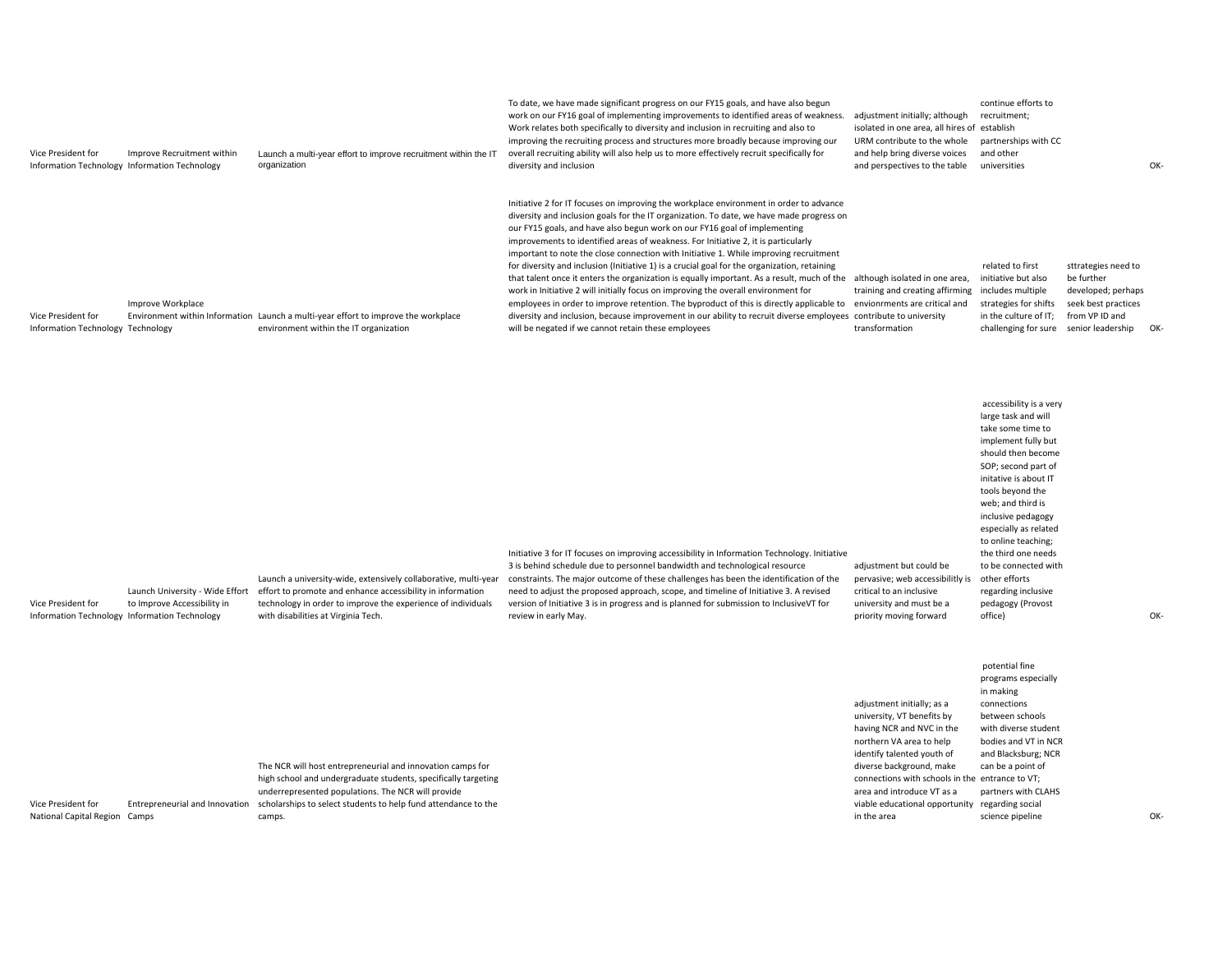| Vice President for<br>Information Technology Information Technology | Improve Recruitment within                                     | Launch a multi-year effort to improve recruitment within the IT<br>organization                                                                                                                                                      | To date, we have made significant progress on our FY15 goals, and have also begun<br>work on our FY16 goal of implementing improvements to identified areas of weakness.<br>Work relates both specifically to diversity and inclusion in recruiting and also to<br>improving the recruiting process and structures more broadly because improving our<br>overall recruiting ability will also help us to more effectively recruit specifically for<br>diversity and inclusion                                                                                                                                                                                                                                                                                                                                                                                                                                                                                                                                                             | adjustment initially; although<br>isolated in one area, all hires of establish<br>URM contribute to the whole<br>and help bring diverse voices<br>and perspectives to the table                                                | continue efforts to<br>recruitment;<br>partnerships with CC<br>and other<br>universities                                                                                                                                                                                                                                                                                                               |                                                                                                                       | OK- |
|---------------------------------------------------------------------|----------------------------------------------------------------|--------------------------------------------------------------------------------------------------------------------------------------------------------------------------------------------------------------------------------------|-------------------------------------------------------------------------------------------------------------------------------------------------------------------------------------------------------------------------------------------------------------------------------------------------------------------------------------------------------------------------------------------------------------------------------------------------------------------------------------------------------------------------------------------------------------------------------------------------------------------------------------------------------------------------------------------------------------------------------------------------------------------------------------------------------------------------------------------------------------------------------------------------------------------------------------------------------------------------------------------------------------------------------------------|--------------------------------------------------------------------------------------------------------------------------------------------------------------------------------------------------------------------------------|--------------------------------------------------------------------------------------------------------------------------------------------------------------------------------------------------------------------------------------------------------------------------------------------------------------------------------------------------------------------------------------------------------|-----------------------------------------------------------------------------------------------------------------------|-----|
| Vice President for<br>Information Technology Technology             | Improve Workplace                                              | Environment within Information Launch a multi-year effort to improve the workplace<br>environment within the IT organization                                                                                                         | Initiative 2 for IT focuses on improving the workplace environment in order to advance<br>diversity and inclusion goals for the IT organization. To date, we have made progress on<br>our FY15 goals, and have also begun work on our FY16 goal of implementing<br>improvements to identified areas of weakness. For Initiative 2, it is particularly<br>important to note the close connection with Initiative 1. While improving recruitment<br>for diversity and inclusion (Initiative 1) is a crucial goal for the organization, retaining<br>that talent once it enters the organization is equally important. As a result, much of the although isolated in one area,<br>work in Initiative 2 will initially focus on improving the overall environment for<br>employees in order to improve retention. The byproduct of this is directly applicable to<br>diversity and inclusion, because improvement in our ability to recruit diverse employees contribute to university<br>will be negated if we cannot retain these employees | training and creating affirming<br>envionrments are critical and<br>transformation                                                                                                                                             | related to first<br>initiative but also<br>includes multiple<br>strategies for shifts<br>in the culture of IT;<br>challenging for sure                                                                                                                                                                                                                                                                 | sttrategies need to<br>be further<br>developed; perhaps<br>seek best practices<br>from VP ID and<br>senior leadership | OK- |
| Vice President for<br>Information Technology Information Technology | Launch University - Wide Effort<br>to Improve Accessibility in | Launch a university-wide, extensively collaborative, multi-year<br>effort to promote and enhance accessibility in information<br>technology in order to improve the experience of individuals<br>with disabilities at Virginia Tech. | Initiative 3 for IT focuses on improving accessibility in Information Technology. Initiative<br>3 is behind schedule due to personnel bandwidth and technological resource<br>constraints. The major outcome of these challenges has been the identification of the<br>need to adjust the proposed approach, scope, and timeline of Initiative 3. A revised<br>version of Initiative 3 is in progress and is planned for submission to InclusiveVT for<br>review in early May.                                                                                                                                                                                                                                                                                                                                                                                                                                                                                                                                                            | adjustment but could be<br>pervasive; web accessibilitly is<br>critical to an inclusive<br>university and must be a<br>priority moving forward                                                                                 | accessibility is a very<br>large task and will<br>take some time to<br>implement fully but<br>should then become<br>SOP; second part of<br>initative is about IT<br>tools beyond the<br>web; and third is<br>inclusive pedagogy<br>especially as related<br>to online teaching;<br>the third one needs<br>to be connected with<br>other efforts<br>regarding inclusive<br>pedagogy (Provost<br>office) |                                                                                                                       | OK- |
|                                                                     |                                                                | The NCR will host entrepreneurial and innovation camps for<br>high school and undergraduate students, specifically targeting                                                                                                         |                                                                                                                                                                                                                                                                                                                                                                                                                                                                                                                                                                                                                                                                                                                                                                                                                                                                                                                                                                                                                                           | adjustment initially; as a<br>university, VT benefits by<br>having NCR and NVC in the<br>northern VA area to help<br>identify talented youth of<br>diverse background, make<br>connections with schools in the entrance to VT; | potential fine<br>programs especially<br>in making<br>connections<br>between schools<br>with diverse student<br>bodies and VT in NCR<br>and Blacksburg; NCR<br>can be a point of                                                                                                                                                                                                                       |                                                                                                                       |     |

National Capital Region Camps Entrepreneurial and Innovation scholarships to select students to help fund attendance to the underrepresented populations. The NCR will provide camps.

Vice President for

science pipeline OK‐

area and introduce VT as <sup>a</sup> partners with CLAHS viable educational opportunity regarding social

in the area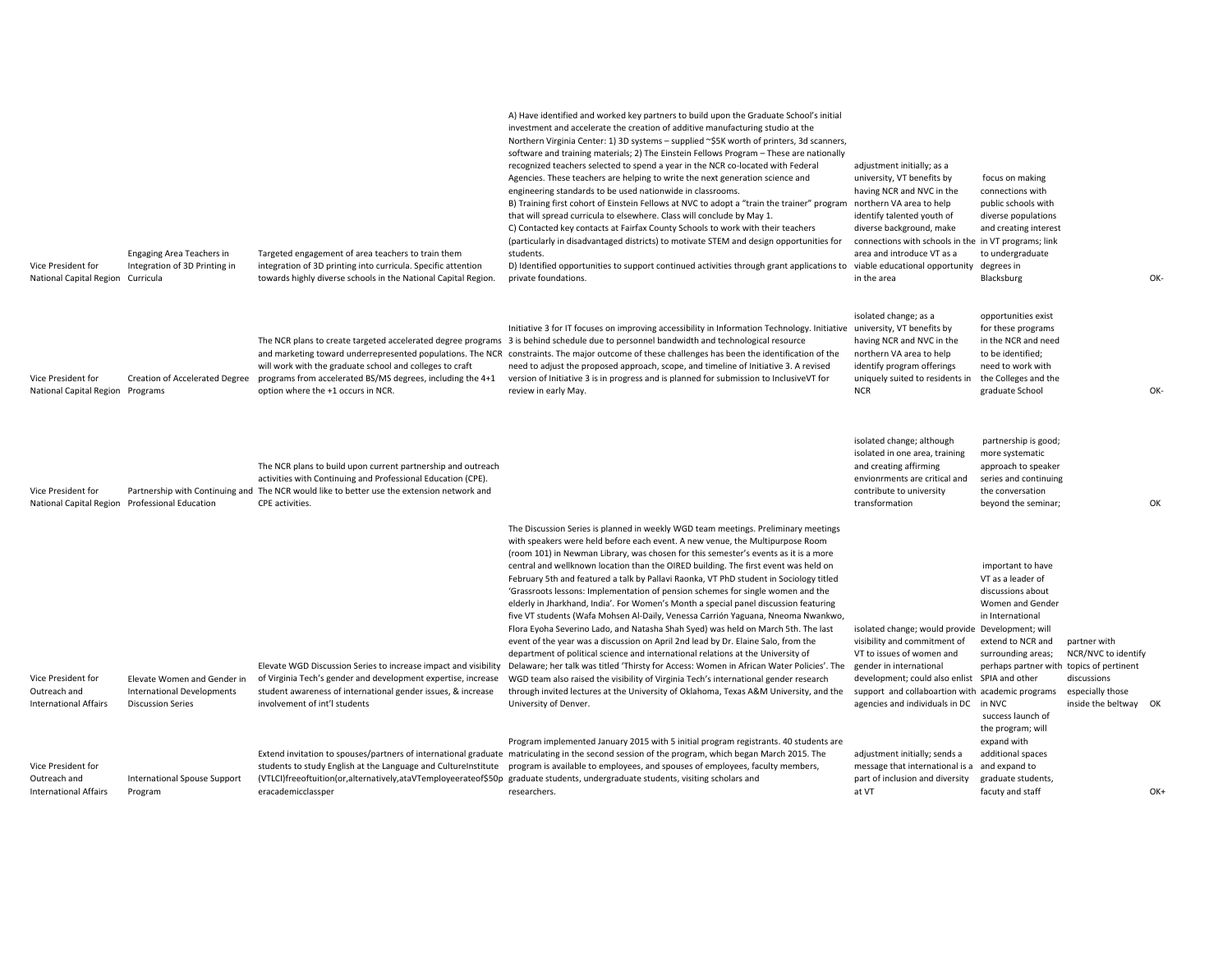| Vice President for<br>National Capital Region                      | <b>Engaging Area Teachers in</b><br>Integration of 3D Printing in<br>Curricula               | Targeted engagement of area teachers to train them<br>integration of 3D printing into curricula. Specific attention<br>towards highly diverse schools in the National Capital Region.                                                         | A) Have identified and worked key partners to build upon the Graduate School's initial<br>investment and accelerate the creation of additive manufacturing studio at the<br>Northern Virginia Center: 1) 3D systems - supplied ~\$5K worth of printers, 3d scanners,<br>software and training materials; 2) The Einstein Fellows Program - These are nationally<br>recognized teachers selected to spend a year in the NCR co-located with Federal<br>Agencies. These teachers are helping to write the next generation science and<br>engineering standards to be used nationwide in classrooms.<br>B) Training first cohort of Einstein Fellows at NVC to adopt a "train the trainer" program northern VA area to help<br>that will spread curricula to elsewhere. Class will conclude by May 1.<br>C) Contacted key contacts at Fairfax County Schools to work with their teachers<br>(particularly in disadvantaged districts) to motivate STEM and design opportunities for<br>students.<br>D) Identified opportunities to support continued activities through grant applications to viable educational opportunity<br>private foundations.                                                                                                                              | adjustment initially; as a<br>university, VT benefits by<br>having NCR and NVC in the<br>identify talented youth of<br>diverse background, make<br>connections with schools in the in VT programs; link<br>area and introduce VT as a<br>in the area                                   | focus on making<br>connections with<br>public schools with<br>diverse populations<br>and creating interest<br>to undergraduate<br>degrees in<br>Blacksburg                                                                                                                                                      | OK- |
|--------------------------------------------------------------------|----------------------------------------------------------------------------------------------|-----------------------------------------------------------------------------------------------------------------------------------------------------------------------------------------------------------------------------------------------|--------------------------------------------------------------------------------------------------------------------------------------------------------------------------------------------------------------------------------------------------------------------------------------------------------------------------------------------------------------------------------------------------------------------------------------------------------------------------------------------------------------------------------------------------------------------------------------------------------------------------------------------------------------------------------------------------------------------------------------------------------------------------------------------------------------------------------------------------------------------------------------------------------------------------------------------------------------------------------------------------------------------------------------------------------------------------------------------------------------------------------------------------------------------------------------------------------------------------------------------------------------------------------|----------------------------------------------------------------------------------------------------------------------------------------------------------------------------------------------------------------------------------------------------------------------------------------|-----------------------------------------------------------------------------------------------------------------------------------------------------------------------------------------------------------------------------------------------------------------------------------------------------------------|-----|
| Vice President for<br>National Capital Region Programs             | Creation of Accelerated Degree                                                               | will work with the graduate school and colleges to craft<br>programs from accelerated BS/MS degrees, including the 4+1<br>option where the +1 occurs in NCR.                                                                                  | Initiative 3 for IT focuses on improving accessibility in Information Technology. Initiative university, VT benefits by<br>The NCR plans to create targeted accelerated degree programs 3 is behind schedule due to personnel bandwidth and technological resource<br>and marketing toward underrepresented populations. The NCR constraints. The major outcome of these challenges has been the identification of the<br>need to adjust the proposed approach, scope, and timeline of Initiative 3. A revised<br>version of Initiative 3 is in progress and is planned for submission to Inclusive VT for<br>review in early May.                                                                                                                                                                                                                                                                                                                                                                                                                                                                                                                                                                                                                                             | isolated change; as a<br>having NCR and NVC in the<br>northern VA area to help<br>identify program offerings<br>uniquely suited to residents in<br><b>NCR</b>                                                                                                                          | opportunities exist<br>for these programs<br>in the NCR and need<br>to be identified;<br>need to work with<br>the Colleges and the<br>graduate School                                                                                                                                                           | OK- |
| Vice President for                                                 | National Capital Region Professional Education                                               | The NCR plans to build upon current partnership and outreach<br>activities with Continuing and Professional Education (CPE).<br>Partnership with Continuing and The NCR would like to better use the extension network and<br>CPE activities. |                                                                                                                                                                                                                                                                                                                                                                                                                                                                                                                                                                                                                                                                                                                                                                                                                                                                                                                                                                                                                                                                                                                                                                                                                                                                                | isolated change; although<br>isolated in one area, training<br>and creating affirming<br>envionrments are critical and<br>contribute to university<br>transformation                                                                                                                   | partnership is good;<br>more systematic<br>approach to speaker<br>series and continuing<br>the conversation<br>beyond the seminar;                                                                                                                                                                              | OK  |
| Vice President for<br>Outreach and<br><b>International Affairs</b> | Elevate Women and Gender in<br><b>International Developments</b><br><b>Discussion Series</b> | Elevate WGD Discussion Series to increase impact and visibility<br>of Virginia Tech's gender and development expertise, increase<br>student awareness of international gender issues, & increase<br>involvement of int'l students             | The Discussion Series is planned in weekly WGD team meetings. Preliminary meetings<br>with speakers were held before each event. A new venue, the Multipurpose Room<br>(room 101) in Newman Library, was chosen for this semester's events as it is a more<br>central and wellknown location than the OIRED building. The first event was held on<br>February 5th and featured a talk by Pallavi Raonka, VT PhD student in Sociology titled<br>'Grassroots lessons: Implementation of pension schemes for single women and the<br>elderly in Jharkhand, India'. For Women's Month a special panel discussion featuring<br>five VT students (Wafa Mohsen Al-Daily, Venessa Carrión Yaguana, Nneoma Nwankwo,<br>Flora Eyoha Severino Lado, and Natasha Shah Syed) was held on March 5th. The last<br>event of the year was a discussion on April 2nd lead by Dr. Elaine Salo, from the<br>department of political science and international relations at the University of<br>Delaware; her talk was titled 'Thirsty for Access: Women in African Water Policies'. The<br>WGD team also raised the visibility of Virginia Tech's international gender research<br>through invited lectures at the University of Oklahoma, Texas A&M University, and the<br>University of Denver. | isolated change; would provide Development; will<br>visibility and commitment of<br>VT to issues of women and<br>gender in international<br>development; could also enlist SPIA and other<br>support and collaboartion with academic programs<br>agencies and individuals in DC in NVC | important to have<br>VT as a leader of<br>discussions about<br>Women and Gender<br>in International<br>extend to NCR and<br>partner with<br>NCR/NVC to identify<br>surrounding areas;<br>perhaps partner with topics of pertinent<br>discussions<br>especially those<br>inside the beltway<br>success launch of | ок  |
| Vice President for<br>Outreach and<br><b>International Affairs</b> | International Spouse Support<br>Program                                                      | students to study English at the Language and CultureInstitute<br>eracademicclassper                                                                                                                                                          | Program implemented January 2015 with 5 initial program registrants. 40 students are<br>Extend invitation to spouses/partners of international graduate matriculating in the second session of the program, which began March 2015. The<br>program is available to employees, and spouses of employees, faculty members,<br>(VTLCI)freeoftuition(or,alternatively,ataVTemployeerateof\$50p graduate students, undergraduate students, visiting scholars and<br>researchers.                                                                                                                                                                                                                                                                                                                                                                                                                                                                                                                                                                                                                                                                                                                                                                                                    | adjustment initially; sends a<br>message that international is a<br>part of inclusion and diversity<br>at VT                                                                                                                                                                           | the program; will<br>expand with<br>additional spaces<br>and expand to<br>graduate students,<br>facuty and staff                                                                                                                                                                                                | OK+ |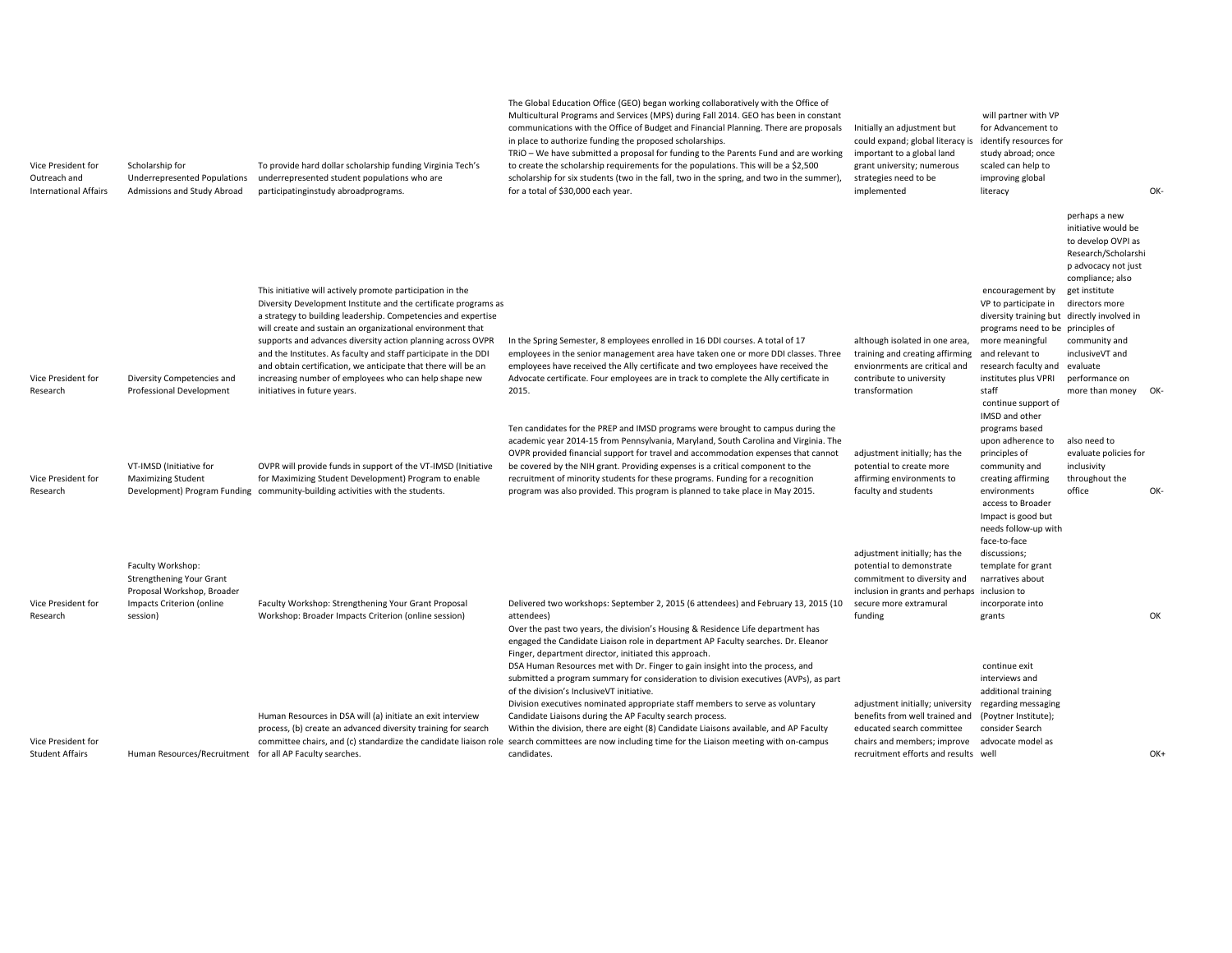| Vice President for<br>Outreach and<br><b>International Affairs</b> | Scholarship for<br><b>Underrepresented Populations</b><br>Admissions and Study Abroad | To provide hard dollar scholarship funding Virginia Tech's<br>underrepresented student populations who are<br>participatinginstudy abroadprograms.                                                                                                                                       | The Global Education Office (GEO) began working collaboratively with the Office of<br>Multicultural Programs and Services (MPS) during Fall 2014. GEO has been in constant<br>communications with the Office of Budget and Financial Planning. There are proposals<br>in place to authorize funding the proposed scholarships.<br>TRIO – We have submitted a proposal for funding to the Parents Fund and are working<br>to create the scholarship requirements for the populations. This will be a \$2,500<br>scholarship for six students (two in the fall, two in the spring, and two in the summer),<br>for a total of \$30,000 each year. | Initially an adjustment but<br>could expand; global literacy is<br>important to a global land<br>grant university; numerous<br>strategies need to be<br>implemented    | will partner with VP<br>for Advancement to<br>identify resources for<br>study abroad; once<br>scaled can help to<br>improving global<br>literacy                                                 |                                                                                                                                                                 | OK- |
|--------------------------------------------------------------------|---------------------------------------------------------------------------------------|------------------------------------------------------------------------------------------------------------------------------------------------------------------------------------------------------------------------------------------------------------------------------------------|------------------------------------------------------------------------------------------------------------------------------------------------------------------------------------------------------------------------------------------------------------------------------------------------------------------------------------------------------------------------------------------------------------------------------------------------------------------------------------------------------------------------------------------------------------------------------------------------------------------------------------------------|------------------------------------------------------------------------------------------------------------------------------------------------------------------------|--------------------------------------------------------------------------------------------------------------------------------------------------------------------------------------------------|-----------------------------------------------------------------------------------------------------------------------------------------------------------------|-----|
|                                                                    |                                                                                       | This initiative will actively promote participation in the<br>Diversity Development Institute and the certificate programs as<br>a strategy to building leadership. Competencies and expertise<br>will create and sustain an organizational environment that                             |                                                                                                                                                                                                                                                                                                                                                                                                                                                                                                                                                                                                                                                |                                                                                                                                                                        | encouragement by<br>VP to participate in<br>diversity training but directly involved in<br>programs need to be principles of                                                                     | perhaps a new<br>initiative would be<br>to develop OVPI as<br>Research/Scholarshi<br>p advocacy not just<br>compliance; also<br>get institute<br>directors more |     |
| Vice President for<br>Research                                     | Diversity Competencies and<br><b>Professional Development</b>                         | supports and advances diversity action planning across OVPR<br>and the Institutes. As faculty and staff participate in the DDI<br>and obtain certification, we anticipate that there will be an<br>increasing number of employees who can help shape new<br>initiatives in future years. | In the Spring Semester, 8 employees enrolled in 16 DDI courses. A total of 17<br>employees in the senior management area have taken one or more DDI classes. Three<br>employees have received the Ally certificate and two employees have received the<br>Advocate certificate. Four employees are in track to complete the Ally certificate in<br>2015.                                                                                                                                                                                                                                                                                       | although isolated in one area,<br>training and creating affirming<br>envionrments are critical and<br>contribute to university<br>transformation                       | more meaningful<br>and relevant to<br>research faculty and evaluate<br>institutes plus VPRI<br>staff<br>continue support of                                                                      | community and<br>inclusiveVT and<br>performance on<br>more than money OK-                                                                                       |     |
| Vice President for<br>Research                                     | VT-IMSD (Initiative for<br><b>Maximizing Student</b>                                  | OVPR will provide funds in support of the VT-IMSD (Initiative<br>for Maximizing Student Development) Program to enable<br>Development) Program Funding community-building activities with the students.                                                                                  | Ten candidates for the PREP and IMSD programs were brought to campus during the<br>academic year 2014-15 from Pennsylvania, Maryland, South Carolina and Virginia. The<br>OVPR provided financial support for travel and accommodation expenses that cannot<br>be covered by the NIH grant. Providing expenses is a critical component to the<br>recruitment of minority students for these programs. Funding for a recognition<br>program was also provided. This program is planned to take place in May 2015.                                                                                                                               | adjustment initially; has the<br>potential to create more<br>affirming environments to<br>faculty and students                                                         | IMSD and other<br>programs based<br>upon adherence to<br>principles of<br>community and<br>creating affirming<br>environments<br>access to Broader<br>Impact is good but<br>needs follow-up with | also need to<br>evaluate policies for<br>inclusivity<br>throughout the<br>office                                                                                | OK- |
|                                                                    | Faculty Workshop:<br><b>Strengthening Your Grant</b><br>Proposal Workshop, Broader    |                                                                                                                                                                                                                                                                                          |                                                                                                                                                                                                                                                                                                                                                                                                                                                                                                                                                                                                                                                | adjustment initially; has the<br>potential to demonstrate<br>commitment to diversity and<br>inclusion in grants and perhaps inclusion to                               | face-to-face<br>discussions;<br>template for grant<br>narratives about                                                                                                                           |                                                                                                                                                                 |     |
| Vice President for<br>Research                                     | Impacts Criterion (online<br>session)                                                 | Faculty Workshop: Strengthening Your Grant Proposal<br>Workshop: Broader Impacts Criterion (online session)                                                                                                                                                                              | Delivered two workshops: September 2, 2015 (6 attendees) and February 13, 2015 (10<br>attendees)<br>Over the past two years, the division's Housing & Residence Life department has<br>engaged the Candidate Liaison role in department AP Faculty searches. Dr. Eleanor<br>Finger, department director, initiated this approach.<br>DSA Human Resources met with Dr. Finger to gain insight into the process, and<br>submitted a program summary for consideration to division executives (AVPs), as part                                                                                                                                     | secure more extramural<br>funding                                                                                                                                      | incorporate into<br>grants<br>continue exit<br>interviews and                                                                                                                                    |                                                                                                                                                                 | OK  |
| Vice President for<br><b>Student Affairs</b>                       | Human Resources/Recruitment for all AP Faculty searches.                              | Human Resources in DSA will (a) initiate an exit interview<br>process, (b) create an advanced diversity training for search                                                                                                                                                              | of the division's InclusiveVT initiative.<br>Division executives nominated appropriate staff members to serve as voluntary<br>Candidate Liaisons during the AP Faculty search process.<br>Within the division, there are eight (8) Candidate Liaisons available, and AP Faculty<br>committee chairs, and (c) standardize the candidate liaison role search committees are now including time for the Liaison meeting with on-campus<br>candidates.                                                                                                                                                                                             | adjustment initially; university<br>benefits from well trained and<br>educated search committee<br>chairs and members; improve<br>recruitment efforts and results well | additional training<br>regarding messaging<br>(Poytner Institute);<br>consider Search<br>advocate model as                                                                                       |                                                                                                                                                                 | OK+ |